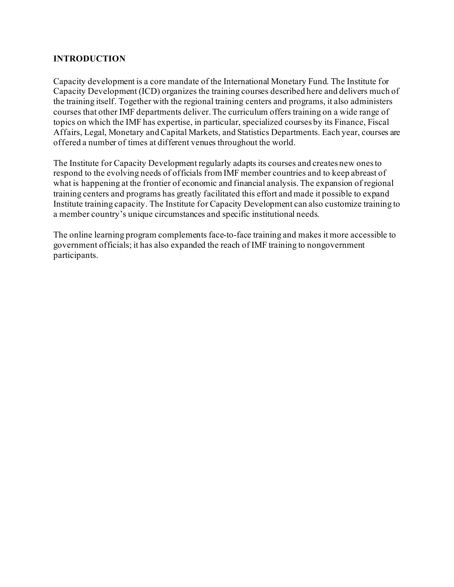## **INTRODUCTION**

Capacity development is a core mandate of the International Monetary Fund. The Institute for Capacity Development (ICD) organizes the training courses described here and delivers much of the training itself. Together with the regional training centers and programs, it also administers courses that other IMF departments deliver. The curriculum offers training on a wide range of topics on which the IMF has expertise, in particular, specialized courses by its Finance, Fiscal Affairs, Legal, Monetary and Capital Markets, and Statistics Departments. Each year, courses are offered a number of times at different venues throughout the world.

The Institute for Capacity Development regularly adapts its courses and creates new ones to respond to the evolving needs of officials from IMF member countries and to keep abreast of what is happening at the frontier of economic and financial analysis. The expansion of regional training centers and programs has greatly facilitated this effort and made it possible to expand Institute training capacity. The Institute for Capacity Development can also customize training to a member country's unique circumstances and specific institutional needs.

The online learning program complements face-to-face training and makes it more accessible to government officials; it has also expanded the reach of IMF training to nongovernment participants.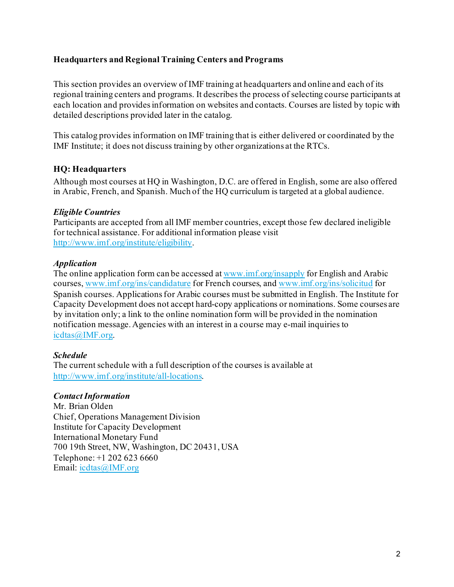## **Headquarters and Regional Training Centers and Programs**

This section provides an overview of IMF training at headquarters and online and each of its regional training centers and programs. It describes the process of selecting course participants at each location and provides information on websites and contacts. Courses are listed by topic with detailed descriptions provided later in the catalog.

This catalog provides information on IMF training that is either delivered or coordinated by the IMF Institute; it does not discuss training by other organizations at the RTCs.

## **HQ: Headquarters**

Although most courses at HQ in Washington, D.C. are offered in English, some are also offered in Arabic, French, and Spanish. Much of the HQ curriculum is targeted at a global audience.

## *Eligible Countries*

Participants are accepted from all IMF member countries, except those few declared ineligible for technical assistance. For additional information please visit [http://www.imf.org/institute/eligibility.](http://www.imf.org/institute/eligibility)

## *Application*

The online application form can be accessed a[t www.imf.org/insapply](http://www.imf.org/insapply) for English and Arabic courses[, www.imf.org/ins/candidature](http://www.imf.org/ins/candidature) for French courses, an[d www.imf.org/ins/solicitud](http://www.imf.org/ins/solicitud) for Spanish courses. Applications for Arabic courses must be submitted in English. The Institute for Capacity Development does not accept hard-copy applications or nominations. Some courses are by invitation only; a link to the online nomination form will be provided in the nomination notification message. Agencies with an interest in a course may e-mail inquiries to [icdtas@IMF.org.](mailto:icdtas@IMF.org)

## *Schedule*

The current schedule with a full description of the courses is available at <http://www.imf.org/institute/all-locations>.

## *Contact Information*

Mr. Brian Olden Chief, Operations Management Division Institute for Capacity Development International Monetary Fund 700 19th Street, NW, Washington, DC 20431, USA Telephone: +1 202 623 6660 Email: [icdtas@IMF.org](mailto:icdtas@IMF.org)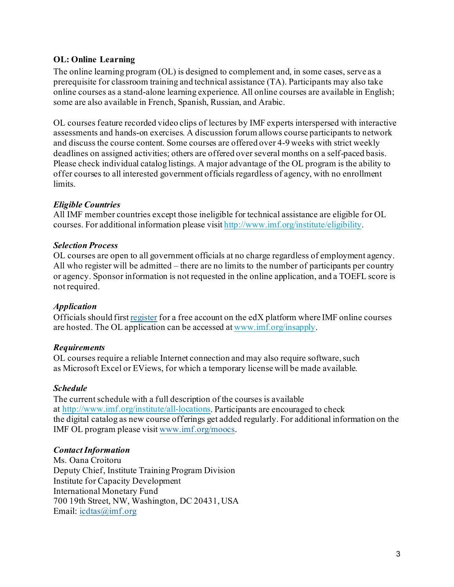## **OL: Online Learning**

The online learning program (OL) is designed to complement and, in some cases, serve as a prerequisite for classroom training and technical assistance (TA). Participants may also take online courses as a stand-alone learning experience. All online courses are available in English; some are also available in French, Spanish, Russian, and Arabic.

OL courses feature recorded video clips of lectures by IMF experts interspersed with interactive assessments and hands-on exercises. A discussion forum allows course participants to network and discuss the course content. Some courses are offered over 4-9 weeks with strict weekly deadlines on assigned activities; others are offered over several months on a self-paced basis. Please check individual catalog listings. A major advantage of the OL program is the ability to offer courses to all interested government officials regardless of agency, with no enrollment limits.

## *Eligible Countries*

All IMF member countries except those ineligible for technical assistance are eligible for OL courses. For additional information please visit [http://www.imf.org/institute/eligibility.](http://www.imf.org/institute/eligibility)

## *Selection Process*

OL courses are open to all government officials at no charge regardless of employment agency. All who register will be admitted – there are no limits to the number of participants per country or agency. Sponsor information is not requested in the online application, and a TOEFL score is not required.

## *Application*

Officials should first [register](https://courses.edx.org/register) for a free account on the edX platform where IMF online courses are hosted. The OL application can be accessed at [www.imf.org/insapply](http://www.imf.org/insapply).

## *Requirements*

OL courses require a reliable Internet connection and may also require software, such as Microsoft Excel or EViews, for which a temporary license will be made available.

## *Schedule*

The current schedule with a full description of the courses is available at <http://www.imf.org/institute/all-locations>. Participants are encouraged to check the digital catalog as new course offerings get added regularly. For additional information on the IMF OL program please visit [www.imf.org/moocs.](http://www.imf.org/moocs)

## *Contact Information*

Ms. Oana Croitoru Deputy Chief, Institute Training Program Division Institute for Capacity Development International Monetary Fund 700 19th Street, NW, Washington, DC 20431, USA Email: [icdtas@imf.org](mailto:icdtas@imf.org)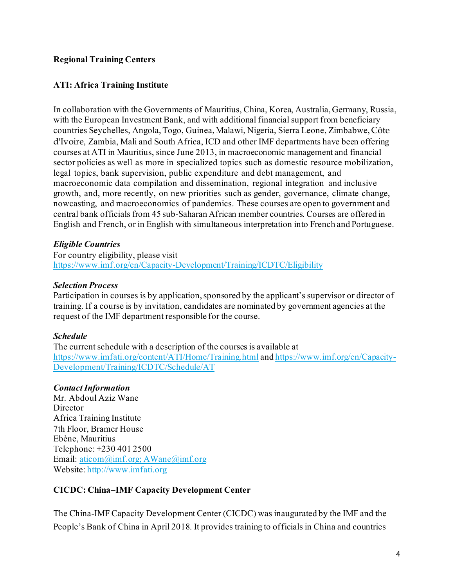## **Regional Training Centers**

## **ATI: Africa Training Institute**

In collaboration with the Governments of Mauritius, China, Korea, Australia, Germany, Russia, with the European Investment Bank, and with additional financial support from beneficiary countries Seychelles, Angola, Togo, Guinea, Malawi, Nigeria, Sierra Leone, Zimbabwe, Côte d'Ivoire, Zambia, Mali and South Africa, ICD and other IMF departments have been offering courses at ATI in Mauritius, since June 2013, in macroeconomic management and financial sector policies as well as more in specialized topics such as domestic resource mobilization, legal topics, bank supervision, public expenditure and debt management, and macroeconomic data compilation and dissemination, regional integration and inclusive growth, and, more recently, on new priorities such as gender, governance, climate change, nowcasting, and macroeconomics of pandemics. These courses are open to government and central bank officials from 45 sub-Saharan African member countries. Courses are offered in English and French, or in English with simultaneous interpretation into French and Portuguese.

#### *Eligible Countries*

For country eligibility, please visit <https://www.imf.org/en/Capacity-Development/Training/ICDTC/Eligibility>

#### *Selection Process*

Participation in courses is by application, sponsored by the applicant's supervisor or director of training. If a course is by invitation, candidates are nominated by government agencies at the request of the IMF department responsible for the course.

#### *Schedule*

The current schedule with a description of the courses is available at <https://www.imfati.org/content/ATI/Home/Training.html> an[d https://www.imf.org/en/Capacity-](https://www.imf.org/en/Capacity-Development/Training/ICDTC/Schedule/AT)[Development/Training/ICDTC/Schedule/AT](https://www.imf.org/en/Capacity-Development/Training/ICDTC/Schedule/AT)

## *Contact Information*

Mr. Abdoul Aziz Wane **Director** Africa Training Institute 7th Floor, Bramer House Ebène, Mauritius Telephone: +230 401 2500 Email: [aticom@imf.org;](mailto:aticom@imf.org) AWane@imf.org Website[: http://www.imfati.org](http://www.imfati.org/)

## **CICDC: China–IMF Capacity Development Center**

The China-IMF Capacity Development Center (CICDC) was inaugurated by the IMF and the People's Bank of China in April 2018. It provides training to officials in China and countries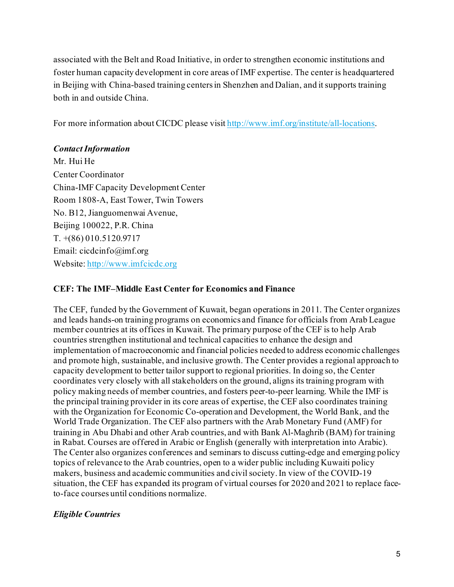associated with the Belt and Road Initiative, in order to strengthen economic institutions and foster human capacity development in core areas of IMF expertise. The center is headquartered in Beijing with China-based training centers in Shenzhen and Dalian, and it supports training both in and outside China.

For more information about CICDC please visi[t http://www.imf.org/institute/all-locations](http://www.imf.org/institute/all-locations).

## *Contact Information*

Mr. Hui He Center Coordinator China-IMF Capacity Development Center Room 1808-A, East Tower, Twin Towers No. B12, Jianguomenwai Avenue, Beijing 100022, P.R. China T. +(86) 010.5120.9717 Email: cicdcinfo@imf.org Website[: http://www.imfcicdc.org](http://www.imfcicdc.org/)

## **CEF: The IMF–Middle East Center for Economics and Finance**

The CEF, funded by the Government of Kuwait, began operations in 2011. The Center organizes and leads hands-on training programs on economics and finance for officials from Arab League member countries at its offices in Kuwait. The primary purpose of the CEF is to help Arab countries strengthen institutional and technical capacities to enhance the design and implementation of macroeconomic and financial policies needed to address economic challenges and promote high, sustainable, and inclusive growth. The Center provides a regional approach to capacity development to better tailor support to regional priorities. In doing so, the Center coordinates very closely with all stakeholders on the ground, aligns its training program with policy making needs of member countries, and fosters peer-to-peer learning. While the IMF is the principal training provider in its core areas of expertise, the CEF also coordinates training with the Organization for Economic Co-operation and Development, the World Bank, and the World Trade Organization. The CEF also partners with the Arab Monetary Fund (AMF) for training in Abu Dhabi and other Arab countries, and with Bank Al-Maghrib (BAM) for training in Rabat. Courses are offered in Arabic or English (generally with interpretation into Arabic). The Center also organizes conferences and seminars to discuss cutting-edge and emerging policy topics of relevance to the Arab countries, open to a wider public including Kuwaiti policy makers, business and academic communities and civil society.In view of the COVID-19 situation, the CEF has expanded its program of virtual courses for 2020 and 2021 to replace faceto-face courses until conditions normalize.

# *Eligible Countries*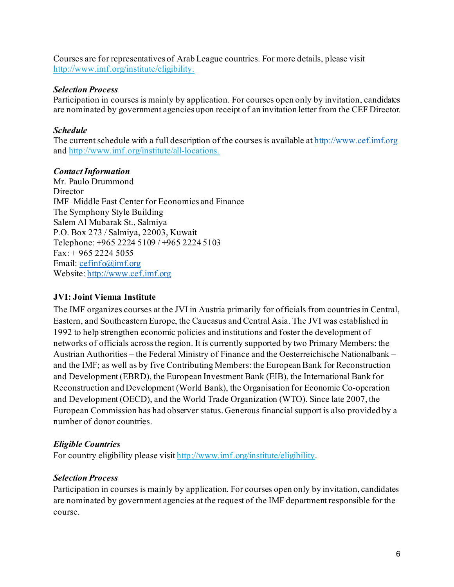Courses are for representatives of Arab League countries. For more details, please visit [http://www.imf.org/institute/eligibility.](http://www.imf.org/institute/eligibility)

#### *Selection Process*

Participation in courses is mainly by application. For courses open only by invitation, candidates are nominated by government agencies upon receipt of an invitation letter from the CEF Director.

## *Schedule*

The current schedule with a full description of the courses is available a[t http://www.cef.imf.org](http://www.cef.imf.org/) and [http://www.imf.org/institute/all-locations.](http://www.imf.org/institute/all-locations)

## *Contact Information*

Mr. Paulo Drummond **Director** IMF–Middle East Center for Economics and Finance The Symphony Style Building Salem Al Mubarak St., Salmiya P.O. Box 273 / Salmiya, 22003, Kuwait Telephone: +965 2224 5109 / +965 2224 5103  $Fax: + 965 2224 5055$ Email: [cefinfo@imf.org](mailto:cefinfo@imf.org) Website: [http://www.cef.imf.org](http://www.cef.imf.org/)

## **JVI: Joint Vienna Institute**

The IMF organizes courses at the JVI in Austria primarily for officials from countries in Central, Eastern, and Southeastern Europe, the Caucasus and Central Asia. The JVI was established in 1992 to help strengthen economic policies and institutions and foster the development of networks of officials across the region. It is currently supported by two Primary Members: the Austrian Authorities – the Federal Ministry of Finance and the Oesterreichische Nationalbank – and the IMF; as well as by five Contributing Members: the European Bank for Reconstruction and Development (EBRD), the European Investment Bank (EIB), the International Bank for Reconstruction and Development (World Bank), the Organisation for Economic Co-operation and Development (OECD), and the World Trade Organization (WTO). Since late 2007, the European Commission has had observer status. Generous financial support is also provided by a number of donor countries.

# *Eligible Countries*

For country eligibility please visi[t http://www.imf.org/institute/eligibility.](http://www.imf.org/institute/eligibility)

## *Selection Process*

Participation in courses is mainly by application. For courses open only by invitation, candidates are nominated by government agencies at the request of the IMF department responsible for the course.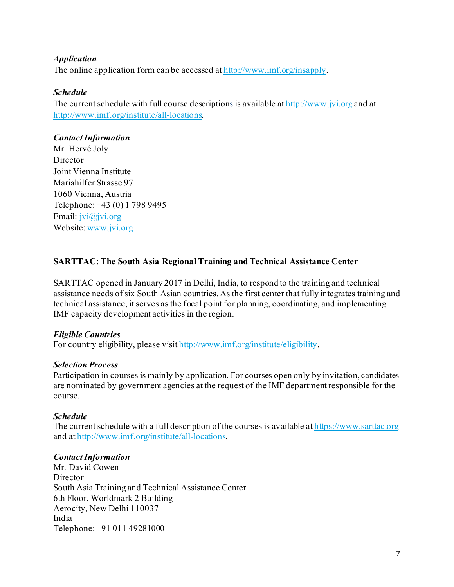## *Application*

The online application form can be accessed a[t http://www.imf.org/insapply](http://www.imf.org/insapply).

## *Schedule*

The current schedule with full course descriptions is available a[t http://www.jvi.org](https://urldefense.proofpoint.com/v2/url?u=http-3A__www.jvi.org&d=DwMFAg&c=G8CoXqdZ57E1EOn2t2CVrg&r=9bFH0S6ke028T7b24ZoU-ATSAWo8dy0AF4Na5-iI9y0&m=l-PtgrDgXIEpNuhh1qCJZwoEPVgIGRat1V5JOobE5Zs&s=gnWcn7qe-jUKWOtynHqVoEjPXhtqNfxAy-Z-LLDpnPw&e=) and at [http://www.imf.org/institute/all-locations](http://www.imf.org/institute).

## *Contact Information*

Mr. Hervé Joly Director Joint Vienna Institute Mariahilfer Strasse 97 1060 Vienna, Austria Telephone: +43 (0) 1 798 9495 Email: [jvi@jvi.org](mailto:jvi@jvi.org) Website[: www.jvi.org](https://urldefense.proofpoint.com/v2/url?u=http-3A__www.jvi.org&d=DwMFAg&c=G8CoXqdZ57E1EOn2t2CVrg&r=9bFH0S6ke028T7b24ZoU-ATSAWo8dy0AF4Na5-iI9y0&m=l-PtgrDgXIEpNuhh1qCJZwoEPVgIGRat1V5JOobE5Zs&s=gnWcn7qe-jUKWOtynHqVoEjPXhtqNfxAy-Z-LLDpnPw&e=)

# **SARTTAC: The South Asia Regional Training and Technical Assistance Center**

SARTTAC opened in January 2017 in Delhi, India, to respond to the training and technical assistance needs of six South Asian countries. As the first center that fully integrates training and technical assistance, it serves as the focal point for planning, coordinating, and implementing IMF capacity development activities in the region.

## *Eligible Countries*

For country eligibility, please visi[t http://www.imf.org/institute/eligibility](http://www.imf.org/institute/eligibility).

## *Selection Process*

Participation in courses is mainly by application. For courses open only by invitation, candidates are nominated by government agencies at the request of the IMF department responsible for the course.

## *Schedule*

The current schedule with a full description of the courses is available a[t https://www.sarttac.org](http://www.sarttac.org/) and at [http://www.imf.org/institute/all-locations](http://www.imf.org/institute).

## *Contact Information*

Mr. David Cowen Director South Asia Training and Technical Assistance Center 6th Floor, Worldmark 2 Building Aerocity, New Delhi 110037 India Telephone: +91 011 49281000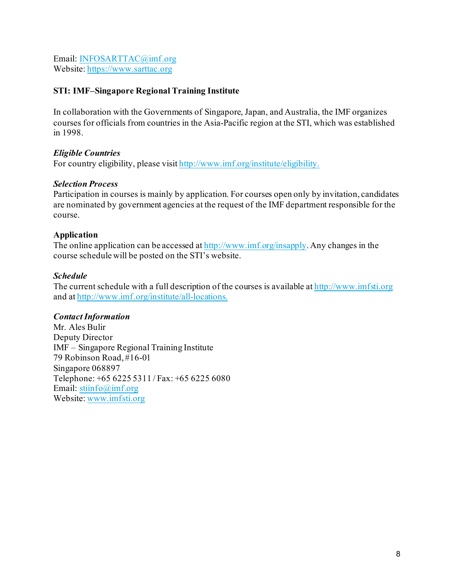Email: [INFOSARTTAC@imf.org](mailto:INFOSARTTAC@imf.org) Website[: https://www.sarttac.org](https://www.sarttac.org/)

## **STI: IMF–Singapore Regional Training Institute**

In collaboration with the Governments of Singapore, Japan, and Australia, the IMF organizes courses for officials from countries in the Asia-Pacific region at the STI, which was established in 1998.

## *Eligible Countries*

For country eligibility, please visi[t http://www.imf.org/institute/eligibility](http://www.imf.org/institute/eligibility).

#### *Selection Process*

Participation in courses is mainly by application. For courses open only by invitation, candidates are nominated by government agencies at the request of the IMF department responsible for the course.

## **Application**

The online application can be accessed a[t http://www.imf.org/insapply](http://www.imf.org/insapply). Any changes in the course schedule will be posted on the STI's website.

#### *Schedule*

The current schedule with a full description of the courses is available a[t http://www.imfsti.org](http://www.imfsti.org/) and at [http://www.imf.org/institute/](http://www.imf.org/institute)all-locations.

## *Contact Information*

Mr. Ales Bulir Deputy Director IMF – Singapore Regional Training Institute 79 Robinson Road, #16-01 Singapore 068897 Telephone: +65 6225 5311 / Fax: +65 6225 6080 Email: [stiinfo@imf.org](mailto:stiinfo@imf.org) Website[: www.imfsti.org](http://www.imfsti.org/)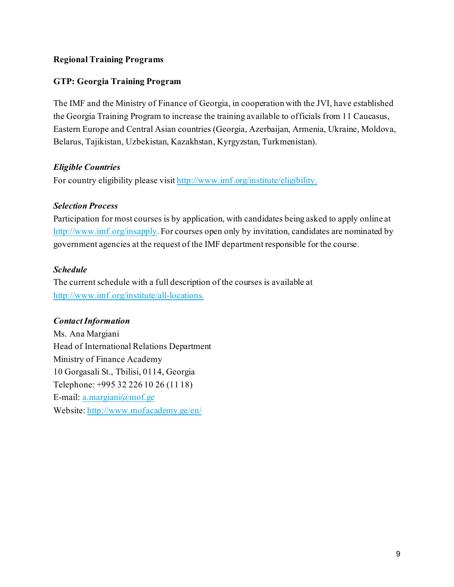## **Regional Training Programs**

## **GTP: Georgia Training Program**

The IMF and the Ministry of Finance of Georgia, in cooperation with the JVI, have established the Georgia Training Program to increase the training available to officials from 11 Caucasus, Eastern Europe and Central Asian countries (Georgia, Azerbaijan, Armenia, Ukraine, Moldova, Belarus, Tajikistan, Uzbekistan, Kazakhstan, Kyrgyzstan, Turkmenistan).

## *Eligible Countries*

For country eligibility please visi[t http://www.imf.org/institute/eligibility.](http://www.imf.org/institute/eligibility)

## *Selection Process*

Participation for most courses is by application, with candidates being asked to apply online at <http://www.imf.org/insapply>. For courses open only by invitation, candidates are nominated by government agencies at the request of the IMF department responsible for the course.

## *Schedule*

The current schedule with a full description of the courses is available at [http://www.imf.org/institute/](http://www.imf.org/institute)all-locations.

## *Contact Information*

Ms. Ana Margiani Head of International Relations Department Ministry of Finance Academy 10 Gorgasali St., Tbilisi, 0114, Georgia Telephone: +995 32 226 10 26 (11 18) E-mail: [a.margiani@mof.ge](mailto:academy@mof.ge) Website[: http://www.mofacademy.ge/en/](http://www.mofacademy.ge/en/)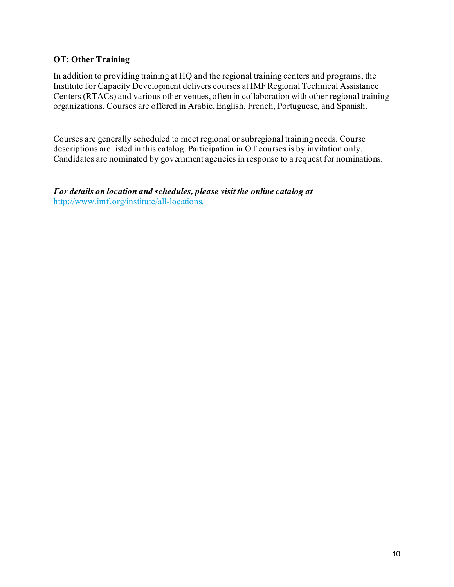## **OT: Other Training**

In addition to providing training at HQ and the regional training centers and programs, the Institute for Capacity Development delivers courses at IMF Regional Technical Assistance Centers (RTACs) and various other venues, often in collaboration with other regional training organizations. Courses are offered in Arabic, English, French, Portuguese, and Spanish.

Courses are generally scheduled to meet regional or subregional training needs. Course descriptions are listed in this catalog. Participation in OT courses is by invitation only. Candidates are nominated by government agencies in response to a request for nominations.

*For details on location and schedules, please visit the online catalog at* <http://www.imf.org/institute/all-locations>.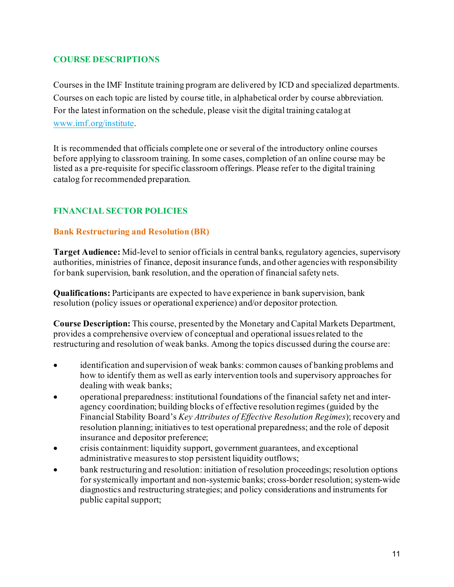## **COURSE DESCRIPTIONS**

Courses in the IMF Institute training program are delivered by ICD and specialized departments. Courses on each topic are listed by course title, in alphabetical order by course abbreviation. For the latest information on the schedule, please visit the digital training catalog at [www.imf.org/institute.](http://www.imf.org/institute)

It is recommended that officials complete one or several of the introductory online courses before applying to classroom training. In some cases, completion of an online course may be listed as a pre-requisite for specific classroom offerings. Please refer to the digital training catalog for recommended preparation.

# **FINANCIAL SECTOR POLICIES**

#### **Bank Restructuring and Resolution (BR)**

**Target Audience:** Mid-level to senior officials in central banks, regulatory agencies, supervisory authorities, ministries of finance, deposit insurance funds, and other agencies with responsibility for bank supervision, bank resolution, and the operation of financial safety nets.

**Qualifications:** Participants are expected to have experience in bank supervision, bank resolution (policy issues or operational experience) and/or depositor protection.

**Course Description:** This course, presented by the Monetary and Capital Markets Department, provides a comprehensive overview of conceptual and operational issues related to the restructuring and resolution of weak banks. Among the topics discussed during the course are:

- identification and supervision of weak banks: common causes of banking problems and how to identify them as well as early intervention tools and supervisory approaches for dealing with weak banks;
- operational preparedness: institutional foundations of the financial safety net and interagency coordination; building blocks of effective resolution regimes (guided by the Financial Stability Board's *Key Attributes of Effective Resolution Regimes*); recovery and resolution planning; initiatives to test operational preparedness; and the role of deposit insurance and depositor preference;
- crisis containment: liquidity support, government guarantees, and exceptional administrative measures to stop persistent liquidity outflows;
- bank restructuring and resolution: initiation of resolution proceedings; resolution options for systemically important and non-systemic banks; cross-border resolution; system-wide diagnostics and restructuring strategies; and policy considerations and instruments for public capital support;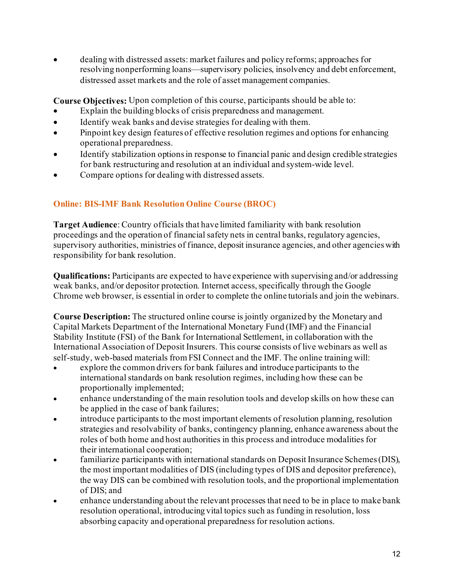• dealing with distressed assets: market failures and policy reforms; approaches for resolving nonperforming loans—supervisory policies, insolvency and debt enforcement, distressed asset markets and the role of asset management companies.

**Course Objectives:** Upon completion of this course, participants should be able to:

- Explain the building blocks of crisis preparedness and management.
- Identify weak banks and devise strategies for dealing with them.
- Pinpoint key design features of effective resolution regimes and options for enhancing operational preparedness.
- Identify stabilization options in response to financial panic and design credible strategies for bank restructuring and resolution at an individual and system-wide level.
- Compare options for dealing with distressed assets.

# **Online: BIS-IMF Bank Resolution Online Course (BROC)**

**Target Audience**: Country officials that have limited familiarity with bank resolution proceedings and the operation of financial safety nets in central banks, regulatory agencies, supervisory authorities, ministries of finance, deposit insurance agencies, and other agencies with responsibility for bank resolution.

**Qualifications:** Participants are expected to have experience with supervising and/or addressing weak banks, and/or depositor protection. Internet access, specifically through the Google Chrome web browser, is essential in order to complete the online tutorials and join the webinars.

**Course Description:** The structured online course is jointly organized by the Monetary and Capital Markets Department of the International Monetary Fund (IMF) and the Financial Stability Institute (FSI) of the Bank for International Settlement, in collaboration with the International Association of Deposit Insurers. This course consists of live webinars as well as self-study, web-based materials from FSI Connect and the IMF. The online training will:

- explore the common drivers for bank failures and introduce participants to the international standards on bank resolution regimes, including how these can be proportionally implemented;
- enhance understanding of the main resolution tools and develop skills on how these can be applied in the case of bank failures;
- introduce participants to the most important elements of resolution planning, resolution strategies and resolvability of banks, contingency planning, enhance awareness about the roles of both home and host authorities in this process and introduce modalities for their international cooperation;
- familiarize participants with international standards on Deposit Insurance Schemes (DIS), the most important modalities of DIS (including types of DIS and depositor preference), the way DIS can be combined with resolution tools, and the proportional implementation of DIS; and
- enhance understanding about the relevant processes that need to be in place to make bank resolution operational, introducing vital topics such as funding in resolution, loss absorbing capacity and operational preparedness for resolution actions.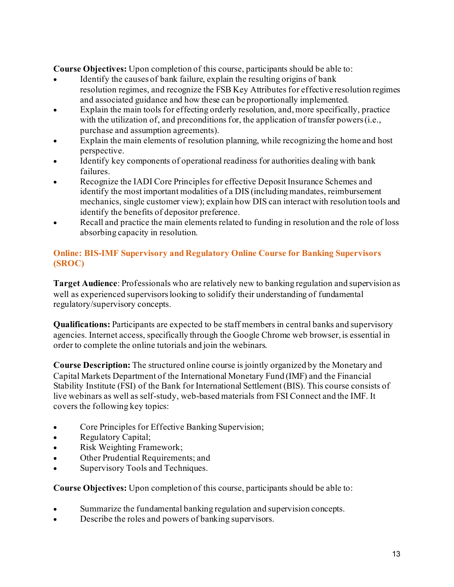**Course Objectives:** Upon completion of this course, participants should be able to:

- Identify the causes of bank failure, explain the resulting origins of bank resolution regimes, and recognize the FSB Key Attributes for effective resolution regimes and associated guidance and how these can be proportionally implemented.
- Explain the main tools for effecting orderly resolution, and, more specifically, practice with the utilization of, and preconditions for, the application of transfer powers (i.e., purchase and assumption agreements).
- Explain the main elements of resolution planning, while recognizing the home and host perspective.
- Identify key components of operational readiness for authorities dealing with bank failures.
- Recognize the IADI Core Principles for effective Deposit Insurance Schemes and identify the most important modalities of a DIS (including mandates, reimbursement mechanics, single customer view); explain how DIS can interact with resolution tools and identify the benefits of depositor preference.
- Recall and practice the main elements related to funding in resolution and the role of loss absorbing capacity in resolution.

# **Online: BIS-IMF Supervisory and Regulatory Online Course for Banking Supervisors (SROC)**

**Target Audience**: Professionals who are relatively new to banking regulation and supervision as well as experienced supervisors looking to solidify their understanding of fundamental regulatory/supervisory concepts.

**Qualifications:** Participants are expected to be staff members in central banks and supervisory agencies. Internet access, specifically through the Google Chrome web browser, is essential in order to complete the online tutorials and join the webinars.

**Course Description:** The structured online course is jointly organized by the Monetary and Capital Markets Department of the International Monetary Fund (IMF) and the Financial Stability Institute (FSI) of the Bank for International Settlement (BIS). This course consists of live webinars as well as self-study, web-based materials from FSI Connect and the IMF. It covers the following key topics:

- Core Principles for Effective Banking Supervision;
- Regulatory Capital;
- Risk Weighting Framework;
- Other Prudential Requirements; and
- Supervisory Tools and Techniques.

- Summarize the fundamental banking regulation and supervision concepts.
- Describe the roles and powers of banking supervisors.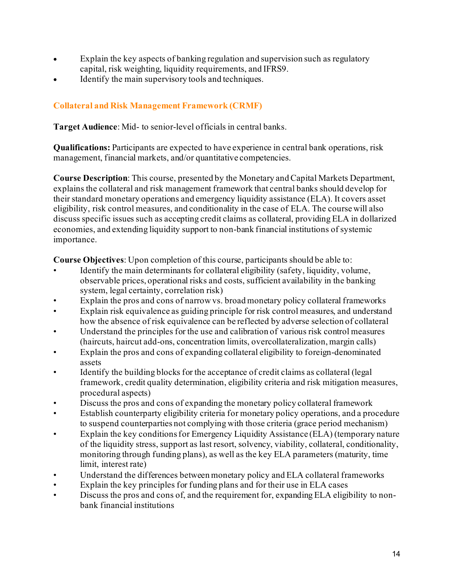- Explain the key aspects of banking regulation and supervision such as regulatory capital, risk weighting, liquidity requirements, and IFRS9.
- Identify the main supervisory tools and techniques.

# **Collateral and Risk Management Framework (CRMF)**

**Target Audience**: Mid- to senior-level officials in central banks.

**Qualifications:** Participants are expected to have experience in central bank operations, risk management, financial markets, and/or quantitative competencies.

**Course Description**: This course, presented by the Monetary and Capital Markets Department, explains the collateral and risk management framework that central banks should develop for their standard monetary operations and emergency liquidity assistance (ELA). It covers asset eligibility, risk control measures, and conditionality in the case of ELA. The course will also discuss specific issues such as accepting credit claims as collateral, providing ELA in dollarized economies, and extending liquidity support to non-bank financial institutions of systemic importance.

- Identify the main determinants for collateral eligibility (safety, liquidity, volume, observable prices, operational risks and costs, sufficient availability in the banking system, legal certainty, correlation risk)
- Explain the pros and cons of narrow vs. broad monetary policy collateral frameworks
- Explain risk equivalence as guiding principle for risk control measures, and understand how the absence of risk equivalence can be reflected by adverse selection of collateral
- Understand the principles for the use and calibration of various risk control measures (haircuts, haircut add-ons, concentration limits, overcollateralization, margin calls)
- Explain the pros and cons of expanding collateral eligibility to foreign-denominated assets
- Identify the building blocks for the acceptance of credit claims as collateral (legal framework, credit quality determination, eligibility criteria and risk mitigation measures, procedural aspects)
- Discuss the pros and cons of expanding the monetary policy collateral framework
- Establish counterparty eligibility criteria for monetary policy operations, and a procedure to suspend counterparties not complying with those criteria (grace period mechanism)
- Explain the key conditions for Emergency Liquidity Assistance (ELA) (temporary nature of the liquidity stress, support as last resort, solvency, viability, collateral, conditionality, monitoring through funding plans), as well as the key ELA parameters (maturity, time limit, interest rate)
- Understand the differences between monetary policy and ELA collateral frameworks
- Explain the key principles for funding plans and for their use in ELA cases
- Discuss the pros and cons of, and the requirement for, expanding ELA eligibility to nonbank financial institutions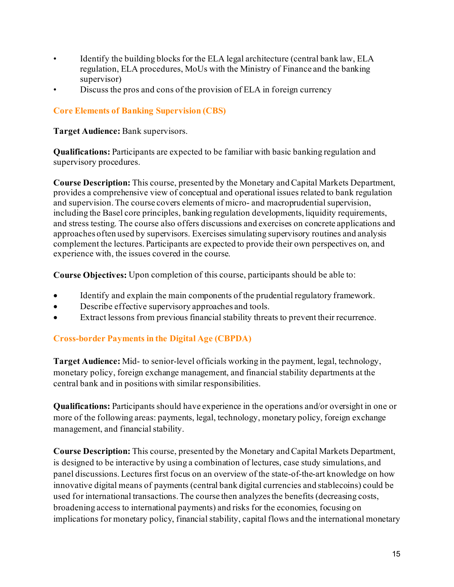- Identify the building blocks for the ELA legal architecture (central bank law, ELA regulation, ELA procedures, MoUs with the Ministry of Finance and the banking supervisor)
- Discuss the pros and cons of the provision of ELA in foreign currency

## **Core Elements of Banking Supervision (CBS)**

**Target Audience:** Bank supervisors.

**Qualifications:** Participants are expected to be familiar with basic banking regulation and supervisory procedures.

**Course Description:** This course, presented by the Monetary and Capital Markets Department, provides a comprehensive view of conceptual and operational issues related to bank regulation and supervision. The course covers elements of micro- and macroprudential supervision, including the Basel core principles, banking regulation developments, liquidity requirements, and stress testing. The course also offers discussions and exercises on concrete applications and approaches often used by supervisors. Exercises simulating supervisory routines and analysis complement the lectures. Participants are expected to provide their own perspectives on, and experience with, the issues covered in the course.

**Course Objectives:** Upon completion of this course, participants should be able to:

- Identify and explain the main components of the prudential regulatory framework.
- Describe effective supervisory approaches and tools.
- Extract lessons from previous financial stability threats to prevent their recurrence.

# **Cross-border Payments in the Digital Age (CBPDA)**

**Target Audience:** Mid- to senior-level officials working in the payment, legal, technology, monetary policy, foreign exchange management, and financial stability departments at the central bank and in positions with similar responsibilities.

**Qualifications:** Participants should have experience in the operations and/or oversight in one or more of the following areas: payments, legal, technology, monetary policy, foreign exchange management, and financial stability.

**Course Description:** This course, presented by the Monetary and Capital Markets Department, is designed to be interactive by using a combination of lectures, case study simulations, and panel discussions. Lectures first focus on an overview of the state-of-the-art knowledge on how innovative digital means of payments (central bank digital currencies and stablecoins) could be used for international transactions. The course then analyzes the benefits (decreasing costs, broadening access to international payments) and risks for the economies, focusing on implications for monetary policy, financial stability, capital flows and the international monetary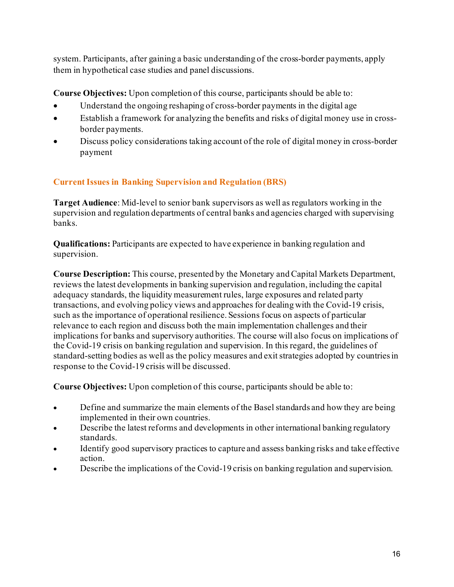system. Participants, after gaining a basic understanding of the cross-border payments, apply them in hypothetical case studies and panel discussions.

**Course Objectives:** Upon completion of this course, participants should be able to:

- Understand the ongoing reshaping of cross-border payments in the digital age
- Establish a framework for analyzing the benefits and risks of digital money use in crossborder payments.
- Discuss policy considerations taking account of the role of digital money in cross-border payment

# **Current Issues in Banking Supervision and Regulation (BRS)**

**Target Audience**: Mid-level to senior bank supervisors as well as regulators working in the supervision and regulation departments of central banks and agencies charged with supervising banks.

**Qualifications:** Participants are expected to have experience in banking regulation and supervision.

**Course Description:** This course, presented by the Monetary and Capital Markets Department, reviews the latest developments in banking supervision and regulation, including the capital adequacy standards, the liquidity measurement rules, large exposures and related party transactions, and evolving policy views and approaches for dealing with the Covid-19 crisis, such as the importance of operational resilience. Sessions focus on aspects of particular relevance to each region and discuss both the main implementation challenges and their implications for banks and supervisory authorities. The course will also focus on implications of the Covid-19 crisis on banking regulation and supervision. In this regard, the guidelines of standard-setting bodies as well as the policy measures and exit strategies adopted by countries in response to the Covid-19 crisis will be discussed.

- Define and summarize the main elements of the Basel standards and how they are being implemented in their own countries.
- Describe the latest reforms and developments in other international banking regulatory standards.
- Identify good supervisory practices to capture and assess banking risks and take effective action.
- Describe the implications of the Covid-19 crisis on banking regulation and supervision.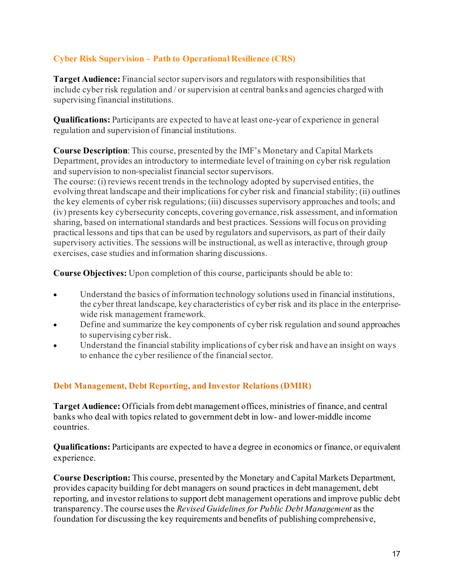# **Cyber Risk Supervision – Path to Operational Resilience (CRS)**

**Target Audience:** Financial sector supervisors and regulators with responsibilities that include cyber risk regulation and / or supervision at central banks and agencies charged with supervising financial institutions.

**Qualifications:** Participants are expected to have at least one-year of experience in general regulation and supervision of financial institutions.

**Course Description**: This course, presented by the IMF's Monetary and Capital Markets Department, provides an introductory to intermediate level of training on cyber risk regulation and supervision to non-specialist financial sector supervisors.

The course: (i) reviews recent trends in the technology adopted by supervised entities, the evolving threat landscape and their implications for cyber risk and financial stability; (ii) outlines the key elements of cyber risk regulations; (iii) discusses supervisory approaches and tools; and (iv) presents key cybersecurity concepts, covering governance, risk assessment, and information sharing, based on international standards and best practices. Sessions will focus on providing practical lessons and tips that can be used by regulators and supervisors, as part of their daily supervisory activities. The sessions will be instructional, as well as interactive, through group exercises, case studies and information sharing discussions.

**Course Objectives:** Upon completion of this course, participants should be able to:

- Understand the basics of information technology solutions used in financial institutions, the cyber threat landscape, key characteristics of cyber risk and its place in the enterprisewide risk management framework.
- Define and summarize the key components of cyber risk regulation and sound approaches to supervising cyber risk.
- Understand the financial stability implications of cyber risk and have an insight on ways to enhance the cyber resilience of the financial sector.

## **Debt Management, Debt Reporting, and Investor Relations (DMIR)**

**Target Audience:** Officials from debt management offices, ministries of finance, and central banks who deal with topics related to government debt in low- and lower-middle income countries.

**Qualifications:** Participants are expected to have a degree in economics or finance, or equivalent experience.

**Course Description:** This course, presented by the Monetary and Capital Markets Department, provides capacity building for debt managers on sound practices in debt management, debt reporting, and investor relations to support debt management operations and improve public debt transparency. The course uses the *Revised Guidelines for Public Debt Management* as the foundation for discussing the key requirements and benefits of publishing comprehensive,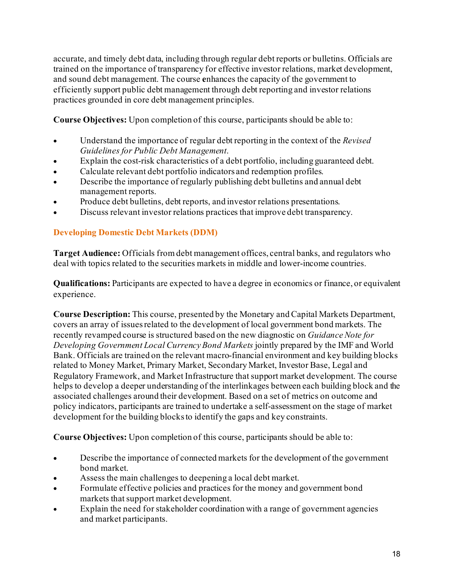accurate, and timely debt data, including through regular debt reports or bulletins. Officials are trained on the importance of transparency for effective investor relations, market development, and sound debt management. The course **e**nhances the capacity of the government to efficiently support public debt management through debt reporting and investor relations practices grounded in core debt management principles.

**Course Objectives:** Upon completion of this course, participants should be able to:

- Understand the importance of regular debt reporting in the context of the *Revised Guidelines for Public Debt Management*.
- Explain the cost-risk characteristics of a debt portfolio, including guaranteed debt.
- Calculate relevant debt portfolio indicators and redemption profiles.
- Describe the importance of regularly publishing debt bulletins and annual debt management reports.
- Produce debt bulletins, debt reports, and investor relations presentations.
- Discuss relevant investor relations practices that improve debt transparency.

# **Developing Domestic Debt Markets (DDM)**

**Target Audience:** Officials from debt management offices, central banks, and regulators who deal with topics related to the securities markets in middle and lower-income countries.

**Qualifications:** Participants are expected to have a degree in economics or finance, or equivalent experience.

**Course Description:** This course, presented by the Monetary and Capital Markets Department, covers an array of issues related to the development of local government bond markets. The recently revamped course is structured based on the new diagnostic on *Guidance Note for Developing Government Local Currency Bond Markets* jointly prepared by the IMF and World Bank. Officials are trained on the relevant macro-financial environment and key building blocks related to Money Market, Primary Market, Secondary Market, Investor Base, Legal and Regulatory Framework, and Market Infrastructure that support market development. The course helps to develop a deeper understanding of the interlinkages between each building block and the associated challenges around their development. Based on a set of metrics on outcome and policy indicators, participants are trained to undertake a self-assessment on the stage of market development for the building blocks to identify the gaps and key constraints.

- Describe the importance of connected markets for the development of the government bond market.
- Assess the main challenges to deepening a local debt market.
- Formulate effective policies and practices for the money and government bond markets that support market development.
- Explain the need for stakeholder coordination with a range of government agencies and market participants.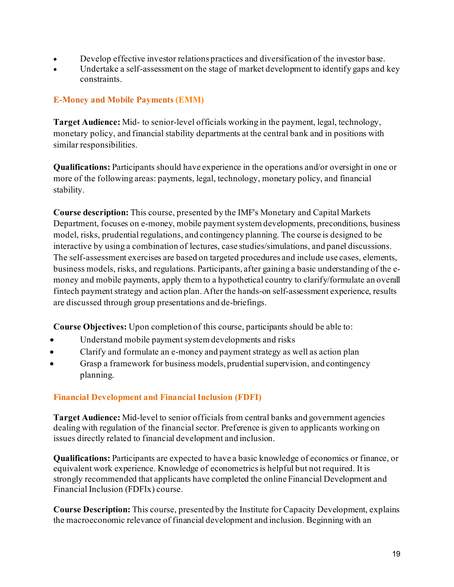- Develop effective investor relations practices and diversification of the investor base.
- Undertake a self-assessment on the stage of market development to identify gaps and key constraints.

# **E-Money and Mobile Payments (EMM)**

**Target Audience:** Mid- to senior-level officials working in the payment, legal, technology, monetary policy, and financial stability departments at the central bank and in positions with similar responsibilities.

**Qualifications:** Participants should have experience in the operations and/or oversight in one or more of the following areas: payments, legal, technology, monetary policy, and financial stability.

**Course description:** This course, presented by the IMF's Monetary and Capital Markets Department, focuses on e-money, mobile payment system developments, preconditions, business model, risks, prudential regulations, and contingency planning. The course is designed to be interactive by using a combination of lectures, case studies/simulations, and panel discussions. The self-assessment exercises are based on targeted procedures and include use cases, elements, business models, risks, and regulations. Participants, after gaining a basic understanding of the emoney and mobile payments, apply them to a hypothetical country to clarify/formulate an overall fintech payment strategy and action plan. After the hands-on self-assessment experience, results are discussed through group presentations and de-briefings.

**Course Objectives:** Upon completion of this course, participants should be able to:

- Understand mobile payment system developments and risks
- Clarify and formulate an e-money and payment strategy as well as action plan
- Grasp a framework for business models, prudential supervision, and contingency planning.

# **Financial Development and Financial Inclusion (FDFI)**

**Target Audience:** Mid-level to senior officials from central banks and government agencies dealing with regulation of the financial sector. Preference is given to applicants working on issues directly related to financial development and inclusion.

**Qualifications:** Participants are expected to have a basic knowledge of economics or finance, or equivalent work experience. Knowledge of econometrics is helpful but not required. It is strongly recommended that applicants have completed the online Financial Development and Financial Inclusion (FDFIx) course.

**Course Description:** This course, presented by the Institute for Capacity Development, explains the macroeconomic relevance of financial development and inclusion. Beginning with an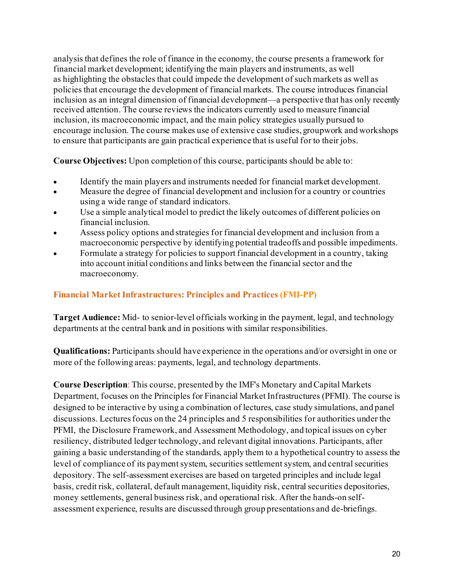analysis that defines the role of finance in the economy, the course presents a framework for financial market development; identifying the main players and instruments, as well as highlighting the obstacles that could impede the development of such markets as well as policies that encourage the development of financial markets. The course introduces financial inclusion as an integral dimension of financial development—a perspective that has only recently received attention. The course reviews the indicators currently used to measure financial inclusion, its macroeconomic impact, and the main policy strategies usually pursued to encourage inclusion. The course makes use of extensive case studies, groupwork and workshops to ensure that participants are gain practical experience that is useful for to their jobs.

**Course Objectives:** Upon completion of this course, participants should be able to:

- Identify the main players and instruments needed for financial market development.
- Measure the degree of financial development and inclusion for a country or countries using a wide range of standard indicators.
- Use a simple analytical model to predict the likely outcomes of different policies on financial inclusion.
- Assess policy options and strategies for financial development and inclusion from a macroeconomic perspective by identifying potential tradeoffs and possible impediments.
- Formulate a strategy for policies to support financial development in a country, taking into account initial conditions and links between the financial sector and the macroeconomy.

# **Financial Market Infrastructures: Principles and Practices (FMI-PP)**

**Target Audience:** Mid- to senior-level officials working in the payment, legal, and technology departments at the central bank and in positions with similar responsibilities.

**Qualifications:** Participants should have experience in the operations and/or oversight in one or more of the following areas: payments, legal, and technology departments.

**Course Description**: This course, presented by the IMF's Monetary and Capital Markets Department, focuses on the Principles for Financial Market Infrastructures (PFMI). The course is designed to be interactive by using a combination of lectures, case study simulations, and panel discussions. Lectures focus on the 24 principles and 5 responsibilities for authorities under the PFMI, the Disclosure Framework, and Assessment Methodology, and topical issues on cyber resiliency, distributed ledger technology, and relevant digital innovations. Participants, after gaining a basic understanding of the standards, apply them to a hypothetical country to assess the level of compliance of its payment system, securities settlement system, and central securities depository. The self-assessment exercises are based on targeted principles and include legal basis, credit risk, collateral, default management, liquidity risk, central securities depositories, money settlements, general business risk, and operational risk. After the hands-on selfassessment experience, results are discussed through group presentations and de-briefings.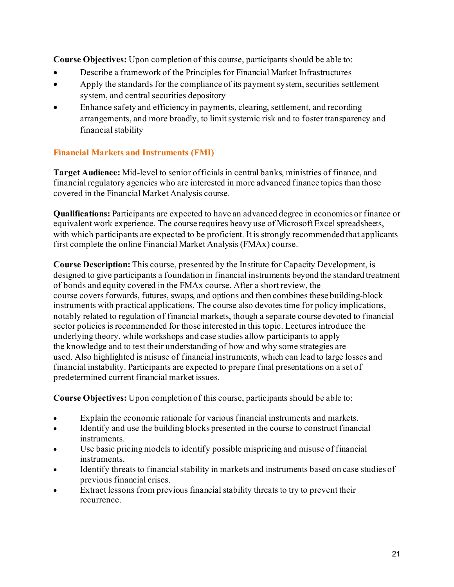**Course Objectives:** Upon completion of this course, participants should be able to:

- Describe a framework of the Principles for Financial Market Infrastructures
- Apply the standards for the compliance of its payment system, securities settlement system, and central securities depository
- Enhance safety and efficiency in payments, clearing, settlement, and recording arrangements, and more broadly, to limit systemic risk and to foster transparency and financial stability

# **Financial Markets and Instruments (FMI)**

**Target Audience:** Mid-level to senior officials in central banks, ministries of finance, and financial regulatory agencies who are interested in more advanced finance topics than those covered in the Financial Market Analysis course.

**Qualifications:** Participants are expected to have an advanced degree in economics or finance or equivalent work experience. The course requires heavy use of Microsoft Excel spreadsheets, with which participants are expected to be proficient. It is strongly recommended that applicants first complete the online Financial Market Analysis (FMAx) course.

**Course Description:** This course, presented by the Institute for Capacity Development, is designed to give participants a foundation in financial instruments beyond the standard treatment of bonds and equity covered in the FMAx course. After a short review, the course covers forwards, futures, swaps, and options and then combines these building-block instruments with practical applications. The course also devotes time for policy implications, notably related to regulation of financial markets, though a separate course devoted to financial sector policies is recommended for those interested in this topic. Lectures introduce the underlying theory, while workshops and case studies allow participants to apply the knowledge and to test their understanding of how and why some strategies are used. Also highlighted is misuse of financial instruments, which can lead to large losses and financial instability. Participants are expected to prepare final presentations on a set of predetermined current financial market issues.

- Explain the economic rationale for various financial instruments and markets.
- Identify and use the building blocks presented in the course to construct financial instruments.
- Use basic pricing models to identify possible mispricing and misuse of financial instruments.
- Identify threats to financial stability in markets and instruments based on case studies of previous financial crises.
- Extract lessons from previous financial stability threats to try to prevent their recurrence.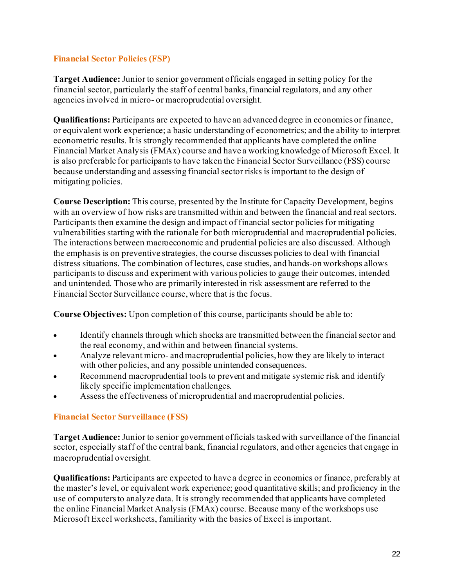## **Financial Sector Policies (FSP)**

**Target Audience:** Junior to senior government officials engaged in setting policy for the financial sector, particularly the staff of central banks, financial regulators, and any other agencies involved in micro- or macroprudential oversight.

**Qualifications:** Participants are expected to have an advanced degree in economics or finance, or equivalent work experience; a basic understanding of econometrics; and the ability to interpret econometric results. It is strongly recommended that applicants have completed the online Financial Market Analysis (FMAx) course and have a working knowledge of Microsoft Excel. It is also preferable for participants to have taken the Financial Sector Surveillance (FSS) course because understanding and assessing financial sector risks is important to the design of mitigating policies.

**Course Description:** This course, presented by the Institute for Capacity Development, begins with an overview of how risks are transmitted within and between the financial and real sectors. Participants then examine the design and impact of financial sector policies for mitigating vulnerabilities starting with the rationale for both microprudential and macroprudential policies. The interactions between macroeconomic and prudential policies are also discussed. Although the emphasis is on preventive strategies, the course discusses policies to deal with financial distress situations. The combination of lectures, case studies, and hands-on workshops allows participants to discuss and experiment with various policies to gauge their outcomes, intended and unintended. Those who are primarily interested in risk assessment are referred to the Financial Sector Surveillance course, where that is the focus.

**Course Objectives:** Upon completion of this course, participants should be able to:

- Identify channels through which shocks are transmitted between the financial sector and the real economy, and within and between financial systems.
- Analyze relevant micro- and macroprudential policies, how they are likely to interact with other policies, and any possible unintended consequences.
- Recommend macroprudential tools to prevent and mitigate systemic risk and identify likely specific implementation challenges.
- Assess the effectiveness of microprudential and macroprudential policies.

## **Financial Sector Surveillance (FSS)**

**Target Audience:** Junior to senior government officials tasked with surveillance of the financial sector, especially staff of the central bank, financial regulators, and other agencies that engage in macroprudential oversight.

**Qualifications:** Participants are expected to have a degree in economics or finance, preferably at the master's level, or equivalent work experience; good quantitative skills; and proficiency in the use of computers to analyze data. It is strongly recommended that applicants have completed the online Financial Market Analysis (FMAx) course. Because many of the workshops use Microsoft Excel worksheets, familiarity with the basics of Excel is important.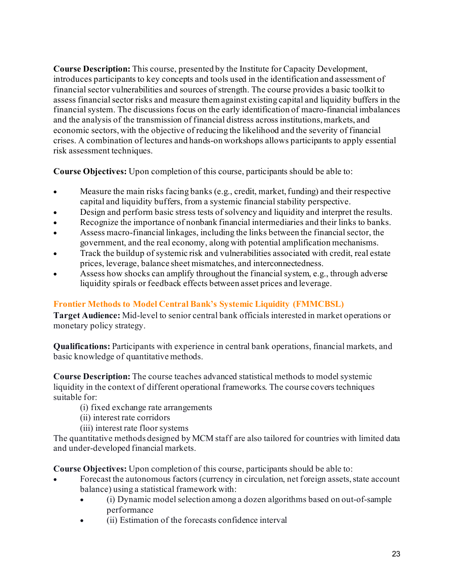**Course Description:** This course, presented by the Institute for Capacity Development, introduces participants to key concepts and tools used in the identification and assessment of financial sector vulnerabilities and sources of strength. The course provides a basic toolkit to assess financial sector risks and measure them against existing capital and liquidity buffers in the financial system. The discussions focus on the early identification of macro-financial imbalances and the analysis of the transmission of financial distress across institutions, markets, and economic sectors, with the objective of reducing the likelihood and the severity of financial crises. A combination of lectures and hands-on workshops allows participants to apply essential risk assessment techniques.

**Course Objectives:** Upon completion of this course, participants should be able to:

- Measure the main risks facing banks (e.g., credit, market, funding) and their respective capital and liquidity buffers, from a systemic financial stability perspective.
- Design and perform basic stress tests of solvency and liquidity and interpret the results.
- Recognize the importance of nonbank financial intermediaries and their links to banks.
- Assess macro-financial linkages, including the links between the financial sector, the government, and the real economy, along with potential amplification mechanisms.
- Track the buildup of systemic risk and vulnerabilities associated with credit, real estate prices, leverage, balance sheet mismatches, and interconnectedness.
- Assess how shocks can amplify throughout the financial system, e.g., through adverse liquidity spirals or feedback effects between asset prices and leverage.

# **Frontier Methods to Model Central Bank's Systemic Liquidity (FMMCBSL)**

**Target Audience:** Mid-level to senior central bank officials interested in market operations or monetary policy strategy.

**Qualifications:** Participants with experience in central bank operations, financial markets, and basic knowledge of quantitative methods.

**Course Description:** The course teaches advanced statistical methods to model systemic liquidity in the context of different operational frameworks. The course covers techniques suitable for:

- (i) fixed exchange rate arrangements
- (ii) interest rate corridors
- (iii) interest rate floor systems

The quantitative methods designed by MCM staff are also tailored for countries with limited data and under-developed financial markets.

- Forecast the autonomous factors (currency in circulation, net foreign assets, state account balance) using a statistical framework with:
	- (i) Dynamic model selection among a dozen algorithms based on out-of-sample performance
	- (ii) Estimation of the forecasts confidence interval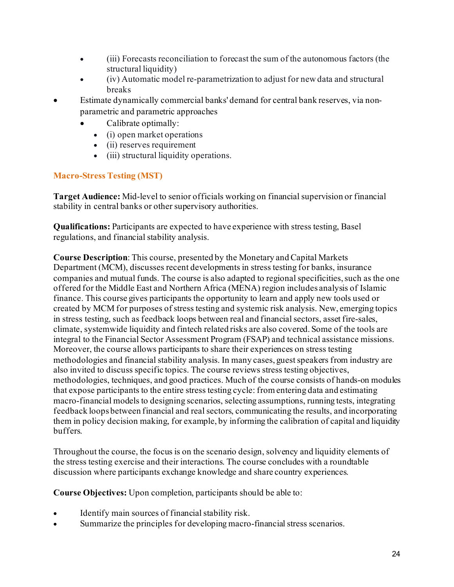- (iii) Forecasts reconciliation to forecast the sum of the autonomous factors (the structural liquidity)
- (iv) Automatic model re-parametrization to adjust for new data and structural breaks
- Estimate dynamically commercial banks' demand for central bank reserves, via nonparametric and parametric approaches
	- Calibrate optimally:
		- (i) open market operations
		- (ii) reserves requirement
		- (iii) structural liquidity operations.

# **Macro-Stress Testing (MST)**

**Target Audience:** Mid-level to senior officials working on financial supervision or financial stability in central banks or other supervisory authorities.

**Qualifications:** Participants are expected to have experience with stress testing, Basel regulations, and financial stability analysis.

**Course Description**: This course, presented by the Monetary and Capital Markets Department (MCM), discusses recent developments in stress testing for banks, insurance companies and mutual funds. The course is also adapted to regional specificities, such as the one offered for the Middle East and Northern Africa (MENA) region includes analysis of Islamic finance. This course gives participants the opportunity to learn and apply new tools used or created by MCM for purposes of stress testing and systemic risk analysis. New, emerging topics in stress testing, such as feedback loops between real and financial sectors, asset fire-sales, climate, systemwide liquidity and fintech related risks are also covered. Some of the tools are integral to the Financial Sector Assessment Program (FSAP) and technical assistance missions. Moreover, the course allows participants to share their experiences on stress testing methodologies and financial stability analysis. In many cases, guestspeakers from industry are also invited to discuss specific topics. The course reviews stress testing objectives, methodologies, techniques, and good practices. Much of the course consists of hands-on modules that expose participants to the entire stress testing cycle: from entering data and estimating macro-financial models to designing scenarios, selecting assumptions, running tests, integrating feedback loops between financial and real sectors, communicating the results, and incorporating them in policy decision making, for example, by informing the calibration of capital and liquidity buffers.

Throughout the course, the focus is on the scenario design, solvency and liquidity elements of the stress testing exercise and their interactions. The course concludes with a roundtable discussion where participants exchange knowledge and share country experiences.

**Course Objectives:** Upon completion, participants should be able to:

- Identify main sources of financial stability risk.
- Summarize the principles for developing macro-financial stress scenarios.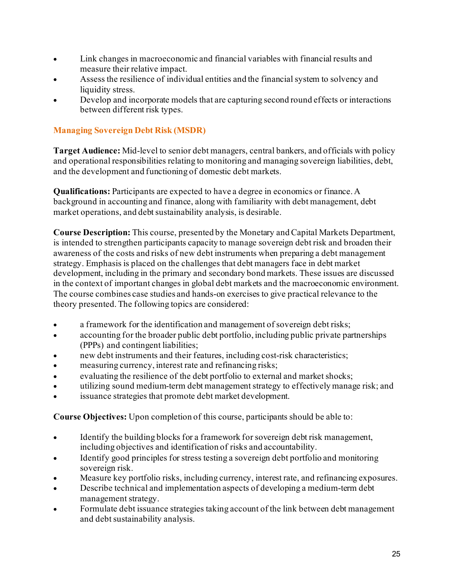- Link changes in macroeconomic and financial variables with financial results and measure their relative impact.
- Assess the resilience of individual entities and the financial system to solvency and liquidity stress.
- Develop and incorporate models that are capturing second round effects or interactions between different risk types.

# **Managing Sovereign Debt Risk (MSDR)**

**Target Audience:** Mid-level to senior debt managers, central bankers, and officials with policy and operational responsibilities relating to monitoring and managing sovereign liabilities, debt, and the development and functioning of domestic debt markets.

**Qualifications:** Participants are expected to have a degree in economics or finance. A background in accounting and finance, along with familiarity with debt management, debt market operations, and debt sustainability analysis, is desirable.

**Course Description:** This course, presented by the Monetary and Capital Markets Department, is intended to strengthen participants capacity to manage sovereign debt risk and broaden their awareness of the costs and risks of new debt instruments when preparing a debt management strategy. Emphasis is placed on the challenges that debt managers face in debt market development, including in the primary and secondary bond markets. These issues are discussed in the context of important changes in global debt markets and the macroeconomic environment. The course combines case studies and hands-on exercises to give practical relevance to the theory presented.The following topics are considered:

- a framework for the identification and management of sovereign debt risks;
- accounting for the broader public debt portfolio, including public private partnerships (PPPs) and contingent liabilities;
- new debt instruments and their features, including cost-risk characteristics;
- measuring currency, interest rate and refinancing risks;
- evaluating the resilience of the debt portfolio to external and market shocks;
- utilizing sound medium-term debt management strategy to effectively manage risk; and
- issuance strategies that promote debt market development.

- Identify the building blocks for a framework for sovereign debt risk management, including objectives and identification of risks and accountability.
- Identify good principles for stress testing a sovereign debt portfolio and monitoring sovereign risk.
- Measure key portfolio risks, including currency, interest rate, and refinancing exposures.
- Describe technical and implementation aspects of developing a medium-term debt management strategy.
- Formulate debt issuance strategies taking account of the link between debt management and debt sustainability analysis.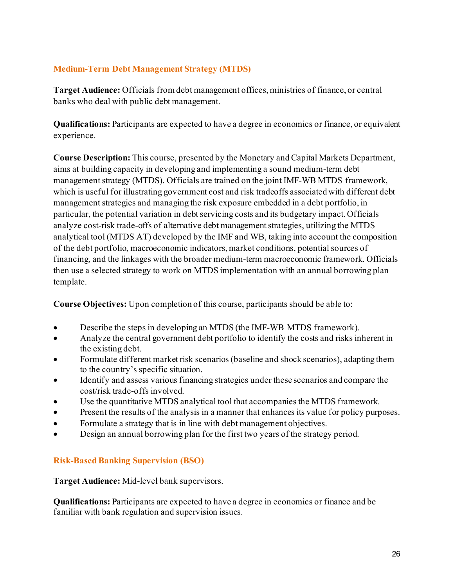# **Medium-Term Debt Management Strategy (MTDS)**

**Target Audience:** Officials from debt management offices, ministries of finance, or central banks who deal with public debt management.

**Qualifications:** Participants are expected to have a degree in economics or finance, or equivalent experience.

**Course Description:** This course, presented by the Monetary and Capital Markets Department, aims at building capacity in developing and implementing a sound medium-term debt management strategy (MTDS). Officials are trained on the joint IMF-WB MTDS framework, which is useful for illustrating government cost and risk tradeoffs associated with different debt management strategies and managing the risk exposure embedded in a debt portfolio, in particular, the potential variation in debt servicing costs and its budgetary impact. Officials analyze cost-risk trade-offs of alternative debt management strategies, utilizing the MTDS analytical tool (MTDS AT) developed by the IMF and WB, taking into account the composition of the debt portfolio, macroeconomic indicators, market conditions, potential sources of financing, and the linkages with the broader medium-term macroeconomic framework. Officials then use a selected strategy to work on MTDS implementation with an annual borrowing plan template.

**Course Objectives:** Upon completion of this course, participants should be able to:

- Describe the steps in developing an MTDS (the IMF-WB MTDS framework).
- Analyze the central government debt portfolio to identify the costs and risks inherent in the existing debt.
- Formulate different market risk scenarios (baseline and shock scenarios), adapting them to the country's specific situation.
- Identify and assess various financing strategies under these scenarios and compare the cost/risk trade-offs involved.
- Use the quantitative MTDS analytical tool that accompanies the MTDS framework.
- Present the results of the analysis in a manner that enhances its value for policy purposes.
- Formulate a strategy that is in line with debt management objectives.
- Design an annual borrowing plan for the first two years of the strategy period.

# **Risk-Based Banking Supervision (BSO)**

**Target Audience:** Mid-level bank supervisors.

**Qualifications:** Participants are expected to have a degree in economics or finance and be familiar with bank regulation and supervision issues.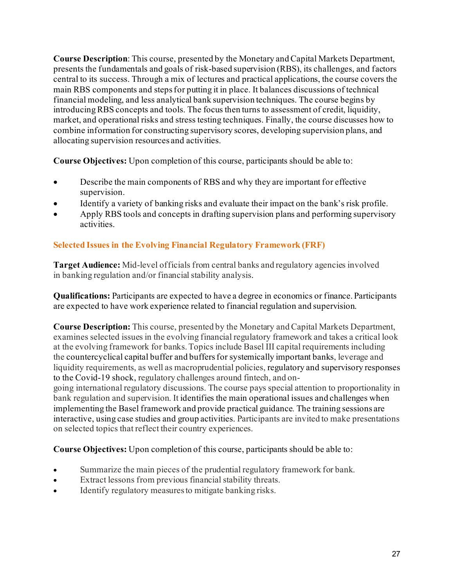**Course Description**: This course, presented by the Monetary and Capital Markets Department, presents the fundamentals and goals of risk-based supervision (RBS), its challenges, and factors central to its success. Through a mix of lectures and practical applications, the course covers the main RBS components and steps for putting it in place. It balances discussions of technical financial modeling, and less analytical bank supervision techniques. The course begins by introducing RBS concepts and tools. The focus then turns to assessment of credit, liquidity, market, and operational risks and stress testing techniques. Finally, the course discusses how to combine information for constructing supervisory scores, developing supervision plans, and allocating supervision resources and activities.

**Course Objectives:** Upon completion of this course, participants should be able to:

- Describe the main components of RBS and why they are important for effective supervision.
- Identify a variety of banking risks and evaluate their impact on the bank's risk profile.
- Apply RBS tools and concepts in drafting supervision plans and performing supervisory activities.

# **Selected Issues in the Evolving Financial Regulatory Framework (FRF)**

Target Audience: Mid-level officials from central banks and regulatory agencies involved in banking regulation and/or financial stability analysis.

**Qualifications:** Participants are expected to have a degree in economics or finance. Participants are expected to have work experience related to financial regulation and supervision.

**Course Description:** This course, presented by the Monetary and Capital Markets Department, examines selected issues in the evolving financial regulatory framework and takes a critical look at the evolving framework for banks. Topics include Basel III capital requirements including the countercyclical capital buffer and buffers for systemically important banks, leverage and liquidity requirements, as well as macroprudential policies, regulatory and supervisory responses to the Covid-19 shock, regulatory challenges around fintech, and ongoing international regulatory discussions. The course pays special attention to proportionality in bank regulation and supervision. It identifies the main operational issues and challenges when

implementing the Basel framework and provide practical guidance. The training sessions are interactive, using case studies and group activities. Participants are invited to make presentations on selected topics that reflect their country experiences.

- Summarize the main pieces of the prudential regulatory framework for bank.
- Extract lessons from previous financial stability threats.
- Identify regulatory measures to mitigate banking risks.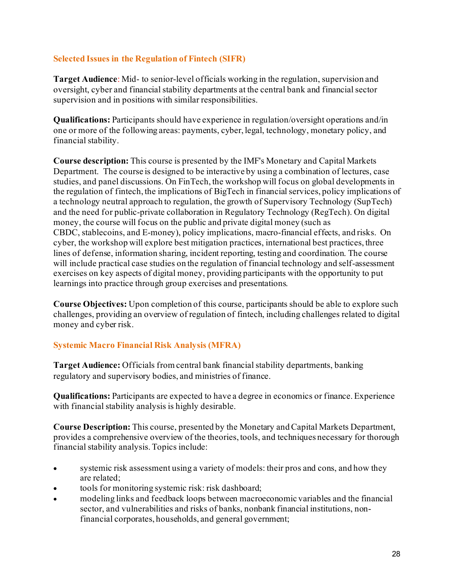## **Selected Issues in the Regulation of Fintech (SIFR)**

**Target Audience**: Mid- to senior-level officials working in the regulation, supervision and oversight, cyber and financial stability departments at the central bank and financial sector supervision and in positions with similar responsibilities.

**Qualifications:** Participants should have experience in regulation/oversight operations and/in one or more of the following areas: payments, cyber, legal, technology, monetary policy, and financial stability.

**Course description:** This course is presented by the IMF's Monetary and Capital Markets Department. The course is designed to be interactive by using a combination of lectures, case studies, and panel discussions. On FinTech, the workshop will focus on global developments in the regulation of fintech, the implications of BigTech in financial services, policy implications of a technology neutral approach to regulation, the growth of Supervisory Technology (SupTech) and the need for public-private collaboration in Regulatory Technology (RegTech). On digital money, the course will focus on the public and private digital money (such as CBDC, stablecoins, and E-money), policy implications, macro-financial effects, and risks. On cyber, the workshop will explore best mitigation practices, international best practices, three lines of defense, information sharing, incident reporting, testing and coordination. The course will include practical case studies on the regulation of financial technology and self-assessment exercises on key aspects of digital money, providing participants with the opportunity to put learnings into practice through group exercises and presentations.

**Course Objectives:** Upon completion of this course, participants should be able to explore such challenges, providing an overview of regulation of fintech, including challenges related to digital money and cyber risk.

# **Systemic Macro Financial Risk Analysis (MFRA)**

**Target Audience:** Officials from central bank financial stability departments, banking regulatory and supervisory bodies, and ministries of finance.

**Qualifications:** Participants are expected to have a degree in economics or finance. Experience with financial stability analysis is highly desirable.

**Course Description:** This course, presented by the Monetary and Capital Markets Department, provides a comprehensive overview of the theories, tools, and techniques necessary for thorough financial stability analysis. Topics include:

- systemic risk assessment using a variety of models: their pros and cons, and how they are related;
- tools for monitoring systemic risk: risk dashboard;
- modeling links and feedback loops between macroeconomic variables and the financial sector, and vulnerabilities and risks of banks, nonbank financial institutions, nonfinancial corporates, households, and general government;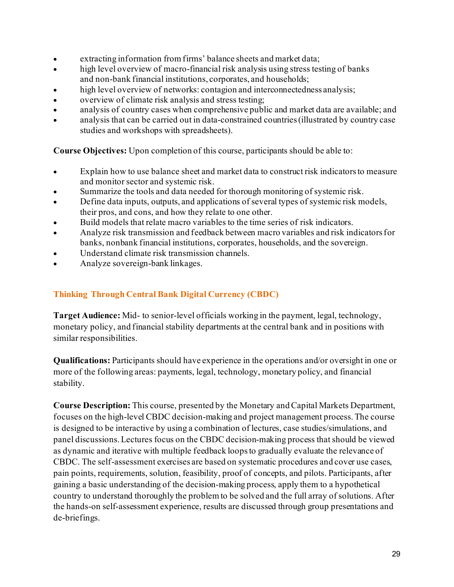- extracting information from firms' balance sheets and market data;
- high level overview of macro-financial risk analysis using stress testing of banks and non-bank financial institutions, corporates, and households;
- high level overview of networks: contagion and interconnectedness analysis;
- overview of climate risk analysis and stress testing;
- analysis of country cases when comprehensive public and market data are available; and
- analysis that can be carried out in data-constrained countries (illustrated by country case studies and workshops with spreadsheets).

**Course Objectives:** Upon completion of this course, participants should be able to:

- Explain how to use balance sheet and market data to construct risk indicators to measure and monitor sector and systemic risk.
- Summarize the tools and data needed for thorough monitoring of systemic risk.
- Define data inputs, outputs, and applications of several types of systemic risk models, their pros, and cons, and how they relate to one other.
- Build models that relate macro variables to the time series of risk indicators.
- Analyze risk transmission and feedback between macro variables and risk indicators for banks, nonbank financial institutions, corporates, households, and the sovereign.
- Understand climate risk transmission channels.
- Analyze sovereign-bank linkages.

# **Thinking Through Central Bank Digital Currency (CBDC)**

**Target Audience:** Mid- to senior-level officials working in the payment, legal, technology, monetary policy, and financial stability departments at the central bank and in positions with similar responsibilities.

**Qualifications:** Participants should have experience in the operations and/or oversight in one or more of the following areas: payments, legal, technology, monetary policy, and financial stability.

**Course Description:** This course, presented by the Monetary and Capital Markets Department, focuses on the high-level CBDC decision-making and project management process. The course is designed to be interactive by using a combination of lectures, case studies/simulations, and panel discussions. Lectures focus on the CBDC decision-making process that should be viewed as dynamic and iterative with multiple feedback loops to gradually evaluate the relevance of CBDC. The self-assessment exercises are based on systematic procedures and cover use cases, pain points, requirements, solution, feasibility, proof of concepts, and pilots. Participants, after gaining a basic understanding of the decision-making process, apply them to a hypothetical country to understand thoroughly the problem to be solved and the full array of solutions. After the hands-on self-assessment experience, results are discussed through group presentations and de-briefings.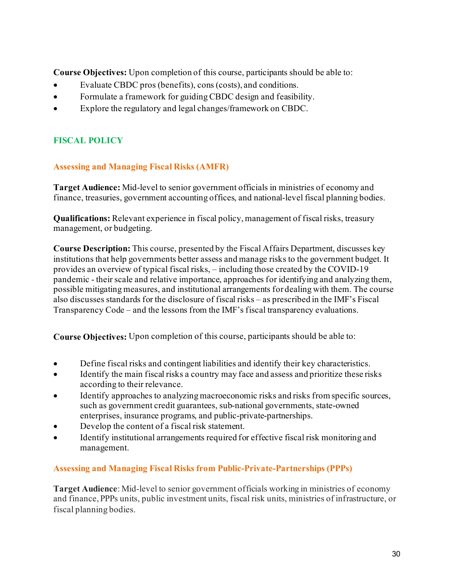**Course Objectives:** Upon completion of this course, participants should be able to:

- Evaluate CBDC pros (benefits), cons (costs), and conditions.
- Formulate a framework for guiding CBDC design and feasibility.
- Explore the regulatory and legal changes/framework on CBDC.

# **FISCAL POLICY**

# **Assessing and Managing Fiscal Risks (AMFR)**

**Target Audience:** Mid-level to senior government officials in ministries of economy and finance, treasuries, government accounting offices, and national-level fiscal planning bodies.

**Qualifications:** Relevant experience in fiscal policy, management of fiscal risks, treasury management, or budgeting.

**Course Description:** This course, presented by the Fiscal Affairs Department, discusses key institutions that help governments better assess and manage risks to the government budget. It provides an overview of typical fiscal risks, – including those created by the COVID-19 pandemic - their scale and relative importance, approaches for identifying and analyzing them, possible mitigating measures, and institutional arrangements for dealing with them. The course also discusses standards for the disclosure of fiscal risks – as prescribed in the IMF's Fiscal Transparency Code – and the lessons from the IMF's fiscal transparency evaluations.

**Course Objectives:** Upon completion of this course, participants should be able to:

- Define fiscal risks and contingent liabilities and identify their key characteristics.
- Identify the main fiscal risks a country may face and assess and prioritize these risks according to their relevance.
- Identify approaches to analyzing macroeconomic risks and risks from specific sources, such as government credit guarantees, sub-national governments, state-owned enterprises, insurance programs, and public-private-partnerships.
- Develop the content of a fiscal risk statement.
- Identify institutional arrangements required for effective fiscal risk monitoring and management.

# **Assessing and Managing Fiscal Risks from Public-Private-Partnerships (PPPs)**

**Target Audience**: Mid-level to senior government officials working in ministries of economy and finance, PPPs units, public investment units, fiscal risk units, ministries of infrastructure, or fiscal planning bodies.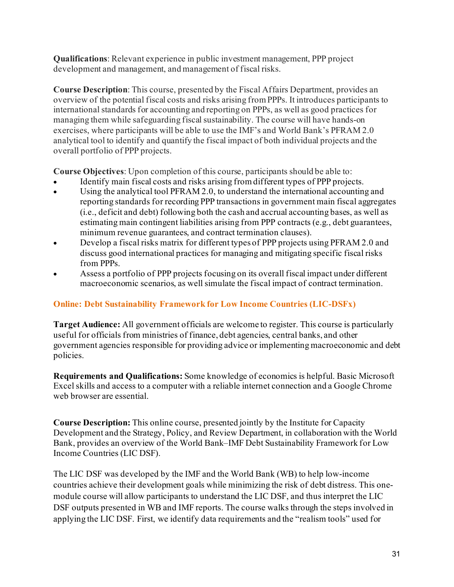**Qualifications**: Relevant experience in public investment management, PPP project development and management, and management of fiscal risks.

**Course Description**: This course, presented by the Fiscal Affairs Department, provides an overview of the potential fiscal costs and risks arising from PPPs. It introduces participants to international standards for accounting and reporting on PPPs, as well as good practices for managing them while safeguarding fiscal sustainability. The course will have hands-on exercises, where participants will be able to use the IMF's and World Bank's PFRAM 2.0 analytical tool to identify and quantify the fiscal impact of both individual projects and the overall portfolio of PPP projects.

**Course Objectives**: Upon completion of this course, participants should be able to:

- Identify main fiscal costs and risks arising from different types of PPP projects.
- Using the analytical tool PFRAM 2.0, to understand the international accounting and reporting standards for recording PPP transactions in government main fiscal aggregates (i.e., deficit and debt) following both the cash and accrual accounting bases, as well as estimating main contingent liabilities arising from PPP contracts (e.g., debt guarantees, minimum revenue guarantees, and contract termination clauses).
- Develop a fiscal risks matrix for different types of PPP projects using PFRAM 2.0 and discuss good international practices for managing and mitigating specific fiscal risks from PPPs.
- Assess a portfolio of PPP projects focusing on its overall fiscal impact under different macroeconomic scenarios, as well simulate the fiscal impact of contract termination.

# **Online: Debt Sustainability Framework for Low Income Countries (LIC-DSFx)**

**Target Audience:** All government officials are welcome to register. This course is particularly useful for officials from ministries of finance, debt agencies, central banks, and other government agencies responsible for providing advice or implementing macroeconomic and debt policies.

**Requirements and Qualifications:** Some knowledge of economics is helpful. Basic Microsoft Excel skills and access to a computer with a reliable internet connection and a Google Chrome web browser are essential.

**Course Description:** This online course, presented jointly by the Institute for Capacity Development and the Strategy, Policy, and Review Department, in collaboration with the World Bank, provides an overview of the World Bank–IMF Debt Sustainability Framework for Low Income Countries (LIC DSF).

The LIC DSF was developed by the IMF and the World Bank (WB) to help low-income countries achieve their development goals while minimizing the risk of debt distress. This onemodule course will allow participants to understand the LIC DSF, and thus interpret the LIC DSF outputs presented in WB and IMF reports. The course walks through the steps involved in applying the LIC DSF. First, we identify data requirements and the "realism tools" used for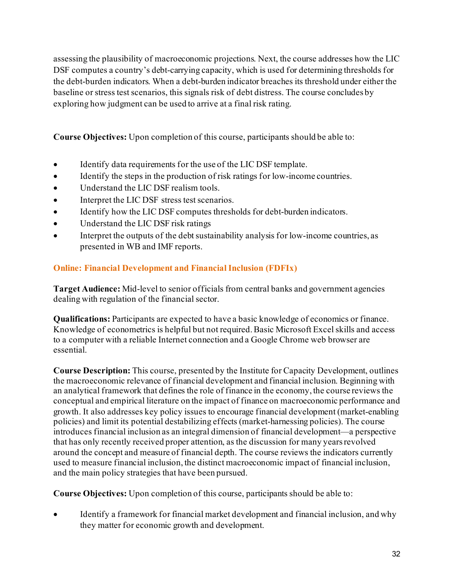assessing the plausibility of macroeconomic projections. Next, the course addresses how the LIC DSF computes a country's debt-carrying capacity, which is used for determining thresholds for the debt-burden indicators. When a debt-burden indicator breaches its threshold under either the baseline or stress test scenarios, this signals risk of debt distress. The course concludes by exploring how judgment can be used to arrive at a final risk rating.

**Course Objectives:** Upon completion of this course, participants should be able to:

- Identify data requirements for the use of the LIC DSF template.
- Identify the steps in the production of risk ratings for low-income countries.
- Understand the LIC DSF realism tools.
- Interpret the LIC DSF stress test scenarios.
- Identify how the LIC DSF computes thresholds for debt-burden indicators.
- Understand the LIC DSF risk ratings
- Interpret the outputs of the debt sustainability analysis for low-income countries, as presented in WB and IMF reports.

# **Online: Financial Development and Financial Inclusion (FDFIx)**

**Target Audience:** Mid-level to senior officials from central banks and government agencies dealing with regulation of the financial sector.

**Qualifications:** Participants are expected to have a basic knowledge of economics or finance. Knowledge of econometrics is helpful but not required. Basic Microsoft Excel skills and access to a computer with a reliable Internet connection and a Google Chrome web browser are essential.

**Course Description:** This course, presented by the Institute for Capacity Development, outlines the macroeconomic relevance of financial development and financial inclusion. Beginning with an analytical framework that defines the role of finance in the economy, the course reviews the conceptual and empirical literature on the impact of finance on macroeconomic performance and growth. It also addresses key policy issues to encourage financial development (market-enabling policies) and limit its potential destabilizing effects (market-harnessing policies). The course introduces financial inclusion as an integral dimension of financial development—a perspective that has only recently received proper attention, as the discussion for many years revolved around the concept and measure of financial depth. The course reviews the indicators currently used to measure financial inclusion, the distinct macroeconomic impact of financial inclusion, and the main policy strategies that have been pursued.

**Course Objectives:** Upon completion of this course, participants should be able to:

Identify a framework for financial market development and financial inclusion, and why they matter for economic growth and development.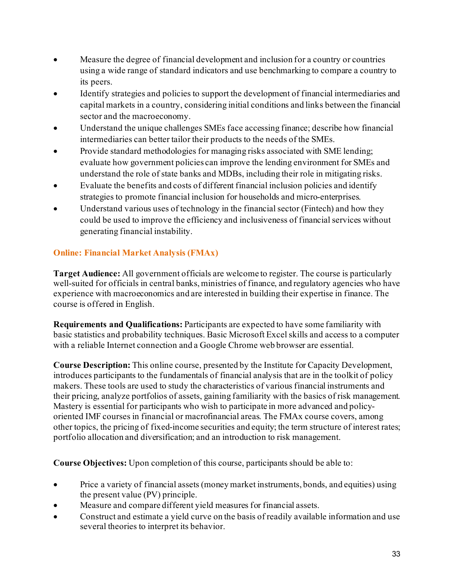- Measure the degree of financial development and inclusion for a country or countries using a wide range of standard indicators and use benchmarking to compare a country to its peers.
- Identify strategies and policies to support the development of financial intermediaries and capital markets in a country, considering initial conditions and links between the financial sector and the macroeconomy.
- Understand the unique challenges SMEs face accessing finance; describe how financial intermediaries can better tailor their products to the needs of the SMEs.
- Provide standard methodologies for managing risks associated with SME lending; evaluate how government policies can improve the lending environment for SMEs and understand the role of state banks and MDBs, including their role in mitigating risks.
- Evaluate the benefits and costs of different financial inclusion policies and identify strategies to promote financial inclusion for households and micro-enterprises.
- Understand various uses of technology in the financial sector (Fintech) and how they could be used to improve the efficiency and inclusiveness of financial services without generating financial instability.

# **Online: Financial Market Analysis (FMAx)**

**Target Audience:** All government officials are welcome to register. The course is particularly well-suited for officials in central banks, ministries of finance, and regulatory agencies who have experience with macroeconomics and are interested in building their expertise in finance. The course is offered in English.

**Requirements and Qualifications:** Participants are expected to have some familiarity with basic statistics and probability techniques. Basic Microsoft Excel skills and access to a computer with a reliable Internet connection and a Google Chrome web browser are essential.

**Course Description:** This online course, presented by the Institute for Capacity Development, introduces participants to the fundamentals of financial analysis that are in the toolkit of policy makers. These tools are used to study the characteristics of various financial instruments and their pricing, analyze portfolios of assets, gaining familiarity with the basics of risk management. Mastery is essential for participants who wish to participate in more advanced and policyoriented IMF courses in financial or macrofinancial areas. The FMAx course covers, among other topics, the pricing of fixed-income securities and equity; the term structure of interest rates; portfolio allocation and diversification; and an introduction to risk management.

- Price a variety of financial assets (money market instruments, bonds, and equities) using the present value (PV) principle.
- Measure and compare different yield measures for financial assets.
- Construct and estimate a yield curve on the basis of readily available information and use several theories to interpret its behavior.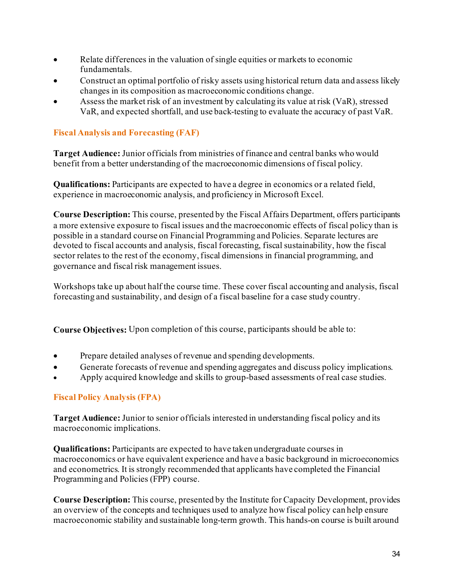- Relate differences in the valuation of single equities or markets to economic fundamentals.
- Construct an optimal portfolio of risky assets using historical return data and assess likely changes in its composition as macroeconomic conditions change.
- Assess the market risk of an investment by calculating its value at risk (VaR), stressed VaR, and expected shortfall, and use back-testing to evaluate the accuracy of past VaR.

# **Fiscal Analysis and Forecasting (FAF)**

**Target Audience:** Junior officials from ministries of finance and central banks who would benefit from a better understanding of the macroeconomic dimensions of fiscal policy.

**Qualifications:** Participants are expected to have a degree in economics or a related field, experience in macroeconomic analysis, and proficiency in Microsoft Excel.

**Course Description:** This course, presented by the Fiscal Affairs Department, offers participants a more extensive exposure to fiscal issues and the macroeconomic effects of fiscal policy than is possible in a standard course on Financial Programming and Policies. Separate lectures are devoted to fiscal accounts and analysis, fiscal forecasting, fiscal sustainability, how the fiscal sector relates to the rest of the economy, fiscal dimensions in financial programming, and governance and fiscal risk management issues.

Workshops take up about half the course time. These cover fiscal accounting and analysis, fiscal forecasting and sustainability, and design of a fiscal baseline for a case study country.

**Course Objectives:** Upon completion of this course, participants should be able to:

- Prepare detailed analyses of revenue and spending developments.
- Generate forecasts of revenue and spending aggregates and discuss policy implications.
- Apply acquired knowledge and skills to group-based assessments of real case studies.

# **Fiscal Policy Analysis (FPA)**

**Target Audience:** Junior to senior officials interested in understanding fiscal policy and its macroeconomic implications.

**Qualifications:** Participants are expected to have taken undergraduate courses in macroeconomics or have equivalent experience and have a basic background in microeconomics and econometrics. It is strongly recommended that applicants have completed the Financial Programming and Policies (FPP) course.

**Course Description:** This course, presented by the Institute for Capacity Development, provides an overview of the concepts and techniques used to analyze how fiscal policy can help ensure macroeconomic stability and sustainable long-term growth. This hands-on course is built around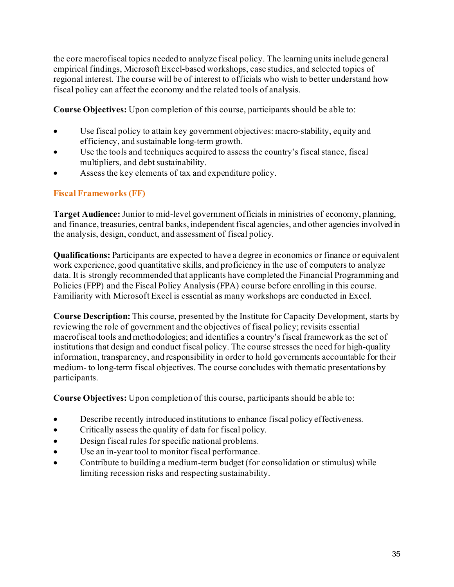the core macrofiscal topics needed to analyze fiscal policy. The learning units include general empirical findings, Microsoft Excel-based workshops, case studies, and selected topics of regional interest. The course will be of interest to officials who wish to better understand how fiscal policy can affect the economy and the related tools of analysis.

**Course Objectives:** Upon completion of this course, participants should be able to:

- Use fiscal policy to attain key government objectives: macro-stability, equity and efficiency, and sustainable long-term growth.
- Use the tools and techniques acquired to assess the country's fiscal stance, fiscal multipliers, and debt sustainability.
- Assess the key elements of tax and expenditure policy.

# **Fiscal Frameworks (FF)**

**Target Audience:** Junior to mid-level government officials in ministries of economy, planning, and finance, treasuries, central banks, independent fiscal agencies, and other agencies involved in the analysis, design, conduct, and assessment of fiscal policy.

**Qualifications:** Participants are expected to have a degree in economics or finance or equivalent work experience, good quantitative skills, and proficiency in the use of computers to analyze data. It is strongly recommended that applicants have completed the Financial Programming and Policies (FPP) and the Fiscal Policy Analysis (FPA) course before enrolling in this course. Familiarity with Microsoft Excel is essential as many workshops are conducted in Excel.

**Course Description:** This course, presented by the Institute for Capacity Development, starts by reviewing the role of government and the objectives of fiscal policy; revisits essential macrofiscal tools and methodologies; and identifies a country's fiscal framework as the set of institutions that design and conduct fiscal policy. The course stresses the need for high-quality information, transparency, and responsibility in order to hold governments accountable for their medium- to long-term fiscal objectives. The course concludes with thematic presentations by participants.

- Describe recently introduced institutions to enhance fiscal policy effectiveness.
- Critically assess the quality of data for fiscal policy.
- Design fiscal rules for specific national problems.
- Use an in-year tool to monitor fiscal performance.
- Contribute to building a medium-term budget (for consolidation or stimulus) while limiting recession risks and respecting sustainability.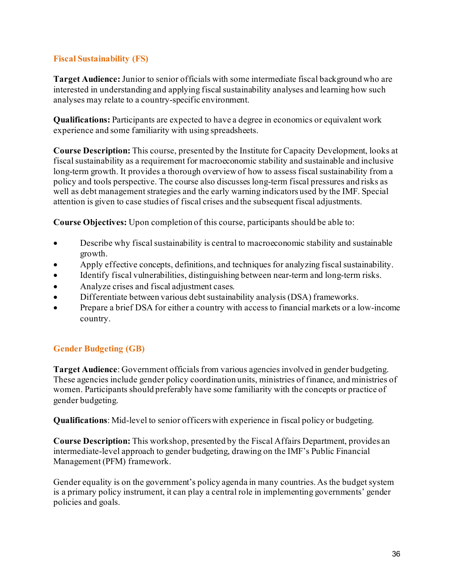# **Fiscal Sustainability (FS)**

**Target Audience:** Junior to senior officials with some intermediate fiscal background who are interested in understanding and applying fiscal sustainability analyses and learning how such analyses may relate to a country-specific environment.

**Qualifications:** Participants are expected to have a degree in economics or equivalent work experience and some familiarity with using spreadsheets.

**Course Description:** This course, presented by the Institute for Capacity Development, looks at fiscal sustainability as a requirement for macroeconomic stability and sustainable and inclusive long-term growth. It provides a thorough overview of how to assess fiscal sustainability from a policy and tools perspective. The course also discusses long-term fiscal pressures and risks as well as debt management strategies and the early warning indicators used by the IMF. Special attention is given to case studies of fiscal crises and the subsequent fiscal adjustments.

**Course Objectives:** Upon completion of this course, participants should be able to:

- Describe why fiscal sustainability is central to macroeconomic stability and sustainable growth.
- Apply effective concepts, definitions, and techniques for analyzing fiscal sustainability.
- Identify fiscal vulnerabilities, distinguishing between near-term and long-term risks.
- Analyze crises and fiscal adjustment cases.
- Differentiate between various debt sustainability analysis (DSA) frameworks.
- Prepare a brief DSA for either a country with access to financial markets or a low-income country.

# **Gender Budgeting (GB)**

**Target Audience**: Government officials from various agencies involved in gender budgeting. These agencies include gender policy coordination units, ministries of finance, and ministries of women. Participants should preferably have some familiarity with the concepts or practice of gender budgeting.

**Qualifications**: Mid-level to senior officers with experience in fiscal policy or budgeting.

**Course Description:** This workshop, presented by the Fiscal Affairs Department, provides an intermediate-level approach to gender budgeting, drawing on the IMF's Public Financial Management (PFM) framework.

Gender equality is on the government's policy agenda in many countries. As the budget system is a primary policy instrument, it can play a central role in implementing governments' gender policies and goals.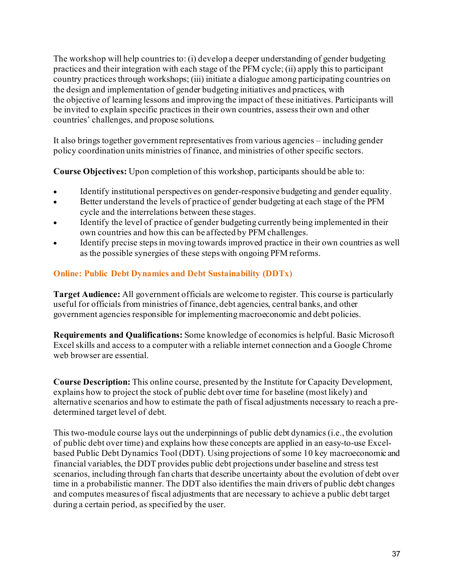The workshop will help countries to: (i) develop a deeper understanding of gender budgeting practices and their integration with each stage of the PFM cycle; (ii) apply this to participant country practices through workshops; (iii) initiate a dialogue among participating countries on the design and implementation of gender budgeting initiatives and practices, with the objective of learning lessons and improving the impact of these initiatives. Participants will be invited to explain specific practices in their own countries, assess their own and other countries' challenges, and propose solutions.

It also brings together government representatives from various agencies – including gender policy coordination units ministries of finance, and ministries of other specific sectors.

**Course Objectives:** Upon completion of this workshop, participants should be able to:

- Identify institutional perspectives on gender-responsive budgeting and gender equality.
- Better understand the levels of practice of gender budgeting at each stage of the PFM cycle and the interrelations between these stages.
- Identify the level of practice of gender budgeting currently being implemented in their own countries and how this can be affected by PFM challenges.
- Identify precise steps in moving towards improved practice in their own countries as well as the possible synergies of these steps with ongoing PFM reforms.

# **Online: Public Debt Dynamics and Debt Sustainability (DDTx)**

**Target Audience:** All government officials are welcome to register. This course is particularly useful for officials from ministries of finance, debt agencies, central banks, and other government agencies responsible for implementing macroeconomic and debt policies.

**Requirements and Qualifications:** Some knowledge of economics is helpful. Basic Microsoft Excel skills and access to a computer with a reliable internet connection and a Google Chrome web browser are essential.

**Course Description:** This online course, presented by the Institute for Capacity Development, explains how to project the stock of public debt over time for baseline (most likely) and alternative scenarios and how to estimate the path of fiscal adjustments necessary to reach a predetermined target level of debt.

This two-module course lays out the underpinnings of public debt dynamics (i.e., the evolution of public debt over time) and explains how these concepts are applied in an easy-to-use Excelbased Public Debt Dynamics Tool (DDT). Using projections of some 10 key macroeconomic and financial variables, the DDT provides public debt projections under baseline and stress test scenarios, including through fan charts that describe uncertainty about the evolution of debt over time in a probabilistic manner. The DDT also identifies the main drivers of public debt changes and computes measures of fiscal adjustments that are necessary to achieve a public debt target during a certain period, as specified by the user.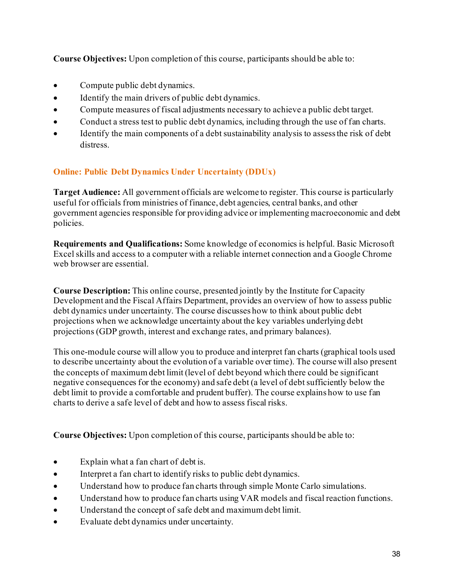**Course Objectives:** Upon completion of this course, participants should be able to:

- Compute public debt dynamics.
- Identify the main drivers of public debt dynamics.
- Compute measures of fiscal adjustments necessary to achieve a public debt target.
- Conduct a stress test to public debt dynamics, including through the use of fan charts.
- Identify the main components of a debt sustainability analysis to assess the risk of debt distress.

# **Online: Public Debt Dynamics Under Uncertainty (DDUx)**

**Target Audience:** All government officials are welcome to register. This course is particularly useful for officials from ministries of finance, debt agencies, central banks, and other government agencies responsible for providing advice or implementing macroeconomic and debt policies.

**Requirements and Qualifications:** Some knowledge of economics is helpful. Basic Microsoft Excel skills and access to a computer with a reliable internet connection and a Google Chrome web browser are essential.

**Course Description:** This online course, presented jointly by the Institute for Capacity Development and the Fiscal Affairs Department, provides an overview of how to assess public debt dynamics under uncertainty. The course discusses how to think about public debt projections when we acknowledge uncertainty about the key variables underlying debt projections (GDP growth, interest and exchange rates, and primary balances).

This one-module course will allow you to produce and interpret fan charts (graphical tools used to describe uncertainty about the evolution of a variable over time). The course will also present the concepts of maximum debt limit (level of debt beyond which there could be significant negative consequences for the economy) and safe debt (a level of debt sufficiently below the debt limit to provide a comfortable and prudent buffer). The course explains how to use fan charts to derive a safe level of debt and how to assess fiscal risks.

**Course Objectives:** Upon completion of this course, participants should be able to:

- Explain what a fan chart of debt is.
- Interpret a fan chart to identify risks to public debt dynamics.
- Understand how to produce fan charts through simple Monte Carlo simulations.
- Understand how to produce fan charts using VAR models and fiscal reaction functions.
- Understand the concept of safe debt and maximum debt limit.
- Evaluate debt dynamics under uncertainty.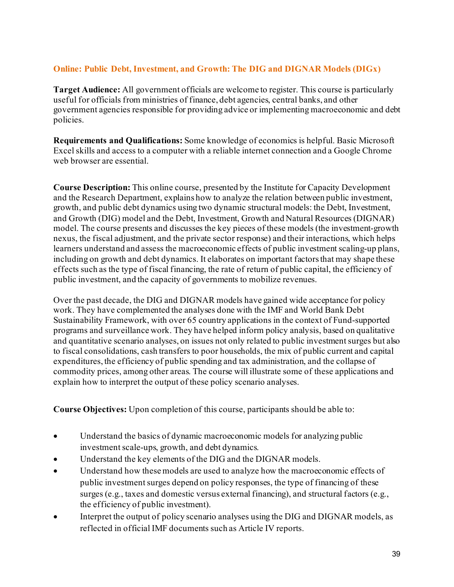# **Online: Public Debt, Investment, and Growth: The DIG and DIGNAR Models (DIGx)**

**Target Audience:** All government officials are welcome to register. This course is particularly useful for officials from ministries of finance, debt agencies, central banks, and other government agencies responsible for providing advice or implementing macroeconomic and debt policies.

**Requirements and Qualifications:** Some knowledge of economics is helpful. Basic Microsoft Excel skills and access to a computer with a reliable internet connection and a Google Chrome web browser are essential.

**Course Description:** This online course, presented by the Institute for Capacity Development and the Research Department, explains how to analyze the relation between public investment, growth, and public debt dynamics using two dynamic structural models: the Debt, Investment, and Growth (DIG) model and the Debt, Investment, Growth and Natural Resources (DIGNAR) model. The course presents and discusses the key pieces of these models (the investment-growth nexus, the fiscal adjustment, and the private sector response) and their interactions, which helps learners understand and assess the macroeconomic effects of public investment scaling-up plans, including on growth and debt dynamics. It elaborates on important factors that may shape these effects such as the type of fiscal financing, the rate of return of public capital, the efficiency of public investment, and the capacity of governments to mobilize revenues.

Over the past decade, the DIG and DIGNAR models have gained wide acceptance for policy work. They have complemented the analyses done with the IMF and World Bank Debt Sustainability Framework, with over 65 country applications in the context of Fund-supported programs and surveillance work. They have helped inform policy analysis, based on qualitative and quantitative scenario analyses, on issues not only related to public investment surges but also to fiscal consolidations, cash transfers to poor households, the mix of public current and capital expenditures, the efficiency of public spending and tax administration, and the collapse of commodity prices, among other areas. The course will illustrate some of these applications and explain how to interpret the output of these policy scenario analyses.

**Course Objectives:** Upon completion of this course, participants should be able to:

- Understand the basics of dynamic macroeconomic models for analyzing public investment scale-ups, growth, and debt dynamics.
- Understand the key elements of the DIG and the DIGNAR models.
- Understand how these models are used to analyze how the macroeconomic effects of public investment surges depend on policy responses, the type of financing of these surges (e.g., taxes and domestic versus external financing), and structural factors (e.g., the efficiency of public investment).
- Interpret the output of policy scenario analyses using the DIG and DIGNAR models, as reflected in official IMF documents such as Article IV reports.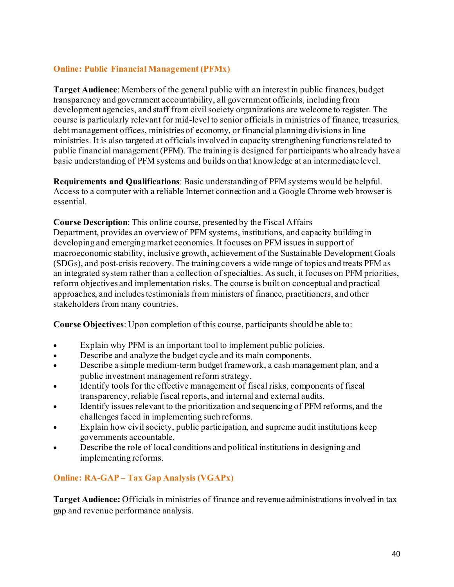# **Online: Public Financial Management (PFMx)**

**Target Audience**: Members of the general public with an interest in public finances, budget transparency and government accountability, all government officials, including from development agencies, and staff from civil society organizations are welcome to register. The course is particularly relevant for mid-level to senior officials in ministries of finance, treasuries, debt management offices, ministries of economy, or financial planning divisions in line ministries. It is also targeted at officials involved in capacity strengthening functions related to public financial management (PFM). The training is designed for participants who already have a basic understanding of PFM systems and builds on that knowledge at an intermediate level.

**Requirements and Qualifications**: Basic understanding of PFM systems would be helpful. Access to a computer with a reliable Internet connection and a Google Chrome web browser is essential.

**Course Description**: This online course, presented by the Fiscal Affairs Department, provides an overview of PFM systems, institutions, and capacity building in developing and emerging market economies. It focuses on PFM issues in support of macroeconomic stability, inclusive growth, achievement of the Sustainable Development Goals (SDGs), and post-crisis recovery. The training covers a wide range of topics and treats PFM as an integrated system rather than a collection of specialties. As such, it focuses on PFM priorities, reform objectives and implementation risks. The course is built on conceptual and practical approaches, and includes testimonials from ministers of finance, practitioners, and other stakeholders from many countries.

**Course Objectives**: Upon completion of this course, participants should be able to:

- Explain why PFM is an important tool to implement public policies.
- Describe and analyze the budget cycle and its main components.
- Describe a simple medium-term budget framework, a cash management plan, and a public investment management reform strategy.
- Identify tools for the effective management of fiscal risks, components of fiscal transparency, reliable fiscal reports, and internal and external audits.
- Identify issues relevant to the prioritization and sequencing of PFM reforms, and the challenges faced in implementing such reforms.
- Explain how civil society, public participation, and supreme audit institutions keep governments accountable.
- Describe the role of local conditions and political institutions in designing and implementing reforms.

# **Online: RA-GAP – Tax Gap Analysis (VGAPx)**

**Target Audience:** Officials in ministries of finance and revenue administrations involved in tax gap and revenue performance analysis.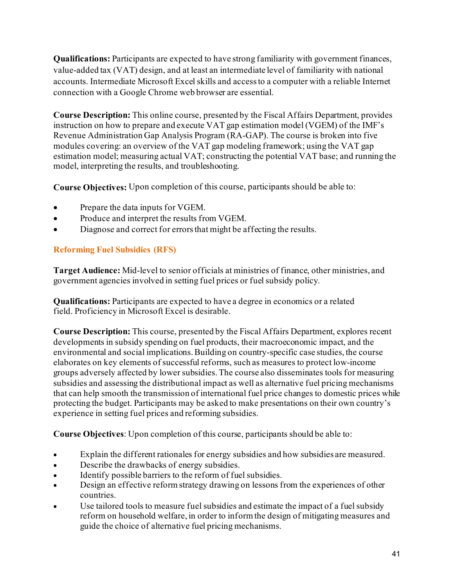**Qualifications:** Participants are expected to have strong familiarity with government finances, value-added tax (VAT) design, and at least an intermediate level of familiarity with national accounts. Intermediate Microsoft Excel skills and access to a computer with a reliable Internet connection with a Google Chrome web browser are essential.

**Course Description:** This online course, presented by the Fiscal Affairs Department, provides instruction on how to prepare and execute VAT gap estimation model (VGEM) of the IMF's Revenue Administration Gap Analysis Program (RA-GAP). The course is broken into five modules covering: an overview of the VAT gap modeling framework; using the VAT gap estimation model; measuring actual VAT; constructing the potential VAT base; and running the model, interpreting the results, and troubleshooting.

**Course Objectives:** Upon completion of this course, participants should be able to:

- Prepare the data inputs for VGEM.
- Produce and interpret the results from VGEM.
- Diagnose and correct for errors that might be affecting the results.

# **Reforming Fuel Subsidies (RFS)**

**Target Audience:** Mid-level to senior officials at ministries of finance, other ministries, and government agencies involved in setting fuel prices or fuel subsidy policy.

**Qualifications:** Participants are expected to have a degree in economics or a related field. Proficiency in Microsoft Excel is desirable.

**Course Description:** This course, presented by the Fiscal Affairs Department, explores recent developments in subsidy spending on fuel products, their macroeconomic impact, and the environmental and social implications. Building on country-specific case studies, the course elaborates on key elements of successful reforms, such as measures to protect low-income groups adversely affected by lower subsidies. The course also disseminates tools for measuring subsidies and assessing the distributional impact as well as alternative fuel pricing mechanisms that can help smooth the transmission of international fuel price changes to domestic prices while protecting the budget. Participants may be asked to make presentations on their own country's experience in setting fuel prices and reforming subsidies.

**Course Objectives**: Upon completion of this course, participants should be able to:

- Explain the different rationales for energy subsidies and how subsidies are measured.
- Describe the drawbacks of energy subsidies.
- Identify possible barriers to the reform of fuel subsidies.
- Design an effective reform strategy drawing on lessons from the experiences of other countries.
- Use tailored tools to measure fuel subsidies and estimate the impact of a fuel subsidy reform on household welfare, in order to inform the design of mitigating measures and guide the choice of alternative fuel pricing mechanisms.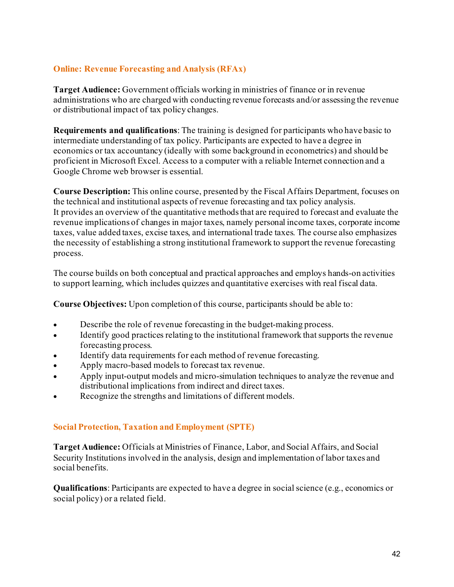# **Online: Revenue Forecasting and Analysis (RFAx)**

**Target Audience:** Government officials working in ministries of finance or in revenue administrations who are charged with conducting revenue forecasts and/or assessing the revenue or distributional impact of tax policy changes.

**Requirements and qualifications**: The training is designed for participants who have basic to intermediate understanding of tax policy. Participants are expected to have a degree in economics or tax accountancy (ideally with some background in econometrics) and should be proficient in Microsoft Excel. Access to a computer with a reliable Internet connection and a Google Chrome web browser is essential.

**Course Description:** This online course, presented by the Fiscal Affairs Department, focuses on the technical and institutional aspects of revenue forecasting and tax policy analysis. It provides an overview of the quantitative methods that are required to forecast and evaluate the revenue implications of changes in major taxes, namely personal income taxes, corporate income taxes, value added taxes, excise taxes, and international trade taxes. The course also emphasizes the necessity of establishing a strong institutional framework to support the revenue forecasting process.

The course builds on both conceptual and practical approaches and employs hands-on activities to support learning, which includes quizzes and quantitative exercises with real fiscal data.

**Course Objectives:** Upon completion of this course, participants should be able to:

- Describe the role of revenue forecasting in the budget-making process.
- Identify good practices relating to the institutional framework that supports the revenue forecasting process.
- Identify data requirements for each method of revenue forecasting.
- Apply macro-based models to forecast tax revenue.
- Apply input-output models and micro-simulation techniques to analyze the revenue and distributional implications from indirect and direct taxes.
- Recognize the strengths and limitations of different models.

# **Social Protection, Taxation and Employment (SPTE)**

**Target Audience:** Officials at Ministries of Finance, Labor, and Social Affairs, and Social Security Institutions involved in the analysis, design and implementation of labor taxes and social benefits.

**Qualifications**: Participants are expected to have a degree in social science (e.g., economics or social policy) or a related field.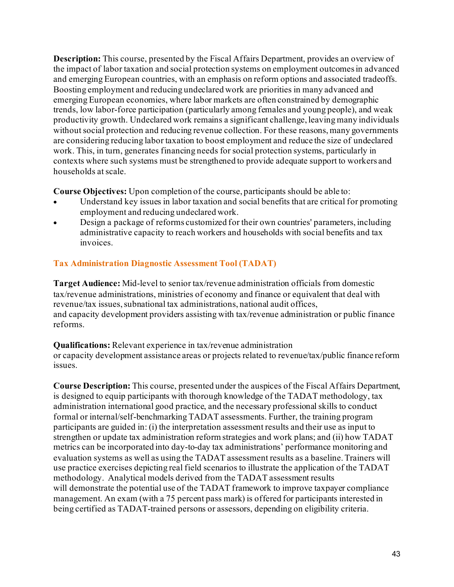**Description:** This course, presented by the Fiscal Affairs Department, provides an overview of the impact of labor taxation and social protection systems on employment outcomes in advanced and emerging European countries, with an emphasis on reform options and associated tradeoffs. Boosting employment and reducing undeclared work are priorities in many advanced and emerging European economies, where labor markets are often constrained by demographic trends, low labor-force participation (particularly among females and young people), and weak productivity growth. Undeclared work remains a significant challenge, leaving many individuals without social protection and reducing revenue collection. For these reasons, many governments are considering reducing labor taxation to boost employment and reduce the size of undeclared work. This, in turn, generates financing needs for social protection systems, particularly in contexts where such systems must be strengthened to provide adequate support to workers and households at scale.

**Course Objectives:** Upon completion of the course, participants should be able to:

- Understand key issues in labor taxation and social benefits that are critical for promoting employment and reducing undeclared work.
- Design a package of reforms customized for their own countries' parameters, including administrative capacity to reach workers and households with social benefits and tax invoices.

# **Tax Administration Diagnostic Assessment Tool (TADAT)**

**Target Audience:** Mid-level to senior tax/revenue administration officials from domestic tax/revenue administrations, ministries of economy and finance or equivalent that deal with revenue/tax issues, subnational tax administrations, national audit offices, and capacity development providers assisting with tax/revenue administration or public finance reforms.

# **Qualifications:** Relevant experience in tax/revenue administration

or capacity development assistance areas or projects related to revenue/tax/public finance reform issues.

**Course Description:** This course, presented under the auspices of the Fiscal Affairs Department, is designed to equip participants with thorough knowledge of the TADAT methodology, tax administration international good practice, and the necessary professional skills to conduct formal or internal/self-benchmarking TADAT assessments. Further, the training program participants are guided in: (i) the interpretation assessment results and their use as input to strengthen or update tax administration reform strategies and work plans; and (ii) how TADAT metrics can be incorporated into day-to-day tax administrations' performance monitoring and evaluation systems as well as using the TADAT assessment results as a baseline. Trainers will use practice exercises depicting real field scenarios to illustrate the application of the TADAT methodology. Analytical models derived from the TADAT assessment results will demonstrate the potential use of the TADAT framework to improve taxpayer compliance management. An exam (with a 75 percent pass mark) is offered for participants interested in being certified as TADAT-trained persons or assessors, depending on eligibility criteria.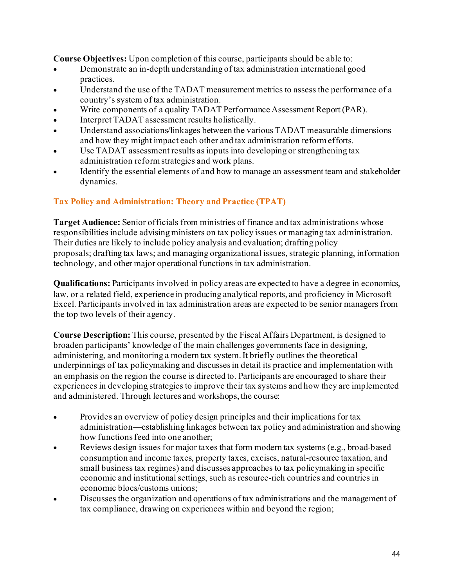**Course Objectives:** Upon completion of this course, participants should be able to:

- Demonstrate an in-depth understanding of tax administration international good practices.
- Understand the use of the TADAT measurement metrics to assess the performance of a country's system of tax administration.
- Write components of a quality TADAT Performance Assessment Report (PAR).
- Interpret TADAT assessment results holistically.
- Understand associations/linkages between the various TADAT measurable dimensions and how they might impact each other and tax administration reform efforts.
- Use TADAT assessment results as inputs into developing or strengthening tax administration reform strategies and work plans.
- Identify the essential elements of and how to manage an assessment team and stakeholder dynamics.

# **Tax Policy and Administration: Theory and Practice (TPAT)**

**Target Audience:** Senior officials from ministries of finance and tax administrations whose responsibilities include advising ministers on tax policy issues or managing tax administration. Their duties are likely to include policy analysis and evaluation; drafting policy proposals; drafting tax laws; and managing organizational issues, strategic planning, information technology, and other major operational functions in tax administration.

**Qualifications:** Participants involved in policy areas are expected to have a degree in economics, law, or a related field, experience in producing analytical reports, and proficiency in Microsoft Excel. Participants involved in tax administration areas are expected to be senior managers from the top two levels of their agency.

**Course Description:** This course, presented by the Fiscal Affairs Department, is designed to broaden participants' knowledge of the main challenges governments face in designing, administering, and monitoring a modern tax system. It briefly outlines the theoretical underpinnings of tax policymaking and discusses in detail its practice and implementation with an emphasis on the region the course is directed to. Participants are encouraged to share their experiences in developing strategies to improve their tax systems and how they are implemented and administered. Through lectures and workshops, the course:

- Provides an overview of policy design principles and their implications for tax administration—establishing linkages between tax policy and administration and showing how functions feed into one another;
- Reviews design issues for major taxes that form modern tax systems (e.g., broad-based consumption and income taxes, property taxes, excises, natural-resource taxation, and small business tax regimes) and discusses approaches to tax policymaking in specific economic and institutional settings, such as resource-rich countries and countries in economic blocs/customs unions;
- Discusses the organization and operations of tax administrations and the management of tax compliance, drawing on experiences within and beyond the region;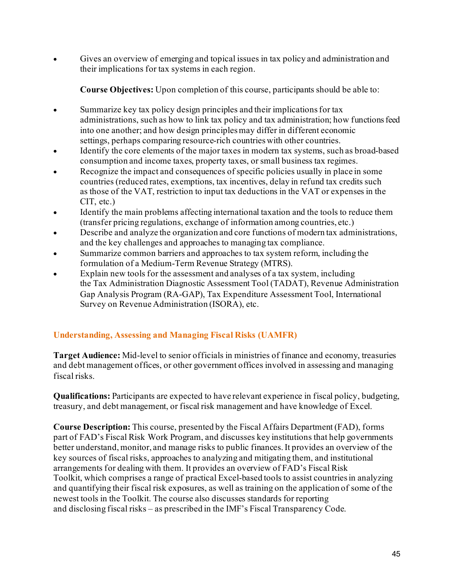• Gives an overview of emerging and topical issues in tax policy and administration and their implications for tax systems in each region.

**Course Objectives:** Upon completion of this course, participants should be able to:

- Summarize key tax policy design principles and their implications for tax administrations, such as how to link tax policy and tax administration; how functions feed into one another; and how design principles may differ in different economic settings, perhaps comparing resource-rich countries with other countries.
- Identify the core elements of the major taxes in modern tax systems, such as broad-based consumption and income taxes, property taxes, or small business tax regimes.
- Recognize the impact and consequences of specific policies usually in place in some countries (reduced rates, exemptions, tax incentives, delay in refund tax credits such as those of the VAT, restriction to input tax deductions in the VAT or expenses in the CIT, etc.)
- Identify the main problems affecting international taxation and the tools to reduce them (transfer pricing regulations, exchange of information among countries, etc.)
- Describe and analyze the organization and core functions of modern tax administrations, and the key challenges and approaches to managing tax compliance.
- Summarize common barriers and approaches to tax system reform, including the formulation of a Medium-Term Revenue Strategy (MTRS).
- Explain new tools for the assessment and analyses of a tax system, including the Tax Administration Diagnostic Assessment Tool (TADAT), Revenue Administration Gap Analysis Program (RA-GAP), Tax Expenditure Assessment Tool, International Survey on Revenue Administration (ISORA), etc.

# **Understanding, Assessing and Managing Fiscal Risks (UAMFR)**

**Target Audience:** Mid-level to senior officials in ministries of finance and economy, treasuries and debt management offices, or other government offices involved in assessing and managing fiscal risks.

**Qualifications:** Participants are expected to have relevant experience in fiscal policy, budgeting, treasury, and debt management, or fiscal risk management and have knowledge of Excel.

**Course Description:** This course, presented by the Fiscal Affairs Department (FAD), forms part of FAD's Fiscal Risk Work Program, and discusses key institutions that help governments better understand, monitor, and manage risks to public finances. It provides an overview of the key sources of fiscal risks, approaches to analyzing and mitigating them, and institutional arrangements for dealing with them. It provides an overview of FAD's Fiscal Risk Toolkit, which comprises a range of practical Excel-based tools to assist countries in analyzing and quantifying their fiscal risk exposures, as well as training on the application of some of the newest tools in the Toolkit. The course also discusses standards for reporting and disclosing fiscal risks – as prescribed in the IMF's Fiscal Transparency Code.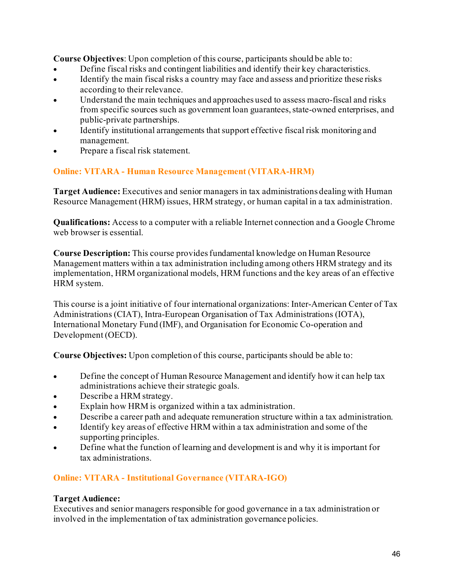**Course Objectives**: Upon completion of this course, participants should be able to:

- Define fiscal risks and contingent liabilities and identify their key characteristics.
- Identify the main fiscal risks a country may face and assess and prioritize these risks according to their relevance.
- Understand the main techniques and approaches used to assess macro-fiscal and risks from specific sources such as government loan guarantees, state-owned enterprises, and public-private partnerships.
- Identify institutional arrangements that support effective fiscal risk monitoring and management.
- Prepare a fiscal risk statement.

# **Online: VITARA - Human Resource Management (VITARA-HRM)**

**Target Audience:** Executives and senior managers in tax administrations dealing with Human Resource Management (HRM) issues, HRM strategy, or human capital in a tax administration.

**Qualifications:** Access to a computer with a reliable Internet connection and a Google Chrome web browser is essential.

**Course Description:** This course provides fundamental knowledge on Human Resource Management matters within a tax administration including among others HRM strategy and its implementation, HRM organizational models, HRM functions and the key areas of an effective HRM system.

This course is a joint initiative of four international organizations: Inter-American Center of Tax Administrations (CIAT), Intra-European Organisation of Tax Administrations (IOTA), International Monetary Fund (IMF), and Organisation for Economic Co-operation and Development (OECD).

**Course Objectives:** Upon completion of this course, participants should be able to:

- Define the concept of Human Resource Management and identify how it can help tax administrations achieve their strategic goals.
- Describe a HRM strategy.
- Explain how HRM is organized within a tax administration.
- Describe a career path and adequate remuneration structure within a tax administration.
- Identify key areas of effective HRM within a tax administration and some of the supporting principles.
- Define what the function of learning and development is and why it is important for tax administrations.

# **Online: VITARA - Institutional Governance (VITARA-IGO)**

# **Target Audience:**

Executives and senior managers responsible for good governance in a tax administration or involved in the implementation of tax administration governance policies.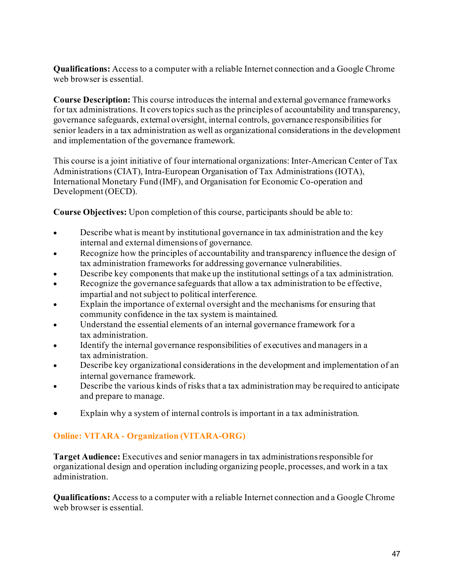**Qualifications:** Access to a computer with a reliable Internet connection and a Google Chrome web browser is essential.

**Course Description:** This course introduces the internal and external governance frameworks for tax administrations. It covers topics such as the principles of accountability and transparency, governance safeguards, external oversight, internal controls, governance responsibilities for senior leaders in a tax administration as well as organizational considerations in the development and implementation of the governance framework.

This course is a joint initiative of four international organizations: Inter-American Center of Tax Administrations (CIAT), Intra-European Organisation of Tax Administrations (IOTA), International Monetary Fund (IMF), and Organisation for Economic Co-operation and Development (OECD).

**Course Objectives:** Upon completion of this course, participants should be able to:

- Describe what is meant by institutional governance in tax administration and the key internal and external dimensions of governance.
- Recognize how the principles of accountability and transparency influence the design of tax administration frameworks for addressing governance vulnerabilities.
- Describe key components that make up the institutional settings of a tax administration.
- Recognize the governance safeguards that allow a tax administration to be effective, impartial and not subject to political interference.
- Explain the importance of external oversight and the mechanisms for ensuring that community confidence in the tax system is maintained.
- Understand the essential elements of an internal governance framework for a tax administration.
- Identify the internal governance responsibilities of executives and managers in a tax administration.
- Describe key organizational considerations in the development and implementation of an internal governance framework.
- Describe the various kinds of risks that a tax administration may be required to anticipate and prepare to manage.
- Explain why a system of internal controls is important in a tax administration.

# **Online: VITARA - Organization (VITARA-ORG)**

**Target Audience:** Executives and senior managers in tax administrationsresponsible for organizational design and operation including organizing people, processes, and work in a tax administration.

**Qualifications:** Access to a computer with a reliable Internet connection and a Google Chrome web browser is essential.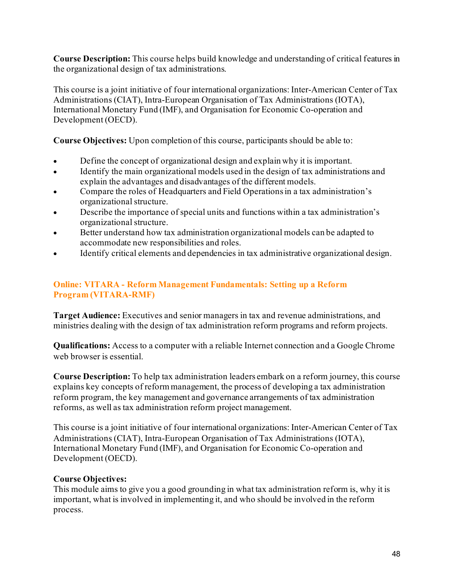**Course Description:** This course helps build knowledge and understanding of critical features in the organizational design of tax administrations.

This course is a joint initiative of four international organizations: Inter-American Center of Tax Administrations (CIAT), Intra-European Organisation of Tax Administrations (IOTA), International Monetary Fund (IMF), and Organisation for Economic Co-operation and Development (OECD).

**Course Objectives:** Upon completion of this course, participants should be able to:

- Define the concept of organizational design and explain why it is important.
- Identify the main organizational models used in the design of tax administrations and explain the advantages and disadvantages of the different models.
- Compare the roles of Headquarters and Field Operations in a tax administration's organizational structure.
- Describe the importance of special units and functions within a tax administration's organizational structure.
- Better understand how tax administration organizational models can be adapted to accommodate new responsibilities and roles.
- Identify critical elements and dependencies in tax administrative organizational design.

#### **Online: VITARA - Reform Management Fundamentals: Setting up a Reform Program (VITARA-RMF)**

**Target Audience:** Executives and senior managers in tax and revenue administrations, and ministries dealing with the design of tax administration reform programs and reform projects.

**Qualifications:** Access to a computer with a reliable Internet connection and a Google Chrome web browser is essential.

**Course Description:** To help tax administration leaders embark on a reform journey, this course explains key concepts of reform management, the process of developing a tax administration reform program, the key management and governance arrangements of tax administration reforms, as well as tax administration reform project management.

This course is a joint initiative of four international organizations: Inter-American Center of Tax Administrations (CIAT), Intra-European Organisation of Tax Administrations (IOTA), International Monetary Fund (IMF), and Organisation for Economic Co-operation and Development (OECD).

# **Course Objectives:**

This module aims to give you a good grounding in what tax administration reform is, why it is important, what is involved in implementing it, and who should be involved in the reform process.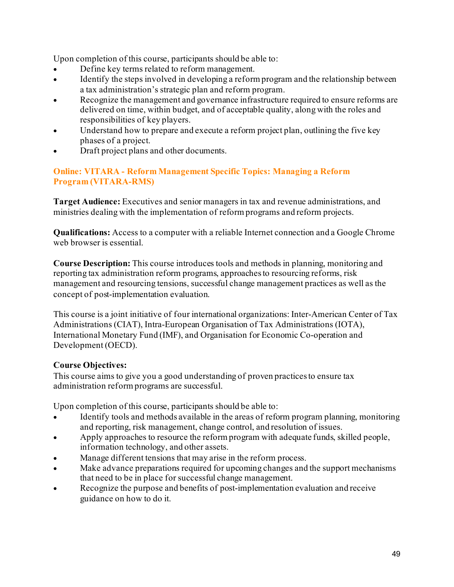Upon completion of this course, participants should be able to:

- Define key terms related to reform management.
- Identify the steps involved in developing a reform program and the relationship between a tax administration's strategic plan and reform program.
- Recognize the management and governance infrastructure required to ensure reforms are delivered on time, within budget, and of acceptable quality, along with the roles and responsibilities of key players.
- Understand how to prepare and execute a reform project plan, outlining the five key phases of a project.
- Draft project plans and other documents.

#### **Online: VITARA - Reform Management Specific Topics: Managing a Reform Program (VITARA-RMS)**

**Target Audience:** Executives and senior managers in tax and revenue administrations, and ministries dealing with the implementation of reform programs and reform projects.

**Qualifications:** Access to a computer with a reliable Internet connection and a Google Chrome web browser is essential.

**Course Description:** This course introduces tools and methods in planning, monitoring and reporting tax administration reform programs, approaches to resourcing reforms, risk management and resourcing tensions, successful change management practices as well as the concept of post-implementation evaluation.

This course is a joint initiative of four international organizations: Inter-American Center of Tax Administrations (CIAT), Intra-European Organisation of Tax Administrations (IOTA), International Monetary Fund (IMF), and Organisation for Economic Co-operation and Development (OECD).

# **Course Objectives:**

This course aims to give you a good understanding of proven practices to ensure tax administration reform programs are successful.

Upon completion of this course, participants should be able to:

- Identify tools and methods available in the areas of reform program planning, monitoring and reporting, risk management, change control, and resolution of issues.
- Apply approaches to resource the reform program with adequate funds, skilled people, information technology, and other assets.
- Manage different tensions that may arise in the reform process.
- Make advance preparations required for upcoming changes and the support mechanisms that need to be in place for successful change management.
- Recognize the purpose and benefits of post-implementation evaluation and receive guidance on how to do it.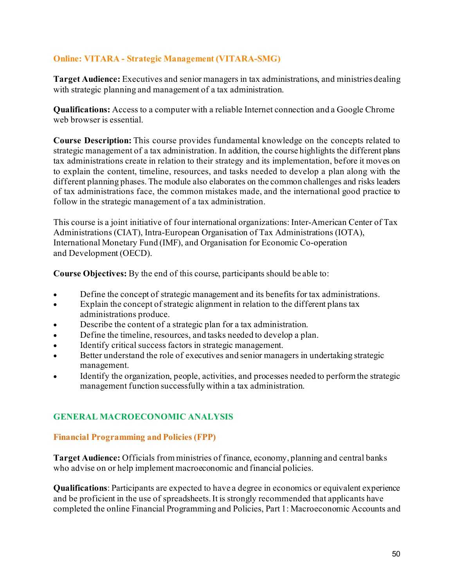#### **Online: VITARA - Strategic Management (VITARA-SMG)**

**Target Audience:** Executives and senior managers in tax administrations, and ministries dealing with strategic planning and management of a tax administration.

**Qualifications:** Access to a computer with a reliable Internet connection and a Google Chrome web browser is essential.

**Course Description:** This course provides fundamental knowledge on the concepts related to strategic management of a tax administration. In addition, the course highlights the different plans tax administrations create in relation to their strategy and its implementation, before it moves on to explain the content, timeline, resources, and tasks needed to develop a plan along with the different planning phases. The module also elaborates on the common challenges and risks leaders of tax administrations face, the common mistakes made, and the international good practice to follow in the strategic management of a tax administration.

This course is a joint initiative of four international organizations: Inter-American Center of Tax Administrations (CIAT), Intra-European Organisation of Tax Administrations (IOTA), International Monetary Fund (IMF), and Organisation for Economic Co-operation and Development (OECD).

**Course Objectives:** By the end of this course, participants should be able to:

- Define the concept of strategic management and its benefits for tax administrations.
- Explain the concept of strategic alignment in relation to the different plans tax administrations produce.
- Describe the content of a strategic plan for a tax administration.
- Define the timeline, resources, and tasks needed to develop a plan.
- Identify critical success factors in strategic management.
- Better understand the role of executives and senior managers in undertaking strategic management.
- Identify the organization, people, activities, and processes needed to perform the strategic management function successfully within a tax administration.

#### **GENERAL MACROECONOMIC ANALYSIS**

#### **Financial Programming and Policies (FPP)**

**Target Audience:** Officials from ministries of finance, economy, planning and central banks who advise on or help implement macroeconomic and financial policies.

**Qualifications**: Participants are expected to have a degree in economics or equivalent experience and be proficient in the use of spreadsheets.It is strongly recommended that applicants have completed the online Financial Programming and Policies, Part 1: Macroeconomic Accounts and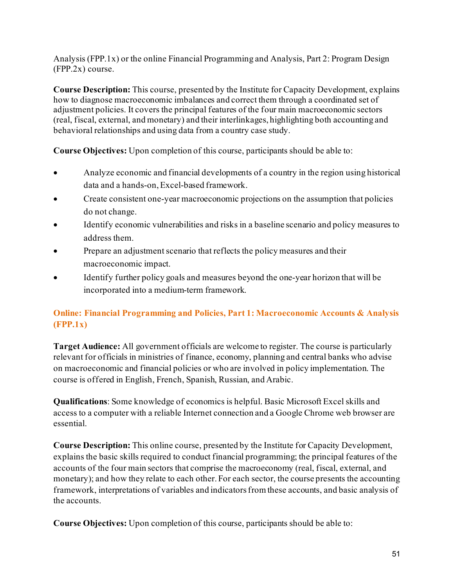Analysis (FPP.1x) or the online Financial Programming and Analysis, Part 2: Program Design (FPP.2x) course.

**Course Description:** This course, presented by the Institute for Capacity Development, explains how to diagnose macroeconomic imbalances and correct them through a coordinated set of adjustment policies. It covers the principal features of the four main macroeconomic sectors (real, fiscal, external, and monetary) and their interlinkages, highlighting both accounting and behavioral relationships and using data from a country case study.

**Course Objectives:** Upon completion of this course, participants should be able to:

- Analyze economic and financial developments of a country in the region using historical data and a hands-on,Excel-based framework.
- Create consistent one-year macroeconomic projections on the assumption that policies do not change.
- Identify economic vulnerabilities and risks in a baseline scenario and policy measures to address them.
- Prepare an adjustment scenario that reflects the policy measures and their macroeconomic impact.
- Identify further policy goals and measures beyond the one-year horizon that will be incorporated into a medium-term framework.

# **Online: Financial Programming and Policies, Part 1: Macroeconomic Accounts & Analysis (FPP.1x)**

**Target Audience:** All government officials are welcome to register. The course is particularly relevant for officials in ministries of finance, economy, planning and central banks who advise on macroeconomic and financial policies or who are involved in policy implementation. The course is offered in English, French, Spanish, Russian, and Arabic.

**Qualifications**: Some knowledge of economics is helpful. Basic Microsoft Excel skills and access to a computer with a reliable Internet connection and a Google Chrome web browser are essential.

**Course Description:** This online course, presented by the Institute for Capacity Development, explains the basic skills required to conduct financial programming; the principal features of the accounts of the four main sectors that comprise the macroeconomy (real, fiscal, external, and monetary); and how they relate to each other. For each sector, the course presents the accounting framework, interpretations of variables and indicators from these accounts, and basic analysis of the accounts.

**Course Objectives:** Upon completion of this course, participants should be able to: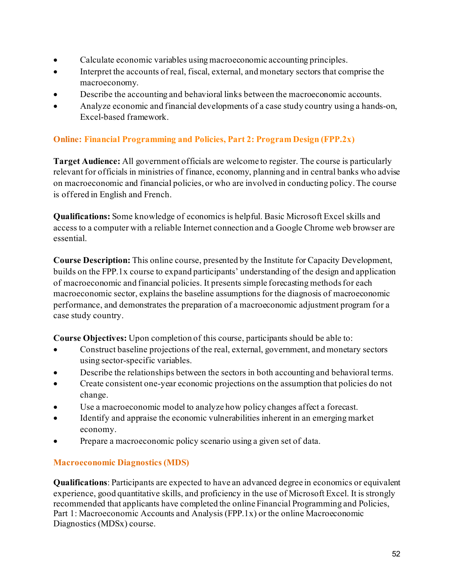- Calculate economic variables using macroeconomic accounting principles.
- Interpret the accounts of real, fiscal, external, and monetary sectors that comprise the macroeconomy.
- Describe the accounting and behavioral links between the macroeconomic accounts.
- Analyze economic and financial developments of a case study country using a hands-on, Excel-based framework.

# **Online: Financial Programming and Policies, Part 2: Program Design (FPP.2x)**

**Target Audience:** All government officials are welcome to register. The course is particularly relevant for officials in ministries of finance, economy, planning and in central banks who advise on macroeconomic and financial policies, or who are involved in conducting policy. The course is offered in English and French.

**Qualifications:** Some knowledge of economics is helpful. Basic Microsoft Excel skills and access to a computer with a reliable Internet connection and a Google Chrome web browser are essential.

**Course Description:** This online course, presented by the Institute for Capacity Development, builds on the FPP.1x course to expand participants' understanding of the design and application of macroeconomic and financial policies. It presents simple forecasting methods for each macroeconomic sector, explains the baseline assumptions for the diagnosis of macroeconomic performance, and demonstrates the preparation of a macroeconomic adjustment program for a case study country.

**Course Objectives:** Upon completion of this course, participants should be able to:

- Construct baseline projections of the real, external, government, and monetary sectors using sector-specific variables.
- Describe the relationships between the sectors in both accounting and behavioral terms.
- Create consistent one-year economic projections on the assumption that policies do not change.
- Use a macroeconomic model to analyze how policy changes affect a forecast.
- Identify and appraise the economic vulnerabilities inherent in an emerging market economy.
- Prepare a macroeconomic policy scenario using a given set of data.

# **Macroeconomic Diagnostics (MDS)**

**Qualifications**: Participants are expected to have an advanced degree in economics or equivalent experience, good quantitative skills, and proficiency in the use of Microsoft Excel. It is strongly recommended that applicants have completed the online Financial Programming and Policies, Part 1: Macroeconomic Accounts and Analysis (FPP.1x) or the online Macroeconomic Diagnostics (MDSx) course.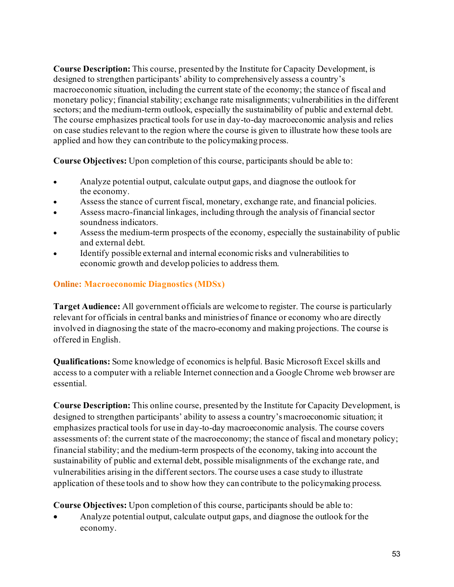**Course Description:** This course, presented by the Institute for Capacity Development, is designed to strengthen participants' ability to comprehensively assess a country's macroeconomic situation, including the current state of the economy; the stance of fiscal and monetary policy; financial stability; exchange rate misalignments; vulnerabilities in the different sectors; and the medium-term outlook, especially the sustainability of public and external debt. The course emphasizes practical tools for use in day-to-day macroeconomic analysis and relies on case studies relevant to the region where the course is given to illustrate how these tools are applied and how they can contribute to the policymaking process.

**Course Objectives:** Upon completion of this course, participants should be able to:

- Analyze potential output, calculate output gaps, and diagnose the outlook for the economy.
- Assess the stance of current fiscal, monetary, exchange rate, and financial policies.
- Assess macro-financial linkages, including through the analysis of financial sector soundness indicators.
- Assess the medium-term prospects of the economy, especially the sustainability of public and external debt.
- Identify possible external and internal economic risks and vulnerabilities to economic growth and develop policies to address them.

# **Online: Macroeconomic Diagnostics (MDSx)**

**Target Audience:** All government officials are welcome to register. The course is particularly relevant for officials in central banks and ministries of finance or economy who are directly involved in diagnosing the state of the macro-economy and making projections. The course is offered in English.

**Qualifications:** Some knowledge of economics is helpful. Basic Microsoft Excel skills and access to a computer with a reliable Internet connection and a Google Chrome web browser are essential.

**Course Description:** This online course, presented by the Institute for Capacity Development, is designed to strengthen participants' ability to assess a country's macroeconomic situation; it emphasizes practical tools for use in day-to-day macroeconomic analysis. The course covers assessments of: the current state of the macroeconomy; the stance of fiscal and monetary policy; financial stability; and the medium-term prospects of the economy, taking into account the sustainability of public and external debt, possible misalignments of the exchange rate, and vulnerabilities arising in the different sectors. The course uses a case study to illustrate application of these tools and to show how they can contribute to the policymaking process.

**Course Objectives:** Upon completion of this course, participants should be able to:

• Analyze potential output, calculate output gaps, and diagnose the outlook for the economy.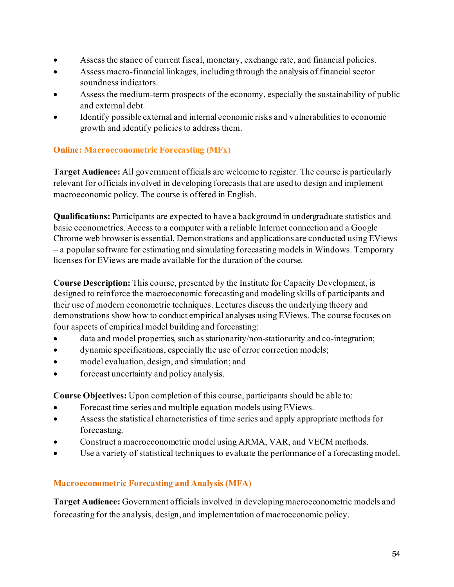- Assess the stance of current fiscal, monetary, exchange rate, and financial policies.
- Assess macro-financial linkages, including through the analysis of financial sector soundness indicators.
- Assess the medium-term prospects of the economy, especially the sustainability of public and external debt.
- Identify possible external and internal economic risks and vulnerabilities to economic growth and identify policies to address them.

# **Online: Macroeconometric Forecasting (MFx)**

**Target Audience:** All government officials are welcome to register. The course is particularly relevant for officials involved in developing forecasts that are used to design and implement macroeconomic policy. The course is offered in English.

**Qualifications:** Participants are expected to have a background in undergraduate statistics and basic econometrics. Access to a computer with a reliable Internet connection and a Google Chrome web browser is essential. Demonstrations and applications are conducted using EViews – a popular software for estimating and simulating forecasting models in Windows. Temporary licenses for EViews are made available for the duration of the course.

**Course Description:** This course, presented by the Institute for Capacity Development, is designed to reinforce the macroeconomic forecasting and modeling skills of participants and their use of modern econometric techniques. Lectures discuss the underlying theory and demonstrations show how to conduct empirical analyses using EViews. The course focuses on four aspects of empirical model building and forecasting:

- data and model properties, such as stationarity/non-stationarity and co-integration;
- dynamic specifications, especially the use of error correction models;
- model evaluation, design, and simulation; and
- forecast uncertainty and policy analysis.

**Course Objectives:** Upon completion of this course, participants should be able to:

- Forecast time series and multiple equation models using EViews.
- Assess the statistical characteristics of time series and apply appropriate methods for forecasting.
- Construct a macroeconometric model using ARMA, VAR, and VECM methods.
- Use a variety of statistical techniques to evaluate the performance of a forecasting model.

# **Macroeconometric Forecasting and Analysis (MFA)**

**Target Audience:** Government officials involved in developing macroeconometric models and forecasting for the analysis, design, and implementation of macroeconomic policy.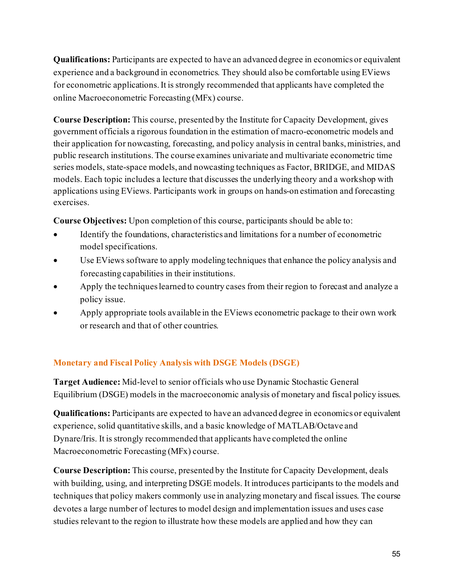**Qualifications:** Participants are expected to have an advanced degree in economics or equivalent experience and a background in econometrics. They should also be comfortable using EViews for econometric applications. It is strongly recommended that applicants have completed the online Macroeconometric Forecasting (MFx) course.

**Course Description:** This course, presented by the Institute for Capacity Development, gives government officials a rigorous foundation in the estimation of macro-econometric models and their application for nowcasting, forecasting, and policy analysis in central banks, ministries, and public research institutions. The course examines univariate and multivariate econometric time series models, state-space models, and nowcasting techniques as Factor, BRIDGE, and MIDAS models. Each topic includes a lecture that discusses the underlying theory and a workshop with applications using EViews. Participants work in groups on hands-on estimation and forecasting exercises.

**Course Objectives:** Upon completion of this course, participants should be able to:

- Identify the foundations, characteristics and limitations for a number of econometric model specifications.
- Use EViews software to apply modeling techniques that enhance the policy analysis and forecasting capabilities in their institutions.
- Apply the techniques learned to country cases from their region to forecast and analyze a policy issue.
- Apply appropriate tools available in the EViews econometric package to their own work or research and that of other countries.

# **Monetary and Fiscal Policy Analysis with DSGE Models (DSGE)**

**Target Audience:** Mid-level to senior officials who use Dynamic Stochastic General Equilibrium (DSGE) models in the macroeconomic analysis of monetary and fiscal policy issues.

**Qualifications:** Participants are expected to have an advanced degree in economics or equivalent experience, solid quantitative skills, and a basic knowledge of MATLAB/Octave and Dynare/Iris. It is strongly recommended that applicants have completed the online Macroeconometric Forecasting (MFx) course.

**Course Description:** This course, presented by the Institute for Capacity Development, deals with building, using, and interpreting DSGE models. It introduces participants to the models and techniques that policy makers commonly use in analyzing monetary and fiscal issues. The course devotes a large number of lectures to model design and implementation issues and uses case studies relevant to the region to illustrate how these models are applied and how they can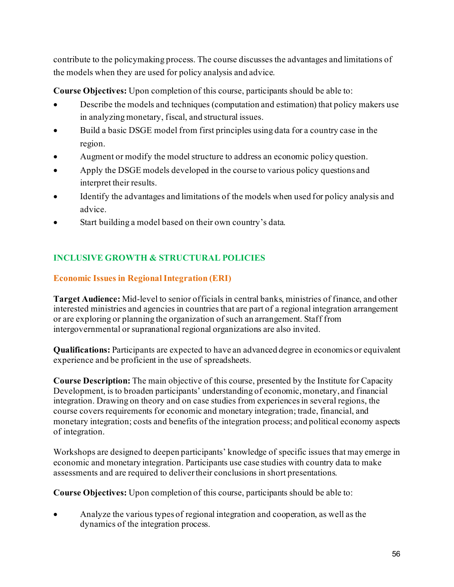contribute to the policymaking process. The course discusses the advantages and limitations of the models when they are used for policy analysis and advice.

**Course Objectives:** Upon completion of this course, participants should be able to:

- Describe the models and techniques (computation and estimation) that policy makers use in analyzing monetary, fiscal, and structural issues.
- Build a basic DSGE model from first principles using data for a country case in the region.
- Augment or modify the model structure to address an economic policy question.
- Apply the DSGE models developed in the course to various policy questions and interpret their results.
- Identify the advantages and limitations of the models when used for policy analysis and advice.
- Start building a model based on their own country's data.

# **INCLUSIVE GROWTH & STRUCTURAL POLICIES**

#### **Economic Issues in Regional Integration (ERI)**

**Target Audience:** Mid-level to senior officials in central banks, ministries of finance, and other interested ministries and agencies in countries that are part of a regional integration arrangement or are exploring or planning the organization of such an arrangement. Staff from intergovernmental or supranational regional organizations are also invited.

**Qualifications:** Participants are expected to have an advanced degree in economics or equivalent experience and be proficient in the use of spreadsheets.

**Course Description:** The main objective of this course, presented by the Institute for Capacity Development, is to broaden participants' understanding of economic, monetary, and financial integration. Drawing on theory and on case studies from experiences in several regions, the course covers requirements for economic and monetary integration; trade, financial, and monetary integration; costs and benefits of the integration process; and political economy aspects of integration.

Workshops are designed to deepen participants' knowledge of specific issues that may emerge in economic and monetary integration. Participants use case studies with country data to make assessments and are required to deliver their conclusions in short presentations.

**Course Objectives:** Upon completion of this course, participants should be able to:

• Analyze the various types of regional integration and cooperation, as well as the dynamics of the integration process.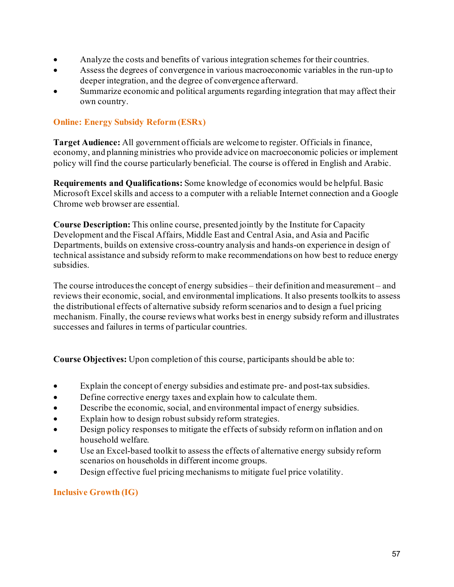- Analyze the costs and benefits of various integration schemes for their countries.
- Assess the degrees of convergence in various macroeconomic variables in the run-up to deeper integration, and the degree of convergence afterward.
- Summarize economic and political arguments regarding integration that may affect their own country.

#### **Online: Energy Subsidy Reform (ESRx)**

**Target Audience:** All government officials are welcome to register. Officials in finance, economy, and planning ministries who provide advice on macroeconomic policies or implement policy will find the course particularly beneficial. The course is offered in English and Arabic.

**Requirements and Qualifications:** Some knowledge of economics would be helpful.Basic Microsoft Excel skills and access to a computer with a reliable Internet connection and a Google Chrome web browser are essential.

**Course Description:** This online course, presented jointly by the Institute for Capacity Development and the Fiscal Affairs, Middle East and Central Asia, and Asia and Pacific Departments, builds on extensive cross-country analysis and hands-on experience in design of technical assistance and subsidy reform to make recommendations on how best to reduce energy subsidies.

The course introduces the concept of energy subsidies – their definition and measurement – and reviews their economic, social, and environmental implications. It also presents toolkits to assess the distributional effects of alternative subsidy reform scenarios and to design a fuel pricing mechanism. Finally, the course reviews what works best in energy subsidy reform and illustrates successes and failures in terms of particular countries.

**Course Objectives:** Upon completion of this course, participants should be able to:

- Explain the concept of energy subsidies and estimate pre- and post-tax subsidies.
- Define corrective energy taxes and explain how to calculate them.
- Describe the economic, social, and environmental impact of energy subsidies.
- Explain how to design robust subsidy reform strategies.
- Design policy responses to mitigate the effects of subsidy reform on inflation and on household welfare.
- Use an Excel-based toolkit to assess the effects of alternative energy subsidy reform scenarios on households in different income groups.
- Design effective fuel pricing mechanisms to mitigate fuel price volatility.

#### **Inclusive Growth (IG)**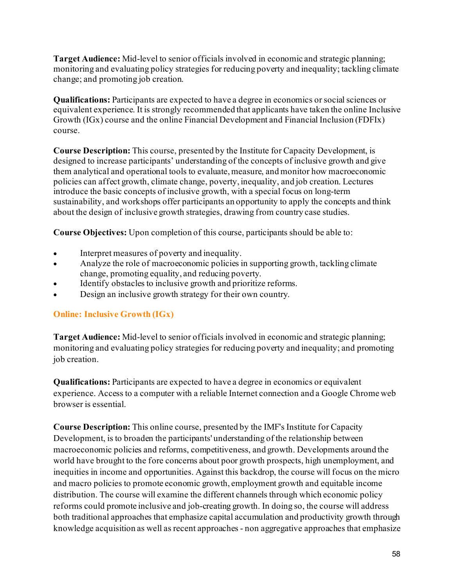**Target Audience:** Mid-level to senior officials involved in economic and strategic planning; monitoring and evaluating policy strategies for reducing poverty and inequality; tackling climate change; and promoting job creation.

**Qualifications:** Participants are expected to have a degree in economics or social sciences or equivalent experience. It is strongly recommended that applicants have taken the online Inclusive Growth (IGx) course and the online Financial Development and Financial Inclusion (FDFIx) course.

**Course Description:** This course, presented by the Institute for Capacity Development, is designed to increase participants' understanding of the concepts of inclusive growth and give them analytical and operational tools to evaluate, measure, and monitor how macroeconomic policies can affect growth, climate change, poverty, inequality, and job creation. Lectures introduce the basic concepts of inclusive growth, with a special focus on long-term sustainability, and workshops offer participants an opportunity to apply the concepts and think about the design of inclusive growth strategies, drawing from country case studies.

**Course Objectives:** Upon completion of this course, participants should be able to:

- Interpret measures of poverty and inequality.
- Analyze the role of macroeconomic policies in supporting growth, tackling climate change, promoting equality, and reducing poverty.
- Identify obstacles to inclusive growth and prioritize reforms.
- Design an inclusive growth strategy for their own country.

# **Online: Inclusive Growth (IGx)**

**Target Audience:** Mid-level to senior officials involved in economic and strategic planning; monitoring and evaluating policy strategies for reducing poverty and inequality; and promoting job creation.

**Qualifications:** Participants are expected to have a degree in economics or equivalent experience. Access to a computer with a reliable Internet connection and a Google Chrome web browser is essential.

**Course Description:** This online course, presented by the IMF's Institute for Capacity Development, is to broaden the participants' understanding of the relationship between macroeconomic policies and reforms, competitiveness, and growth. Developments around the world have brought to the fore concerns about poor growth prospects, high unemployment, and inequities in income and opportunities. Against this backdrop, the course will focus on the micro and macro policies to promote economic growth, employment growth and equitable income distribution. The course will examine the different channels through which economic policy reforms could promote inclusive and job-creating growth. In doing so, the course will address both traditional approaches that emphasize capital accumulation and productivity growth through knowledge acquisition as well as recent approaches - non aggregative approaches that emphasize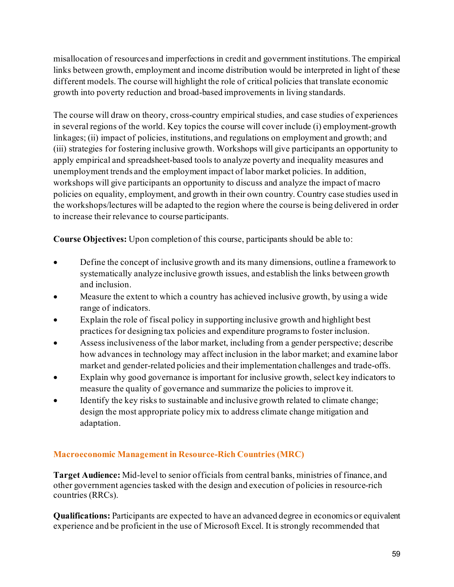misallocation of resources and imperfections in credit and government institutions. The empirical links between growth, employment and income distribution would be interpreted in light of these different models. The course will highlight the role of critical policies that translate economic growth into poverty reduction and broad-based improvements in living standards.

The course will draw on theory, cross-country empirical studies, and case studies of experiences in several regions of the world. Key topics the course will cover include (i) employment-growth linkages; (ii) impact of policies, institutions, and regulations on employment and growth; and (iii) strategies for fostering inclusive growth. Workshops will give participants an opportunity to apply empirical and spreadsheet-based tools to analyze poverty and inequality measures and unemployment trends and the employment impact of labor market policies. In addition, workshops will give participants an opportunity to discuss and analyze the impact of macro policies on equality, employment, and growth in their own country. Country case studies used in the workshops/lectures will be adapted to the region where the course is being delivered in order to increase their relevance to course participants.

**Course Objectives:** Upon completion of this course, participants should be able to:

- Define the concept of inclusive growth and its many dimensions, outline a framework to systematically analyze inclusive growth issues, and establish the links between growth and inclusion.
- Measure the extent to which a country has achieved inclusive growth, by using a wide range of indicators.
- Explain the role of fiscal policy in supporting inclusive growth and highlight best practices for designing tax policies and expenditure programs to foster inclusion.
- Assess inclusiveness of the labor market, including from a gender perspective; describe how advances in technology may affect inclusion in the labor market; and examine labor market and gender-related policies and their implementation challenges and trade-offs.
- Explain why good governance is important for inclusive growth, select key indicators to measure the quality of governance and summarize the policies to improve it.
- Identify the key risks to sustainable and inclusive growth related to climate change; design the most appropriate policy mix to address climate change mitigation and adaptation.

# **Macroeconomic Management in Resource-Rich Countries (MRC)**

**Target Audience:** Mid-level to senior officials from central banks, ministries of finance, and other government agencies tasked with the design and execution of policies in resource-rich countries (RRCs).

**Qualifications:** Participants are expected to have an advanced degree in economics or equivalent experience and be proficient in the use of Microsoft Excel. It is strongly recommended that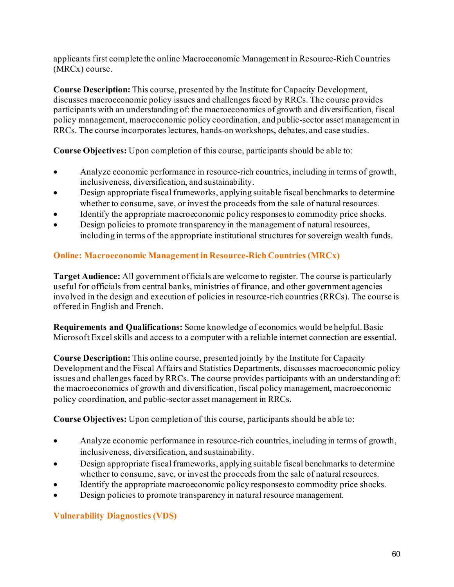applicants first complete the online Macroeconomic Management in Resource-Rich Countries (MRCx) course.

**Course Description:** This course, presented by the Institute for Capacity Development, discusses macroeconomic policy issues and challenges faced by RRCs. The course provides participants with an understanding of: the macroeconomics of growth and diversification, fiscal policy management, macroeconomic policy coordination, and public-sector asset management in RRCs. The course incorporates lectures, hands-on workshops, debates, and case studies.

**Course Objectives:** Upon completion of this course, participants should be able to:

- Analyze economic performance in resource-rich countries, including in terms of growth, inclusiveness, diversification, and sustainability.
- Design appropriate fiscal frameworks, applying suitable fiscal benchmarks to determine whether to consume, save, or invest the proceeds from the sale of natural resources.
- Identify the appropriate macroeconomic policy responses to commodity price shocks.
- Design policies to promote transparency in the management of natural resources, including in terms of the appropriate institutional structures for sovereign wealth funds.

# **Online: Macroeconomic Management in Resource-Rich Countries (MRCx)**

**Target Audience:** All government officials are welcome to register. The course is particularly useful for officials from central banks, ministries of finance, and other government agencies involved in the design and execution of policies in resource-rich countries (RRCs). The course is offered in English and French.

**Requirements and Qualifications:** Some knowledge of economics would be helpful. Basic Microsoft Excel skills and access to a computer with a reliable internet connection are essential.

**Course Description:** This online course, presented jointly by the Institute for Capacity Development and the Fiscal Affairs and Statistics Departments, discusses macroeconomic policy issues and challenges faced by RRCs. The course provides participants with an understanding of: the macroeconomics of growth and diversification, fiscal policy management, macroeconomic policy coordination, and public-sector asset management in RRCs.

**Course Objectives:** Upon completion of this course, participants should be able to:

- Analyze economic performance in resource-rich countries, including in terms of growth, inclusiveness, diversification, and sustainability.
- Design appropriate fiscal frameworks, applying suitable fiscal benchmarks to determine whether to consume, save, or invest the proceeds from the sale of natural resources.
- Identify the appropriate macroeconomic policy responses to commodity price shocks.
- Design policies to promote transparency in natural resource management.

# **Vulnerability Diagnostics (VDS)**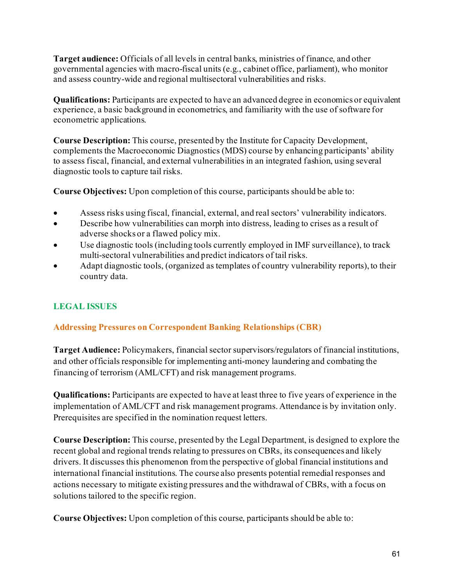**Target audience:** Officials of all levels in central banks, ministries of finance, and other governmental agencies with macro-fiscal units (e.g., cabinet office, parliament), who monitor and assess country-wide and regional multisectoral vulnerabilities and risks.

**Qualifications:** Participants are expected to have an advanced degree in economics or equivalent experience, a basic background in econometrics, and familiarity with the use of software for econometric applications.

**Course Description:** This course, presented by the Institute for Capacity Development, complements the Macroeconomic Diagnostics (MDS) course by enhancing participants' ability to assess fiscal, financial, and external vulnerabilities in an integrated fashion, using several diagnostic tools to capture tail risks.

**Course Objectives:** Upon completion of this course, participants should be able to:

- Assess risks using fiscal, financial, external, and real sectors' vulnerability indicators.
- Describe how vulnerabilities can morph into distress, leading to crises as a result of adverse shocks or a flawed policy mix.
- Use diagnostic tools (including tools currently employed in IMF surveillance), to track multi-sectoral vulnerabilities and predict indicators of tail risks.
- Adapt diagnostic tools, (organized as templates of country vulnerability reports), to their country data.

# **LEGAL ISSUES**

# **Addressing Pressures on Correspondent Banking Relationships (CBR)**

**Target Audience:** Policymakers, financial sector supervisors/regulators of financial institutions, and other officials responsible for implementing anti-money laundering and combating the financing of terrorism (AML/CFT) and risk management programs.

**Qualifications:** Participants are expected to have at least three to five years of experience in the implementation of AML/CFT and risk management programs. Attendance is by invitation only. Prerequisites are specified in the nomination request letters.

**Course Description:** This course, presented by the Legal Department, is designed to explore the recent global and regional trends relating to pressures on CBRs, its consequences and likely drivers. It discusses this phenomenon from the perspective of global financial institutions and international financial institutions. The course also presents potential remedial responses and actions necessary to mitigate existing pressures and the withdrawal of CBRs, with a focus on solutions tailored to the specific region.

**Course Objectives:** Upon completion of this course, participants should be able to: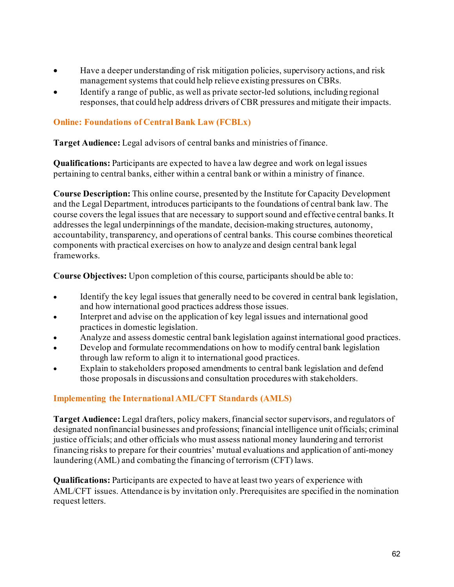- Have a deeper understanding of risk mitigation policies, supervisory actions, and risk management systems that could help relieve existing pressures on CBRs.
- Identify a range of public, as well as private sector-led solutions, including regional responses, that could help address drivers of CBR pressures and mitigate their impacts.

#### **Online: Foundations of Central Bank Law (FCBLx)**

**Target Audience:** Legal advisors of central banks and ministries of finance.

**Qualifications:** Participants are expected to have a law degree and work on legal issues pertaining to central banks, either within a central bank or within a ministry of finance.

**Course Description:** This online course, presented by the Institute for Capacity Development and the Legal Department, introduces participants to the foundations of central bank law. The course covers the legal issues that are necessary to support sound and effective central banks. It addresses the legal underpinnings of the mandate, decision-making structures, autonomy, accountability, transparency, and operations of central banks. This course combines theoretical components with practical exercises on how to analyze and design central bank legal frameworks.

**Course Objectives:** Upon completion of this course, participants should be able to:

- Identify the key legal issues that generally need to be covered in central bank legislation, and how international good practices address those issues.
- Interpret and advise on the application of key legal issues and international good practices in domestic legislation.
- Analyze and assess domestic central bank legislation against international good practices.
- Develop and formulate recommendations on how to modify central bank legislation through law reform to align it to international good practices.
- Explain to stakeholders proposed amendments to central bank legislation and defend those proposals in discussions and consultation procedures with stakeholders.

#### **Implementing the International AML/CFT Standards (AMLS)**

**Target Audience:** Legal drafters, policy makers, financial sector supervisors, and regulators of designated nonfinancial businesses and professions; financial intelligence unit officials; criminal justice officials; and other officials who must assess national money laundering and terrorist financing risks to prepare for their countries' mutual evaluations and application of anti-money laundering (AML) and combating the financing of terrorism (CFT) laws.

**Qualifications:** Participants are expected to have at least two years of experience with AML/CFT issues. Attendance is by invitation only. Prerequisites are specified in the nomination request letters.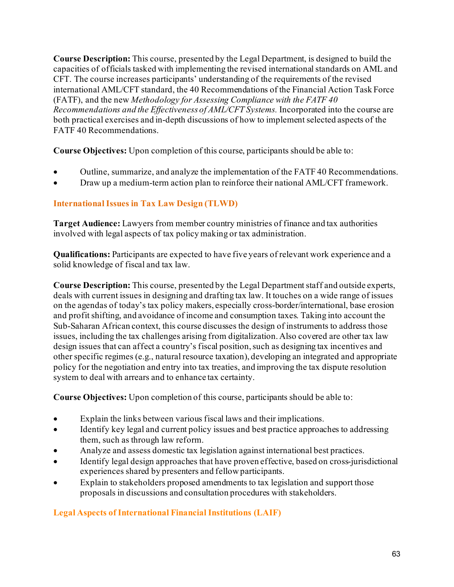**Course Description:** This course, presented by the Legal Department, is designed to build the capacities of officials tasked with implementing the revised international standards on AML and CFT. The course increases participants' understanding of the requirements of the revised international AML/CFT standard, the 40 Recommendations of the Financial Action Task Force (FATF), and the new *Methodology for Assessing Compliance with the FATF 40 Recommendations and the Effectiveness of AML/CFT Systems.* Incorporated into the course are both practical exercises and in-depth discussions of how to implement selected aspects of the FATF 40 Recommendations.

**Course Objectives:** Upon completion of this course, participants should be able to:

- Outline, summarize, and analyze the implementation of the FATF 40 Recommendations.
- Draw up a medium-term action plan to reinforce their national AML/CFT framework.

# **International Issues in Tax Law Design (TLWD)**

**Target Audience:** Lawyers from member country ministries of finance and tax authorities involved with legal aspects of tax policy making or tax administration.

**Qualifications:** Participants are expected to have five years of relevant work experience and a solid knowledge of fiscal and tax law.

**Course Description:** This course, presented by the Legal Department staff and outside experts, deals with current issues in designing and drafting tax law. It touches on a wide range of issues on the agendas of today's tax policy makers, especially cross-border/international, base erosion and profit shifting, and avoidance of income and consumption taxes. Taking into account the Sub-Saharan African context, this course discusses the design of instruments to address those issues, including the tax challenges arising from digitalization. Also covered are other tax law design issues that can affect a country's fiscal position, such as designing tax incentives and other specific regimes (e.g., natural resource taxation), developing an integrated and appropriate policy for the negotiation and entry into tax treaties, and improving the tax dispute resolution system to deal with arrears and to enhance tax certainty.

**Course Objectives:** Upon completion of this course, participants should be able to:

- Explain the links between various fiscal laws and their implications.
- Identify key legal and current policy issues and best practice approaches to addressing them, such as through law reform.
- Analyze and assess domestic tax legislation against international best practices.
- Identify legal design approaches that have proven effective, based on cross-jurisdictional experiences shared by presenters and fellow participants.
- Explain to stakeholders proposed amendments to tax legislation and support those proposals in discussions and consultation procedures with stakeholders.

#### **Legal Aspects of International Financial Institutions (LAIF)**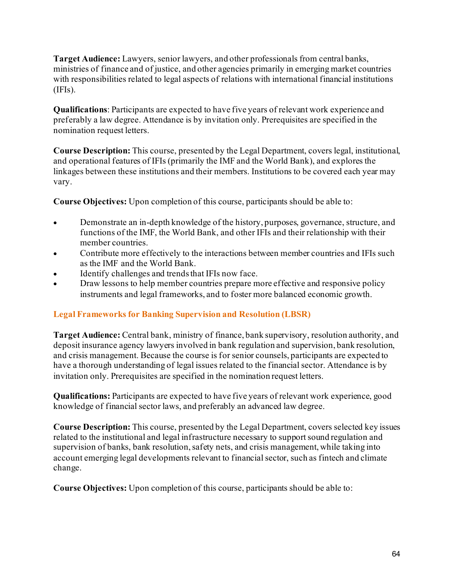**Target Audience:** Lawyers, senior lawyers, and other professionals from central banks, ministries of finance and of justice, and other agencies primarily in emerging market countries with responsibilities related to legal aspects of relations with international financial institutions (IFIs).

**Qualifications**: Participants are expected to have five years of relevant work experience and preferably a law degree. Attendance is by invitation only. Prerequisites are specified in the nomination request letters.

**Course Description:** This course, presented by the Legal Department, covers legal, institutional, and operational features of IFIs (primarily the IMF and the World Bank), and explores the linkages between these institutions and their members. Institutions to be covered each year may vary.

**Course Objectives:** Upon completion of this course, participants should be able to:

- Demonstrate an in-depth knowledge of the history, purposes, governance, structure, and functions of the IMF, the World Bank, and other IFIs and their relationship with their member countries.
- Contribute more effectively to the interactions between member countries and IFIs such as the IMF and the World Bank.
- Identify challenges and trends that IFIs now face.
- Draw lessons to help member countries prepare more effective and responsive policy instruments and legal frameworks, and to foster more balanced economic growth.

# **Legal Frameworks for Banking Supervision and Resolution (LBSR)**

**Target Audience:** Central bank, ministry of finance, bank supervisory, resolution authority, and deposit insurance agency lawyers involved in bank regulation and supervision, bank resolution, and crisis management. Because the course is for senior counsels, participants are expected to have a thorough understanding of legal issues related to the financial sector. Attendance is by invitation only. Prerequisites are specified in the nomination request letters.

**Qualifications:** Participants are expected to have five years of relevant work experience, good knowledge of financial sector laws, and preferably an advanced law degree.

**Course Description:** This course, presented by the Legal Department, covers selected key issues related to the institutional and legal infrastructure necessary to support sound regulation and supervision of banks, bank resolution, safety nets, and crisis management, while taking into account emerging legal developments relevant to financial sector, such as fintech and climate change.

**Course Objectives:** Upon completion of this course, participants should be able to: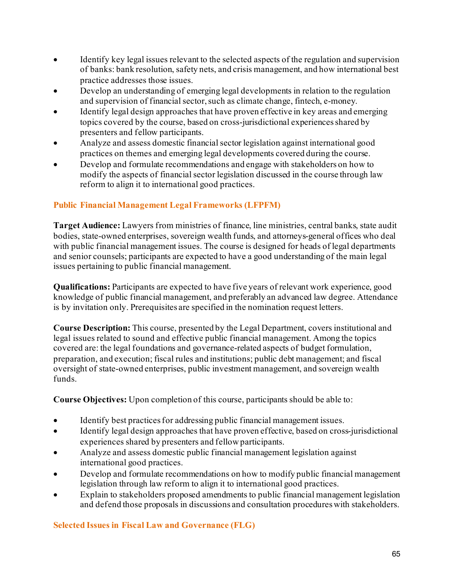- Identify key legal issues relevant to the selected aspects of the regulation and supervision of banks: bank resolution, safety nets, and crisis management, and how international best practice addresses those issues.
- Develop an understanding of emerging legal developments in relation to the regulation and supervision of financial sector, such as climate change, fintech, e-money.
- Identify legal design approaches that have proven effective in key areas and emerging topics covered by the course, based on cross-jurisdictional experiences shared by presenters and fellow participants.
- Analyze and assess domestic financial sector legislation against international good practices on themes and emerging legal developments covered during the course.
- Develop and formulate recommendations and engage with stakeholders on how to modify the aspects of financial sector legislation discussed in the course through law reform to align it to international good practices.

# **Public Financial Management Legal Frameworks (LFPFM)**

**Target Audience:** Lawyers from ministries of finance, line ministries, central banks, state audit bodies, state-owned enterprises, sovereign wealth funds, and attorneys-general offices who deal with public financial management issues. The course is designed for heads of legal departments and senior counsels; participants are expected to have a good understanding of the main legal issues pertaining to public financial management.

**Qualifications:** Participants are expected to have five years of relevant work experience, good knowledge of public financial management, and preferably an advanced law degree. Attendance is by invitation only. Prerequisites are specified in the nomination request letters.

**Course Description:** This course, presented by the Legal Department, covers institutional and legal issues related to sound and effective public financial management. Among the topics covered are: the legal foundations and governance-related aspects of budget formulation, preparation, and execution; fiscal rules and institutions; public debt management; and fiscal oversight of state-owned enterprises, public investment management, and sovereign wealth funds.

**Course Objectives:** Upon completion of this course, participants should be able to:

- Identify best practices for addressing public financial management issues.
- Identify legal design approaches that have proven effective, based on cross-jurisdictional experiences shared by presenters and fellow participants.
- Analyze and assess domestic public financial management legislation against international good practices.
- Develop and formulate recommendations on how to modify public financial management legislation through law reform to align it to international good practices.
- Explain to stakeholders proposed amendments to public financial management legislation and defend those proposals in discussions and consultation procedures with stakeholders.

**Selected Issues in Fiscal Law and Governance (FLG)**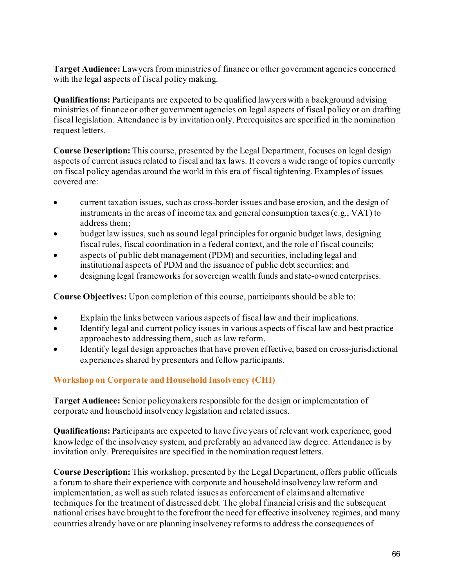**Target Audience:** Lawyers from ministries of finance or other government agencies concerned with the legal aspects of fiscal policy making.

**Qualifications:** Participants are expected to be qualified lawyers with a background advising ministries of finance or other government agencies on legal aspects of fiscal policy or on drafting fiscal legislation. Attendance is by invitation only. Prerequisites are specified in the nomination request letters.

**Course Description:** This course, presented by the Legal Department, focuses on legal design aspects of current issues related to fiscal and tax laws. It covers a wide range of topics currently on fiscal policy agendas around the world in this era of fiscal tightening. Examples of issues covered are:

- current taxation issues, such as cross-border issues and base erosion, and the design of instruments in the areas of income tax and general consumption taxes (e.g., VAT) to address them;
- budget law issues, such as sound legal principles for organic budget laws, designing fiscal rules, fiscal coordination in a federal context, and the role of fiscal councils;
- aspects of public debt management (PDM) and securities, including legal and institutional aspects of PDM and the issuance of public debt securities; and
- designing legal frameworks for sovereign wealth funds and state-owned enterprises.

**Course Objectives:** Upon completion of this course, participants should be able to:

- Explain the links between various aspects of fiscal law and their implications.
- Identify legal and current policy issues in various aspects of fiscal law and best practice approaches to addressing them, such as law reform.
- Identify legal design approaches that have proven effective, based on cross-jurisdictional experiences shared by presenters and fellow participants.

# **Workshop on Corporate and Household Insolvency (CHI)**

**Target Audience:** Senior policymakers responsible for the design or implementation of corporate and household insolvency legislation and related issues.

**Qualifications:** Participants are expected to have five years of relevant work experience, good knowledge of the insolvency system, and preferably an advanced law degree. Attendance is by invitation only. Prerequisites are specified in the nomination request letters.

**Course Description:** This workshop, presented by the Legal Department, offers public officials a forum to share their experience with corporate and household insolvency law reform and implementation, as well as such related issues as enforcement of claims and alternative techniques for the treatment of distressed debt. The global financial crisis and the subsequent national crises have brought to the forefront the need for effective insolvency regimes, and many countries already have or are planning insolvency reforms to address the consequences of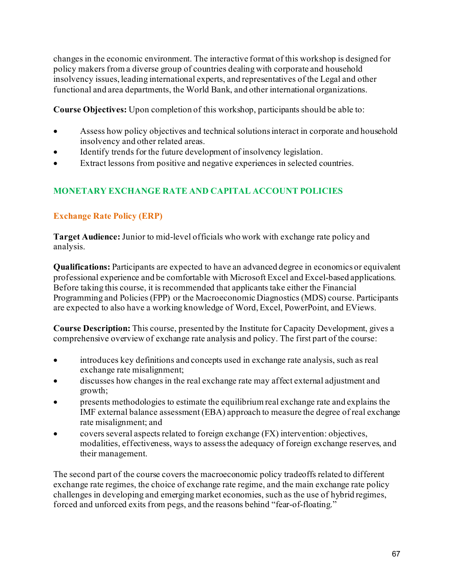changes in the economic environment. The interactive format of this workshop is designed for policy makers from a diverse group of countries dealing with corporate and household insolvency issues, leading international experts, and representatives of the Legal and other functional and area departments, the World Bank, and other international organizations.

**Course Objectives:** Upon completion of this workshop, participants should be able to:

- Assess how policy objectives and technical solutions interact in corporate and household insolvency and other related areas.
- Identify trends for the future development of insolvency legislation.
- Extract lessons from positive and negative experiences in selected countries.

# **MONETARY EXCHANGE RATE AND CAPITAL ACCOUNT POLICIES**

# **Exchange Rate Policy (ERP)**

**Target Audience:** Junior to mid-level officials who work with exchange rate policy and analysis.

**Qualifications:** Participants are expected to have an advanced degree in economics or equivalent professional experience and be comfortable with Microsoft Excel and Excel-based applications. Before taking this course, it is recommended that applicants take either the Financial Programming and Policies (FPP) or the Macroeconomic Diagnostics (MDS) course. Participants are expected to also have a working knowledge of Word, Excel, PowerPoint, and EViews.

**Course Description:** This course, presented by the Institute for Capacity Development, gives a comprehensive overview of exchange rate analysis and policy. The first part of the course:

- introduces key definitions and concepts used in exchange rate analysis, such as real exchange rate misalignment;
- discusses how changes in the real exchange rate may affect external adjustment and growth;
- presents methodologies to estimate the equilibrium real exchange rate and explains the IMF external balance assessment (EBA) approach to measure the degree of real exchange rate misalignment; and
- covers several aspects related to foreign exchange (FX) intervention: objectives, modalities, effectiveness, ways to assess the adequacy of foreign exchange reserves, and their management.

The second part of the course covers the macroeconomic policy tradeoffs related to different exchange rate regimes, the choice of exchange rate regime, and the main exchange rate policy challenges in developing and emerging market economies, such as the use of hybrid regimes, forced and unforced exits from pegs, and the reasons behind "fear-of-floating."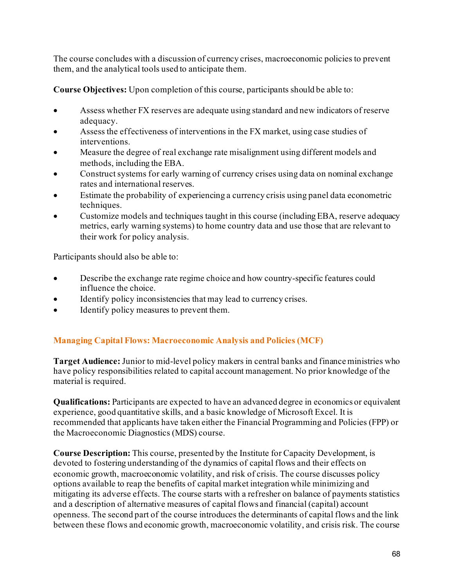The course concludes with a discussion of currency crises, macroeconomic policies to prevent them, and the analytical tools used to anticipate them.

**Course Objectives:** Upon completion of this course, participants should be able to:

- Assess whether FX reserves are adequate using standard and new indicators of reserve adequacy.
- Assess the effectiveness of interventions in the FX market, using case studies of interventions.
- Measure the degree of real exchange rate misalignment using different models and methods, including the EBA.
- Construct systems for early warning of currency crises using data on nominal exchange rates and international reserves.
- Estimate the probability of experiencing a currency crisis using panel data econometric techniques.
- Customize models and techniques taught in this course (including EBA, reserve adequacy metrics, early warning systems) to home country data and use those that are relevant to their work for policy analysis.

Participants should also be able to:

- Describe the exchange rate regime choice and how country-specific features could influence the choice.
- Identify policy inconsistencies that may lead to currency crises.
- Identify policy measures to prevent them.

# **Managing Capital Flows: Macroeconomic Analysis and Policies (MCF)**

**Target Audience:** Junior to mid-level policy makers in central banks and finance ministries who have policy responsibilities related to capital account management. No prior knowledge of the material is required.

**Qualifications:** Participants are expected to have an advanced degree in economics or equivalent experience, good quantitative skills, and a basic knowledge of Microsoft Excel. It is recommended that applicants have taken either the Financial Programming and Policies (FPP) or the Macroeconomic Diagnostics (MDS) course.

**Course Description:** This course, presented by the Institute for Capacity Development, is devoted to fostering understanding of the dynamics of capital flows and their effects on economic growth, macroeconomic volatility, and risk of crisis. The course discusses policy options available to reap the benefits of capital market integration while minimizing and mitigating its adverse effects. The course starts with a refresher on balance of payments statistics and a description of alternative measures of capital flows and financial (capital) account openness. The second part of the course introduces the determinants of capital flows and the link between these flows and economic growth, macroeconomic volatility, and crisis risk. The course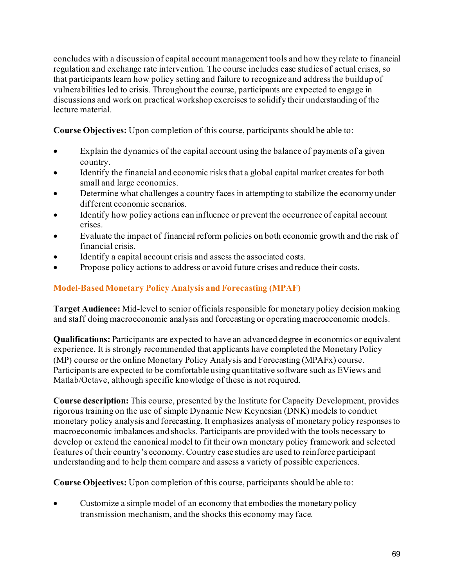concludes with a discussion of capital account management tools and how they relate to financial regulation and exchange rate intervention. The course includes case studies of actual crises, so that participants learn how policy setting and failure to recognize and address the buildup of vulnerabilities led to crisis. Throughout the course, participants are expected to engage in discussions and work on practical workshop exercises to solidify their understanding of the lecture material.

**Course Objectives:** Upon completion of this course, participants should be able to:

- Explain the dynamics of the capital account using the balance of payments of a given country.
- Identify the financial and economic risks that a global capital market creates for both small and large economies.
- Determine what challenges a country faces in attempting to stabilize the economy under different economic scenarios.
- Identify how policy actions can influence or prevent the occurrence of capital account crises.
- Evaluate the impact of financial reform policies on both economic growth and the risk of financial crisis.
- Identify a capital account crisis and assess the associated costs.
- Propose policy actions to address or avoid future crises and reduce their costs.

# **Model-Based Monetary Policy Analysis and Forecasting (MPAF)**

**Target Audience:** Mid-level to senior officials responsible for monetary policy decision making and staff doing macroeconomic analysis and forecasting or operating macroeconomic models.

**Qualifications:** Participants are expected to have an advanced degree in economics or equivalent experience. It is strongly recommended that applicants have completed the Monetary Policy (MP) course or the online Monetary Policy Analysis and Forecasting (MPAFx) course. Participants are expected to be comfortable using quantitative software such as EViews and Matlab/Octave, although specific knowledge of these is not required.

**Course description:** This course, presented by the Institute for Capacity Development, provides rigorous training on the use of simple Dynamic New Keynesian (DNK) models to conduct monetary policy analysis and forecasting. It emphasizes analysis of monetary policy responses to macroeconomic imbalances and shocks. Participants are provided with the tools necessary to develop or extend the canonical model to fit their own monetary policy framework and selected features of their country's economy. Country case studies are used to reinforce participant understanding and to help them compare and assess a variety of possible experiences.

**Course Objectives:** Upon completion of this course, participants should be able to:

• Customize a simple model of an economy that embodies the monetary policy transmission mechanism, and the shocks this economy may face.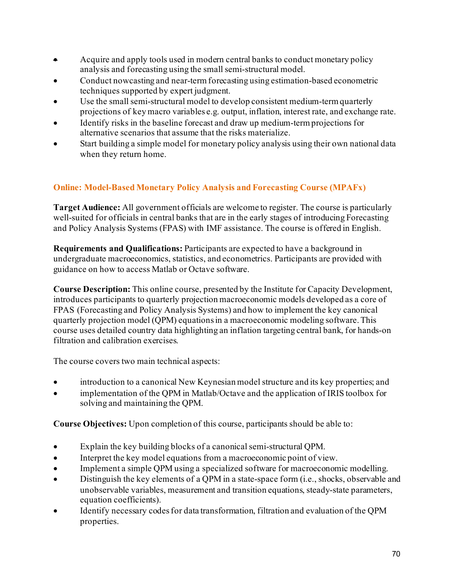- Acquire and apply tools used in modern central banks to conduct monetary policy analysis and forecasting using the smallsemi-structural model.
- Conduct nowcasting and near-term forecasting using estimation-based econometric techniques supported by expert judgment.
- Use the small semi-structural model to develop consistent medium-term quarterly projections of key macro variables e.g. output, inflation, interest rate, and exchange rate.
- Identify risks in the baseline forecast and draw up medium-term projections for alternative scenarios that assume that the risks materialize.
- Start building a simple model for monetary policy analysis using their own national data when they return home.

# **Online: Model-Based Monetary Policy Analysis and Forecasting Course (MPAFx)**

**Target Audience:** All government officials are welcome to register. The course is particularly well-suited for officials in central banks that are in the early stages of introducing Forecasting and Policy Analysis Systems (FPAS) with IMF assistance. The course is offered in English.

**Requirements and Qualifications:** Participants are expected to have a background in undergraduate macroeconomics, statistics, and econometrics. Participants are provided with guidance on how to access Matlab or Octave software.

**Course Description:** This online course, presented by the Institute for Capacity Development, introduces participants to quarterly projection macroeconomic models developed as a core of FPAS (Forecasting and Policy Analysis Systems) and how to implement the key canonical quarterly projection model (QPM) equations in a macroeconomic modeling software. This course uses detailed country data highlighting an inflation targeting central bank, for hands-on filtration and calibration exercises.

The course covers two main technical aspects:

- introduction to a canonical New Keynesian model structure and its key properties; and
- implementation of the QPM in Matlab/Octave and the application of IRIS toolbox for solving and maintaining the QPM.

**Course Objectives:** Upon completion of this course, participants should be able to:

- Explain the key building blocks of a canonical semi-structural QPM.
- Interpret the key model equations from a macroeconomic point of view.
- Implement a simple QPM using a specialized software for macroeconomic modelling.
- Distinguish the key elements of a QPM in a state-space form (i.e., shocks, observable and unobservable variables, measurement and transition equations, steady-state parameters, equation coefficients).
- Identify necessary codes for data transformation, filtration and evaluation of the QPM properties.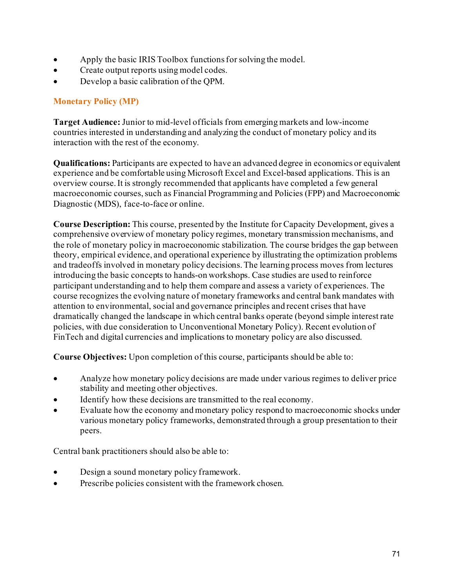- Apply the basic IRIS Toolbox functions for solving the model.
- Create output reports using model codes.
- Develop a basic calibration of the QPM.

# **Monetary Policy (MP)**

**Target Audience:** Junior to mid-level officials from emerging markets and low-income countries interested in understanding and analyzing the conduct of monetary policy and its interaction with the rest of the economy.

**Qualifications:** Participants are expected to have an advanced degree in economics or equivalent experience and be comfortable using Microsoft Excel and Excel-based applications. This is an overview course. It is strongly recommended that applicants have completed a few general macroeconomic courses, such as Financial Programming and Policies (FPP) and Macroeconomic Diagnostic (MDS), face-to-face or online.

**Course Description:** This course, presented by the Institute for Capacity Development, gives a comprehensive overview of monetary policy regimes, monetary transmission mechanisms, and the role of monetary policy in macroeconomic stabilization. The course bridges the gap between theory, empirical evidence, and operational experience by illustrating the optimization problems and tradeoffs involved in monetary policy decisions. The learning process moves from lectures introducing the basic concepts to hands-on workshops. Case studies are used to reinforce participant understanding and to help them compare and assess a variety of experiences. The course recognizes the evolving nature of monetary frameworks and central bank mandates with attention to environmental, social and governance principles and recent crises that have dramatically changed the landscape in which central banks operate (beyond simple interest rate policies, with due consideration to Unconventional Monetary Policy). Recent evolution of FinTech and digital currencies and implications to monetary policy are also discussed.

**Course Objectives:** Upon completion of this course, participants should be able to:

- Analyze how monetary policy decisions are made under various regimes to deliver price stability and meeting other objectives.
- Identify how these decisions are transmitted to the real economy.
- Evaluate how the economy and monetary policy respond to macroeconomic shocks under various monetary policy frameworks, demonstrated through a group presentation to their peers.

Central bank practitioners should also be able to:

- Design a sound monetary policy framework.
- Prescribe policies consistent with the framework chosen.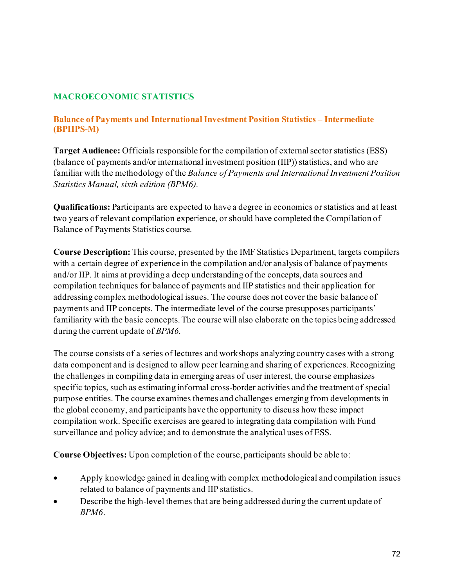#### **MACROECONOMIC STATISTICS**

#### **Balance of Payments and International Investment Position Statistics – Intermediate (BPIIPS-M)**

**Target Audience:** Officials responsible for the compilation of external sector statistics (ESS) (balance of payments and/or international investment position (IIP)) statistics, and who are familiar with the methodology of the *Balance of Payments and International Investment Position Statistics Manual, sixth edition (BPM6).* 

**Qualifications:** Participants are expected to have a degree in economics or statistics and at least two years of relevant compilation experience, or should have completed the Compilation of Balance of Payments Statistics course.

**Course Description:** This course, presented by the IMF Statistics Department, targets compilers with a certain degree of experience in the compilation and/or analysis of balance of payments and/or IIP. It aims at providing a deep understanding of the concepts, data sources and compilation techniques for balance of payments and IIP statistics and their application for addressing complex methodological issues. The course does not cover the basic balance of payments and IIP concepts. The intermediate level of the course presupposes participants' familiarity with the basic concepts. The course will also elaborate on the topics being addressed during the current update of *BPM6.*

The course consists of a series of lectures and workshops analyzing country cases with a strong data component and is designed to allow peer learning and sharing of experiences. Recognizing the challenges in compiling data in emerging areas of user interest, the course emphasizes specific topics, such as estimating informal cross-border activities and the treatment of special purpose entities. The course examines themes and challenges emerging from developments in the global economy, and participants have the opportunity to discuss how these impact compilation work. Specific exercises are geared to integrating data compilation with Fund surveillance and policy advice; and to demonstrate the analytical uses of ESS.

**Course Objectives:** Upon completion of the course, participants should be able to:

- Apply knowledge gained in dealing with complex methodological and compilation issues related to balance of payments and IIP statistics.
- Describe the high-level themes that are being addressed during the current update of *BPM6*.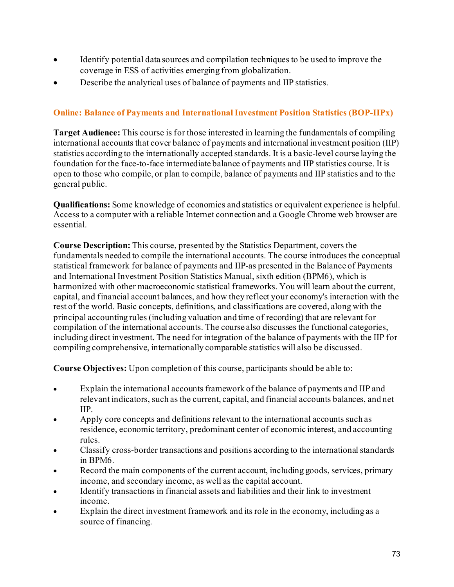- Identify potential data sources and compilation techniques to be used to improve the coverage in ESS of activities emerging from globalization.
- Describe the analytical uses of balance of payments and IIP statistics.

# **Online: Balance of Payments and International Investment Position Statistics (BOP-IIPx)**

**Target Audience:** This course is for those interested in learning the fundamentals of compiling international accounts that cover balance of payments and international investment position (IIP) statistics according to the internationally accepted standards. It is a basic-level course laying the foundation for the face-to-face intermediate balance of payments and IIP statistics course. It is open to those who compile, or plan to compile, balance of payments and IIP statistics and to the general public.

**Qualifications:** Some knowledge of economics and statistics or equivalent experience is helpful. Access to a computer with a reliable Internet connection and a Google Chrome web browser are essential.

**Course Description:** This course, presented by the Statistics Department, covers the fundamentals needed to compile the international accounts. The course introduces the conceptual statistical framework for balance of payments and IIP-as presented in the Balance of Payments and International Investment Position Statistics Manual, sixth edition (BPM6), which is harmonized with other macroeconomic statistical frameworks. You will learn about the current, capital, and financial account balances, and how they reflect your economy's interaction with the rest of the world. Basic concepts, definitions, and classifications are covered, along with the principal accounting rules (including valuation and time of recording) that are relevant for compilation of the international accounts. The course also discusses the functional categories, including direct investment. The need for integration of the balance of payments with the IIP for compiling comprehensive, internationally comparable statistics will also be discussed.

**Course Objectives:** Upon completion of this course, participants should be able to:

- Explain the international accounts framework of the balance of payments and IIP and relevant indicators, such as the current, capital, and financial accounts balances, and net IIP.
- Apply core concepts and definitions relevant to the international accounts such as residence, economic territory, predominant center of economic interest, and accounting rules.
- Classify cross-border transactions and positions according to the international standards in BPM6.
- Record the main components of the current account, including goods, services, primary income, and secondary income, as well as the capital account.
- Identify transactions in financial assets and liabilities and their link to investment income.
- Explain the direct investment framework and its role in the economy, including as a source of financing.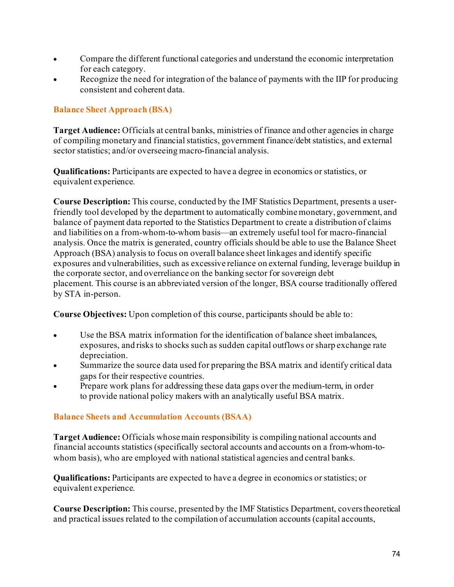- Compare the different functional categories and understand the economic interpretation for each category.
- Recognize the need for integration of the balance of payments with the IIP for producing consistent and coherent data.

## **Balance Sheet Approach (BSA)**

**Target Audience:** Officials at central banks, ministries of finance and other agencies in charge of compiling monetary and financial statistics, government finance/debt statistics, and external sector statistics; and/or overseeing macro-financial analysis.

**Qualifications:** Participants are expected to have a degree in economics or statistics, or equivalent experience.

**Course Description:** This course, conducted by the IMF Statistics Department, presents a userfriendly tool developed by the department to automatically combine monetary, government, and balance of payment data reported to the Statistics Department to create a distribution of claims and liabilities on a from-whom-to-whom basis—an extremely useful tool for macro-financial analysis. Once the matrix is generated, country officials should be able to use the Balance Sheet Approach (BSA) analysis to focus on overall balance sheet linkages and identify specific exposures and vulnerabilities, such as excessive reliance on external funding, leverage buildup in the corporate sector, and overreliance on the banking sector for sovereign debt placement. This course is an abbreviated version of the longer, BSA course traditionally offered by STA in-person.

**Course Objectives:** Upon completion of this course, participants should be able to:

- Use the BSA matrix information for the identification of balance sheet imbalances, exposures, and risks to shocks such as sudden capital outflows or sharp exchange rate depreciation.
- Summarize the source data used for preparing the BSA matrix and identify critical data gaps for their respective countries.
- Prepare work plans for addressing these data gaps over the medium-term, in order to provide national policy makers with an analytically useful BSA matrix.

## **Balance Sheets and Accumulation Accounts (BSAA)**

**Target Audience:** Officials whose main responsibility is compiling national accounts and financial accounts statistics (specifically sectoral accounts and accounts on a from-whom-towhom basis), who are employed with national statistical agencies and central banks.

**Qualifications:** Participants are expected to have a degree in economics or statistics; or equivalent experience.

**Course Description:** This course, presented by the IMF Statistics Department, covers theoretical and practical issues related to the compilation of accumulation accounts (capital accounts,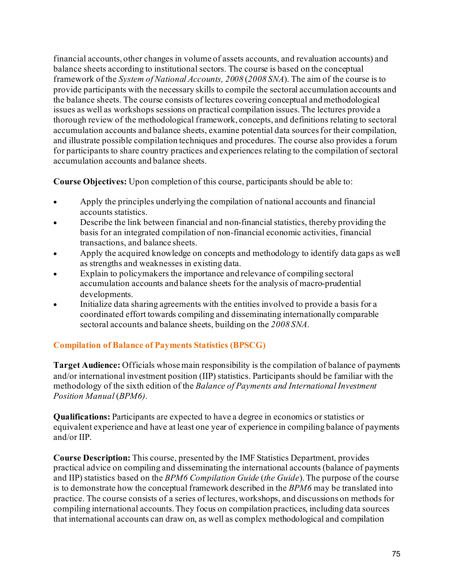financial accounts, other changes in volume of assets accounts, and revaluation accounts) and balance sheets according to institutional sectors. The course is based on the conceptual framework of the *System of National Accounts, 2008* (*2008 SNA*). The aim of the course is to provide participants with the necessary skills to compile the sectoral accumulation accounts and the balance sheets. The course consists of lectures covering conceptual and methodological issues as well as workshops sessions on practical compilation issues. The lectures provide a thorough review of the methodological framework, concepts, and definitions relating to sectoral accumulation accounts and balance sheets, examine potential data sources for their compilation, and illustrate possible compilation techniques and procedures. The course also provides a forum for participants to share country practices and experiences relating to the compilation of sectoral accumulation accounts and balance sheets.

**Course Objectives:** Upon completion of this course, participants should be able to:

- Apply the principles underlying the compilation of national accounts and financial accounts statistics.
- Describe the link between financial and non-financial statistics, thereby providing the basis for an integrated compilation of non-financial economic activities, financial transactions, and balance sheets.
- Apply the acquired knowledge on concepts and methodology to identify data gaps as well as strengths and weaknesses in existing data.
- Explain to policymakers the importance and relevance of compiling sectoral accumulation accounts and balance sheets for the analysis of macro-prudential developments.
- Initialize data sharing agreements with the entities involved to provide a basis for a coordinated effort towards compiling and disseminating internationally comparable sectoral accounts and balance sheets, building on the *2008 SNA*.

# **Compilation of Balance of Payments Statistics (BPSCG)**

**Target Audience:** Officials whose main responsibility is the compilation of balance of payments and/or international investment position (IIP) statistics. Participants should be familiar with the methodology of the sixth edition of the *Balance of Payments and International Investment Position Manual* (*BPM6)*.

**Qualifications:** Participants are expected to have a degree in economics or statistics or equivalent experience and have at least one year of experience in compiling balance of payments and/or IIP.

**Course Description:** This course, presented by the IMF Statistics Department, provides practical advice on compiling and disseminating the international accounts (balance of payments and IIP) statistics based on the *BPM6 Compilation Guide* (*the Guide*). The purpose of the course is to demonstrate how the conceptual framework described in the *BPM6* may be translated into practice. The course consists of a series of lectures, workshops, and discussions on methods for compiling international accounts. They focus on compilation practices, including data sources that international accounts can draw on, as well as complex methodological and compilation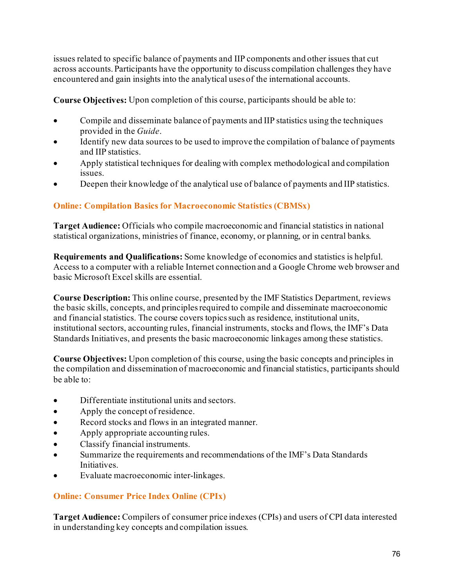issues related to specific balance of payments and IIP components and other issues that cut across accounts. Participants have the opportunity to discuss compilation challenges they have encountered and gain insights into the analytical uses of the international accounts.

**Course Objectives:** Upon completion of this course, participants should be able to:

- Compile and disseminate balance of payments and IIP statistics using the techniques provided in the *Guide*.
- Identify new data sources to be used to improve the compilation of balance of payments and IIP statistics.
- Apply statistical techniques for dealing with complex methodological and compilation issues.
- Deepen their knowledge of the analytical use of balance of payments and IIP statistics.

## **Online: Compilation Basics for Macroeconomic Statistics (CBMSx)**

**Target Audience:** Officials who compile macroeconomic and financial statistics in national statistical organizations, ministries of finance, economy, or planning, or in central banks.

**Requirements and Qualifications:** Some knowledge of economics and statistics is helpful. Access to a computer with a reliable Internet connection and a Google Chrome web browser and basic Microsoft Excel skills are essential.

**Course Description:** This online course, presented by the IMF Statistics Department, reviews the basic skills, concepts, and principles required to compile and disseminate macroeconomic and financial statistics. The course covers topics such as residence, institutional units, institutional sectors, accounting rules, financial instruments, stocks and flows, the IMF's Data Standards Initiatives, and presents the basic macroeconomic linkages among these statistics.

**Course Objectives:** Upon completion of this course, using the basic concepts and principles in the compilation and dissemination of macroeconomic and financial statistics, participants should be able to:

- Differentiate institutional units and sectors.
- Apply the concept of residence.
- Record stocks and flows in an integrated manner.
- Apply appropriate accounting rules.
- Classify financial instruments.
- Summarize the requirements and recommendations of the IMF's Data Standards Initiatives.
- Evaluate macroeconomic inter-linkages.

## **Online: Consumer Price Index Online (CPIx)**

**Target Audience:** Compilers of consumer price indexes (CPIs) and users of CPI data interested in understanding key concepts and compilation issues.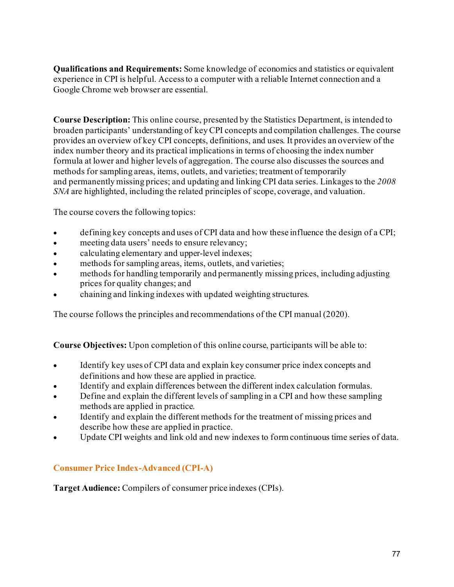**Qualifications and Requirements:** Some knowledge of economics and statistics or equivalent experience in CPI is helpful. Access to a computer with a reliable Internet connection and a Google Chrome web browser are essential.

**Course Description:** This online course, presented by the Statistics Department, is intended to broaden participants' understanding of key CPI concepts and compilation challenges. The course provides an overview of key CPI concepts, definitions, and uses. It provides an overview of the index number theory and its practical implications in terms of choosing the index number formula at lower and higher levels of aggregation. The course also discusses the sources and methods for sampling areas, items, outlets, and varieties; treatment of temporarily and permanently missing prices; and updating and linking CPI data series. Linkages to the *2008 SNA* are highlighted, including the related principles of scope, coverage, and valuation.

The course covers the following topics:

- defining key concepts and uses of CPI data and how these influence the design of a CPI;
- meeting data users' needs to ensure relevancy;
- calculating elementary and upper-level indexes;
- methods for sampling areas, items, outlets, and varieties;
- methods for handling temporarily and permanently missing prices, including adjusting prices for quality changes; and
- chaining and linking indexes with updated weighting structures.

The course follows the principles and recommendations of the CPI manual (2020).

**Course Objectives:** Upon completion of this online course, participants will be able to:

- Identify key uses of CPI data and explain key consumer price index concepts and definitions and how these are applied in practice.
- Identify and explain differences between the different index calculation formulas.
- Define and explain the different levels of sampling in a CPI and how these sampling methods are applied in practice.
- Identify and explain the different methods for the treatment of missing prices and describe how these are applied in practice.
- Update CPI weights and link old and new indexes to form continuous time series of data.

## **Consumer Price Index-Advanced (CPI-A)**

**Target Audience:** Compilers of consumer price indexes (CPIs).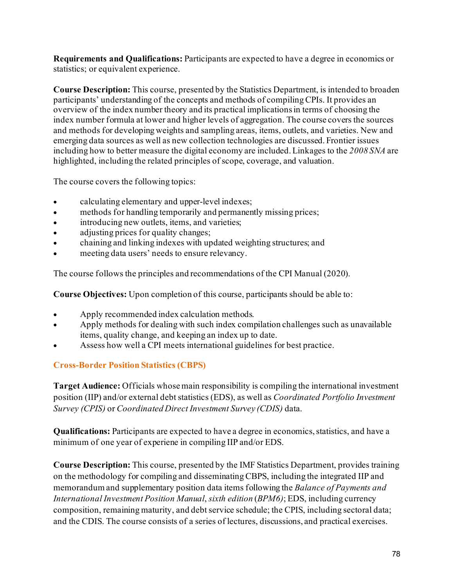**Requirements and Qualifications:** Participants are expected to have a degree in economics or statistics; or equivalent experience.

**Course Description:** This course, presented by the Statistics Department, is intended to broaden participants' understanding of the concepts and methods of compiling CPIs. It provides an overview of the index number theory and its practical implications in terms of choosing the index number formula at lower and higher levels of aggregation. The course covers the sources and methods for developing weights and sampling areas, items, outlets, and varieties. New and emerging data sources as well as new collection technologies are discussed. Frontier issues including how to better measure the digital economy are included. Linkages to the *2008 SNA* are highlighted, including the related principles of scope, coverage, and valuation.

The course covers the following topics:

- calculating elementary and upper-level indexes;
- methods for handling temporarily and permanently missing prices;
- introducing new outlets, items, and varieties;
- adjusting prices for quality changes;
- chaining and linking indexes with updated weighting structures; and
- meeting data users' needs to ensure relevancy.

The course follows the principles and recommendations of the CPI Manual (2020).

**Course Objectives:** Upon completion of this course, participants should be able to:

- Apply recommended index calculation methods.
- Apply methods for dealing with such index compilation challenges such as unavailable items, quality change, and keeping an index up to date.
- Assess how well a CPI meets international guidelines for best practice.

## **Cross-Border Position Statistics (CBPS)**

**Target Audience:** Officials whose main responsibility is compiling the international investment position (IIP) and/or external debt statistics (EDS), as well as *Coordinated Portfolio Investment Survey (CPIS)* or *Coordinated Direct Investment Survey (CDIS)* data.

**Qualifications:** Participants are expected to have a degree in economics, statistics, and have a minimum of one year of experiene in compiling IIP and/or EDS.

**Course Description:** This course, presented by the IMF Statistics Department, provides training on the methodology for compiling and disseminating CBPS, including the integrated IIP and memorandum and supplementary position data items following the *Balance of Payments and International Investment Position Manual*, *sixth edition* (*BPM6)*; EDS, including currency composition, remaining maturity, and debt service schedule; the CPIS, including sectoral data; and the CDIS. The course consists of a series of lectures, discussions, and practical exercises.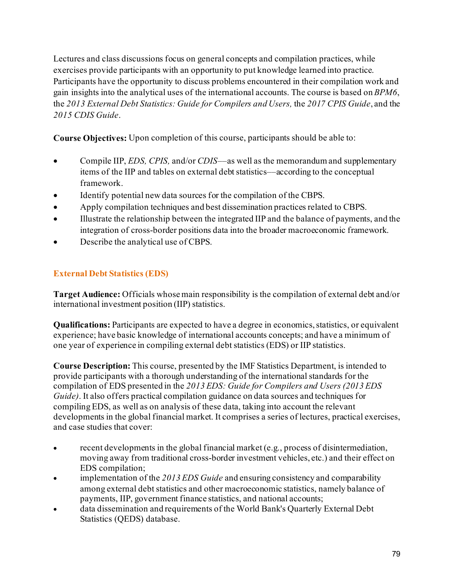Lectures and class discussions focus on general concepts and compilation practices, while exercises provide participants with an opportunity to put knowledge learned into practice. Participants have the opportunity to discuss problems encountered in their compilation work and gain insights into the analytical uses of the international accounts. The course is based on *BPM6*, the *2013 External Debt Statistics: Guide for Compilers and Users,* the *2017 CPIS Guide*, and the *2015 CDIS Guide*.

**Course Objectives:** Upon completion of this course, participants should be able to:

- Compile IIP, *EDS, CPIS,* and/or *CDIS––*as well as the memorandum and supplementary items of the IIP and tables on external debt statistics––according to the conceptual framework.
- Identify potential new data sources for the compilation of the CBPS.
- Apply compilation techniques and best dissemination practices related to CBPS.
- Illustrate the relationship between the integrated IIP and the balance of payments, and the integration of cross-border positions data into the broader macroeconomic framework.
- Describe the analytical use of CBPS.

# **External Debt Statistics (EDS)**

**Target Audience:** Officials whose main responsibility is the compilation of external debt and/or international investment position (IIP) statistics.

**Qualifications:** Participants are expected to have a degree in economics, statistics, or equivalent experience; have basic knowledge of international accounts concepts; and have a minimum of one year of experience in compiling external debt statistics (EDS) or IIP statistics.

**Course Description:** This course, presented by the IMF Statistics Department, is intended to provide participants with a thorough understanding of the international standards for the compilation of EDS presented in the *2013 EDS: Guide for Compilers and Users (2013 EDS Guide)*. It also offers practical compilation guidance on data sources and techniques for compiling EDS, as well as on analysis of these data, taking into account the relevant developments in the global financial market. It comprises a series of lectures, practical exercises, and case studies that cover:

- recent developments in the global financial market (e.g., process of disintermediation, moving away from traditional cross-border investment vehicles, etc.) and their effect on EDS compilation;
- implementation of the *2013 EDS Guide* and ensuring consistency and comparability among external debt statistics and other macroeconomic statistics, namely balance of payments, IIP, government finance statistics, and national accounts;
- data dissemination and requirements of the World Bank's Quarterly External Debt Statistics (QEDS) database.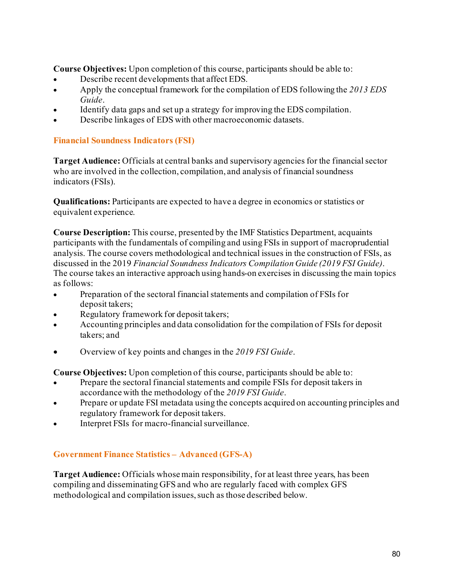**Course Objectives:** Upon completion of this course, participants should be able to:

- Describe recent developments that affect EDS.
- Apply the conceptual framework for the compilation of EDS following the *2013 EDS Guide*.
- Identify data gaps and set up a strategy for improving the EDS compilation.
- Describe linkages of EDS with other macroeconomic datasets.

## **Financial Soundness Indicators (FSI)**

**Target Audience:** Officials at central banks and supervisory agencies for the financial sector who are involved in the collection, compilation, and analysis of financial soundness indicators (FSIs).

**Qualifications:** Participants are expected to have a degree in economics or statistics or equivalent experience.

**Course Description:** This course, presented by the IMF Statistics Department, acquaints participants with the fundamentals of compiling and using FSIs in support of macroprudential analysis. The course covers methodological and technical issues in the construction of FSIs, as discussed in the 2019 *Financial Soundness Indicators Compilation Guide (2019 FSI Guide)*. The course takes an interactive approach using hands-on exercises in discussing the main topics as follows:

- Preparation of the sectoral financial statements and compilation of FSIs for deposit takers;
- Regulatory framework for deposit takers;
- Accounting principles and data consolidation for the compilation of FSIs for deposit takers; and
- Overview of key points and changes in the *2019 FSI Guide*.

**Course Objectives:** Upon completion of this course, participants should be able to:

- Prepare the sectoral financial statements and compile FSIs for deposit takers in accordance with the methodology of the *2019 FSI Guide*.
- Prepare or update FSI metadata using the concepts acquired on accounting principles and regulatory framework for deposit takers.
- Interpret FSIs for macro-financial surveillance.

## **Government Finance Statistics – Advanced (GFS-A)**

**Target Audience:** Officials whose main responsibility, for at least three years, has been compiling and disseminating GFS and who are regularly faced with complex GFS methodological and compilation issues, such as those described below.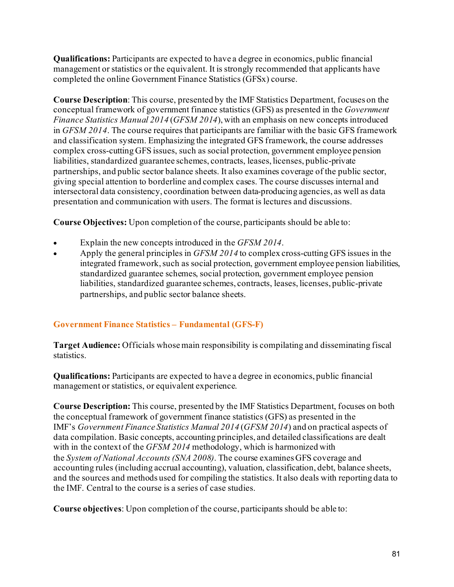**Qualifications:** Participants are expected to have a degree in economics, public financial management or statistics or the equivalent. It is strongly recommended that applicants have completed the online Government Finance Statistics (GFSx) course.

**Course Description**: This course, presented by the IMF Statistics Department, focuses on the conceptual framework of government finance statistics (GFS) as presented in the *Government Finance Statistics Manual 2014* (*GFSM 2014*), with an emphasis on new concepts introduced in *GFSM 2014*. The course requires that participants are familiar with the basic GFS framework and classification system. Emphasizing the integrated GFS framework, the course addresses complex cross-cutting GFS issues, such as social protection, government employee pension liabilities, standardized guarantee schemes, contracts, leases, licenses, public-private partnerships, and public sector balance sheets. It also examines coverage of the public sector, giving special attention to borderline and complex cases. The course discusses internal and intersectoral data consistency, coordination between data-producing agencies, as well as data presentation and communication with users. The format is lectures and discussions.

**Course Objectives:** Upon completion of the course, participants should be able to:

- Explain the new concepts introduced in the *GFSM 2014*.
- Apply the general principles in *GFSM 2014* to complex cross-cutting GFS issues in the integrated framework, such as social protection, government employee pension liabilities, standardized guarantee schemes, social protection, government employee pension liabilities, standardized guarantee schemes, contracts, leases, licenses, public-private partnerships, and public sector balance sheets.

## **Government Finance Statistics – Fundamental (GFS-F)**

**Target Audience:** Officials whose main responsibility is compilating and disseminating fiscal statistics.

**Qualifications:** Participants are expected to have a degree in economics, public financial management or statistics, or equivalent experience.

**Course Description:** This course, presented by the IMF Statistics Department, focuses on both the conceptual framework of government finance statistics (GFS) as presented in the IMF's *Government Finance Statistics Manual 2014* (*GFSM 2014*) and on practical aspects of data compilation. Basic concepts, accounting principles, and detailed classifications are dealt with in the context of the *GFSM 2014* methodology, which is harmonized with the *System of National Accounts (SNA 2008)*. The course examines GFS coverage and accounting rules (including accrual accounting), valuation, classification, debt, balance sheets, and the sources and methods used for compiling the statistics. It also deals with reporting data to the IMF. Central to the course is a series of case studies.

**Course objectives**: Upon completion of the course, participants should be able to: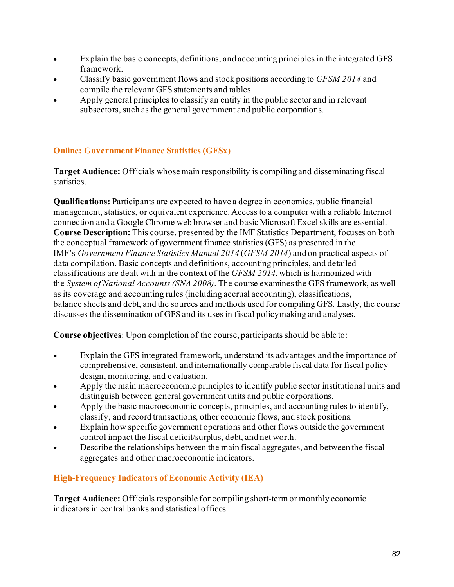- Explain the basic concepts, definitions, and accounting principles in the integrated GFS framework.
- Classify basic government flows and stock positions according to *GFSM 2014* and compile the relevant GFS statements and tables.
- Apply general principles to classify an entity in the public sector and in relevant subsectors, such as the general government and public corporations.

## **Online: Government Finance Statistics (GFSx)**

**Target Audience:** Officials whose main responsibility is compiling and disseminating fiscal statistics.

**Qualifications:** Participants are expected to have a degree in economics, public financial management, statistics, or equivalent experience. Access to a computer with a reliable Internet connection and a Google Chrome web browser and basic Microsoft Excel skills are essential. **Course Description:** This course, presented by the IMF Statistics Department, focuses on both the conceptual framework of government finance statistics (GFS) as presented in the IMF's *Government Finance Statistics Manual 2014* (*GFSM 2014*) and on practical aspects of data compilation. Basic concepts and definitions, accounting principles, and detailed classifications are dealt with in the context of the *GFSM 2014*, which is harmonized with the *System of National Accounts (SNA 2008)*. The course examines the GFS framework, as well as its coverage and accounting rules (including accrual accounting), classifications, balance sheets and debt, and the sources and methods used for compiling GFS. Lastly, the course discusses the dissemination of GFS and its uses in fiscal policymaking and analyses.

**Course objectives**: Upon completion of the course, participants should be able to:

- Explain the GFS integrated framework, understand its advantages and the importance of comprehensive, consistent, and internationally comparable fiscal data for fiscal policy design, monitoring, and evaluation.
- Apply the main macroeconomic principles to identify public sector institutional units and distinguish between general government units and public corporations.
- Apply the basic macroeconomic concepts, principles, and accounting rules to identify, classify, and record transactions, other economic flows, and stock positions.
- Explain how specific government operations and other flows outside the government control impact the fiscal deficit/surplus, debt, and net worth.
- Describe the relationships between the main fiscal aggregates, and between the fiscal aggregates and other macroeconomic indicators.

# **High-Frequency Indicators of Economic Activity (IEA)**

**Target Audience:** Officials responsible for compiling short-term or monthly economic indicators in central banks and statistical offices.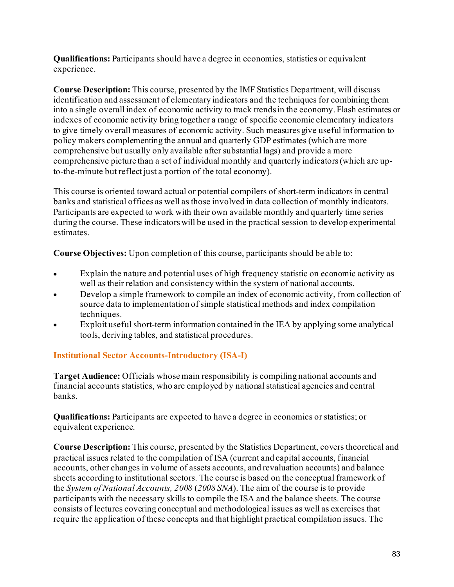**Qualifications:** Participants should have a degree in economics, statistics or equivalent experience.

**Course Description:** This course, presented by the IMF Statistics Department, will discuss identification and assessment of elementary indicators and the techniques for combining them into a single overall index of economic activity to track trends in the economy. Flash estimates or indexes of economic activity bring together a range of specific economic elementary indicators to give timely overall measures of economic activity. Such measures give useful information to policy makers complementing the annual and quarterly GDP estimates (which are more comprehensive but usually only available after substantial lags) and provide a more comprehensive picture than a set of individual monthly and quarterly indicators (which are upto-the-minute but reflect just a portion of the total economy).

This course is oriented toward actual or potential compilers of short-term indicators in central banks and statistical offices as well as those involved in data collection of monthly indicators. Participants are expected to work with their own available monthly and quarterly time series during the course. These indicators will be used in the practical session to develop experimental estimates.

**Course Objectives:** Upon completion of this course, participants should be able to:

- Explain the nature and potential uses of high frequency statistic on economic activity as well as their relation and consistency within the system of national accounts.
- Develop a simple framework to compile an index of economic activity, from collection of source data to implementation of simple statistical methods and index compilation techniques.
- Exploit useful short-term information contained in the IEA by applying some analytical tools, deriving tables, and statistical procedures.

## **Institutional Sector Accounts-Introductory (ISA-I)**

**Target Audience:** Officials whose main responsibility is compiling national accounts and financial accounts statistics, who are employed by national statistical agencies and central banks.

**Qualifications:** Participants are expected to have a degree in economics or statistics; or equivalent experience.

**Course Description:** This course, presented by the Statistics Department, covers theoretical and practical issues related to the compilation of ISA (current and capital accounts, financial accounts, other changes in volume of assets accounts, and revaluation accounts) and balance sheets according to institutional sectors. The course is based on the conceptual framework of the *System of National Accounts, 2008* (*2008 SNA*). The aim of the course is to provide participants with the necessary skills to compile the ISA and the balance sheets. The course consists of lectures covering conceptual and methodological issues as well as exercises that require the application of these concepts and that highlight practical compilation issues. The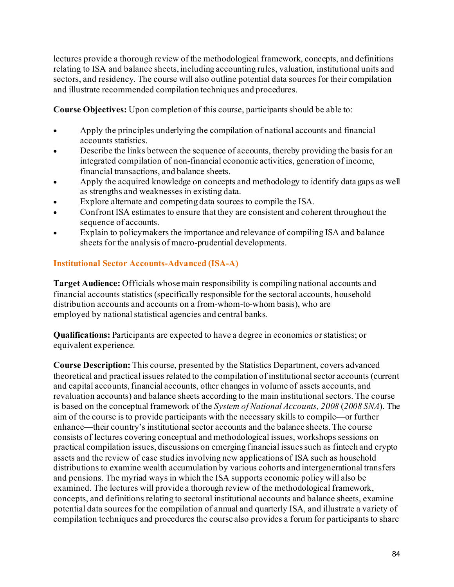lectures provide a thorough review of the methodological framework, concepts, and definitions relating to ISA and balance sheets, including accounting rules, valuation, institutional units and sectors, and residency. The course will also outline potential data sources for their compilation and illustrate recommended compilation techniques and procedures.

**Course Objectives:** Upon completion of this course, participants should be able to:

- Apply the principles underlying the compilation of national accounts and financial accounts statistics.
- Describe the links between the sequence of accounts, thereby providing the basis for an integrated compilation of non-financial economic activities, generation of income, financial transactions, and balance sheets.
- Apply the acquired knowledge on concepts and methodology to identify data gaps as well as strengths and weaknesses in existing data.
- Explore alternate and competing data sources to compile the ISA.
- Confront ISA estimates to ensure that they are consistent and coherent throughout the sequence of accounts.
- Explain to policymakers the importance and relevance of compiling ISA and balance sheets for the analysis of macro-prudential developments.

## **Institutional Sector Accounts-Advanced (ISA-A)**

**Target Audience:** Officials whose main responsibility is compiling national accounts and financial accounts statistics (specifically responsible for the sectoral accounts, household distribution accounts and accounts on a from-whom-to-whom basis), who are employed by national statistical agencies and central banks.

**Qualifications:** Participants are expected to have a degree in economics or statistics; or equivalent experience.

**Course Description:** This course, presented by the Statistics Department, covers advanced theoretical and practical issues related to the compilation of institutional sector accounts (current and capital accounts, financial accounts, other changes in volume of assets accounts, and revaluation accounts) and balance sheets according to the main institutional sectors. The course is based on the conceptual framework of the *System of National Accounts, 2008* (*2008 SNA*). The aim of the course is to provide participants with the necessary skills to compile—or further enhance—their country's institutional sector accounts and the balance sheets. The course consists of lectures covering conceptual and methodological issues, workshops sessions on practical compilation issues, discussions on emerging financial issues such as fintech and crypto assets and the review of case studies involving new applications of ISA such as household distributions to examine wealth accumulation by various cohorts and intergenerational transfers and pensions. The myriad ways in which the ISA supports economic policy will also be examined. The lectures will provide a thorough review of the methodological framework, concepts, and definitions relating to sectoral institutional accounts and balance sheets, examine potential data sources for the compilation of annual and quarterly ISA, and illustrate a variety of compilation techniques and procedures the course also provides a forum for participants to share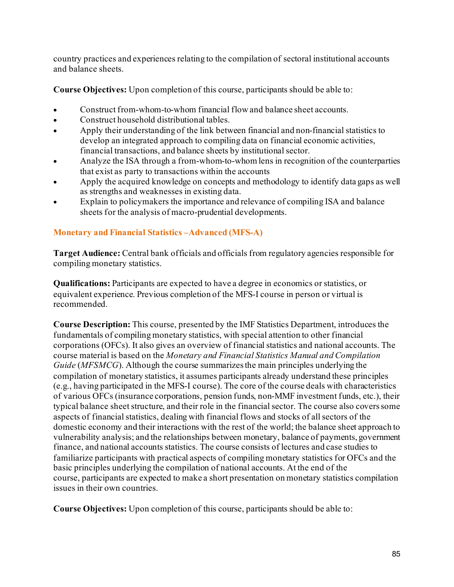country practices and experiences relating to the compilation of sectoral institutional accounts and balance sheets.

**Course Objectives:** Upon completion of this course, participants should be able to:

- Construct from-whom-to-whom financial flow and balance sheet accounts.
- Construct household distributional tables.
- Apply their understanding of the link between financial and non-financial statistics to develop an integrated approach to compiling data on financial economic activities, financial transactions, and balance sheets by institutional sector.
- Analyze the ISA through a from-whom-to-whomlens in recognition of the counterparties that exist as party to transactions within the accounts
- Apply the acquired knowledge on concepts and methodology to identify data gaps as well as strengths and weaknesses in existing data.
- Explain to policymakers the importance and relevance of compiling ISA and balance sheets for the analysis of macro-prudential developments.

## **Monetary and Financial Statistics –Advanced (MFS-A)**

**Target Audience:** Central bank officials and officials from regulatory agencies responsible for compiling monetary statistics.

**Qualifications:** Participants are expected to have a degree in economics or statistics, or equivalent experience. Previous completion of the MFS-I course in person or virtual is recommended.

**Course Description:** This course, presented by the IMF Statistics Department, introduces the fundamentals of compiling monetary statistics, with special attention to other financial corporations (OFCs). It also gives an overview of financial statistics and national accounts. The course material is based on the *Monetary and Financial Statistics Manual and Compilation Guide* (*MFSMCG*). Although the course summarizes the main principles underlying the compilation of monetary statistics, it assumes participants already understand these principles (e.g., having participated in the MFS-I course). The core of the course deals with characteristics of various OFCs (insurance corporations, pension funds, non-MMF investment funds, etc.), their typical balance sheet structure, and their role in the financial sector. The course also covers some aspects of financial statistics, dealing with financial flows and stocks of all sectors of the domestic economy and their interactions with the rest of the world; the balance sheet approach to vulnerability analysis; and the relationships between monetary, balance of payments, government finance, and national accounts statistics. The course consists of lectures and case studies to familiarize participants with practical aspects of compiling monetary statistics for OFCs and the basic principles underlying the compilation of national accounts. At the end of the course, participants are expected to make a short presentation on monetary statistics compilation issues in their own countries.

**Course Objectives:** Upon completion of this course, participants should be able to: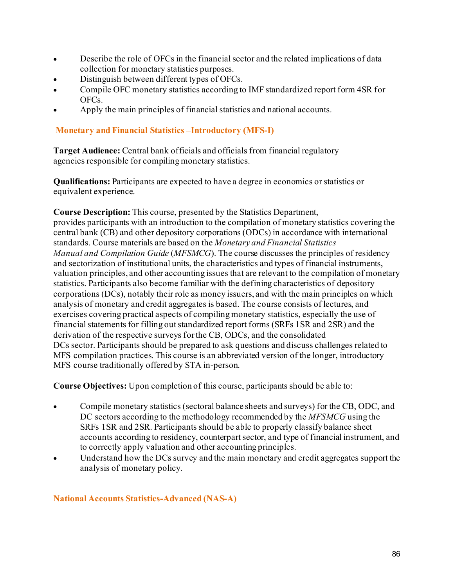- Describe the role of OFCs in the financial sector and the related implications of data collection for monetary statistics purposes.
- Distinguish between different types of OFCs.
- Compile OFC monetary statistics according to IMF standardized report form 4SR for OFCs.
- Apply the main principles of financial statistics and national accounts.

## **Monetary and Financial Statistics –Introductory (MFS-I)**

**Target Audience:** Central bank officials and officials from financial regulatory agencies responsible for compiling monetary statistics.

**Qualifications:** Participants are expected to have a degree in economics or statistics or equivalent experience.

**Course Description:** This course, presented by the Statistics Department,

provides participants with an introduction to the compilation of monetary statistics covering the central bank (CB) and other depository corporations (ODCs) in accordance with international standards. Course materials are based on the *Monetary and Financial Statistics Manual and Compilation Guide* (*MFSMCG*). The course discusses the principles of residency and sectorization of institutional units, the characteristics and types of financial instruments, valuation principles, and other accounting issues that are relevant to the compilation of monetary statistics. Participants also become familiar with the defining characteristics of depository corporations (DCs), notably their role as money issuers, and with the main principles on which analysis of monetary and credit aggregates is based. The course consists of lectures, and exercises covering practical aspects of compiling monetary statistics, especially the use of financial statements for filling out standardized report forms (SRFs 1SR and 2SR) and the derivation of the respective surveys for the CB, ODCs, and the consolidated DCs sector. Participants should be prepared to ask questions and discuss challenges related to MFS compilation practices. This course is an abbreviated version of the longer, introductory MFS course traditionally offered by STA in-person.

**Course Objectives:** Upon completion of this course, participants should be able to:

- Compile monetary statistics (sectoral balance sheets and surveys) for the CB, ODC, and DC sectors according to the methodology recommended by the *MFSMCG* using the SRFs 1SR and 2SR. Participants should be able to properly classify balance sheet accounts according to residency, counterpart sector, and type of financial instrument, and to correctly apply valuation and other accounting principles.
- Understand how the DCs survey and the main monetary and credit aggregates support the analysis of monetary policy.

## **National Accounts Statistics-Advanced (NAS-A)**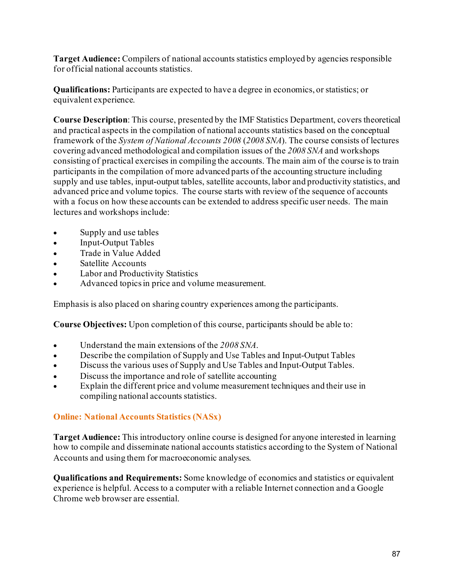**Target Audience:** Compilers of national accounts statistics employed by agencies responsible for official national accounts statistics.

**Qualifications:** Participants are expected to have a degree in economics, or statistics; or equivalent experience.

**Course Description**: This course, presented by the IMF Statistics Department, covers theoretical and practical aspects in the compilation of national accounts statistics based on the conceptual framework of the *System of National Accounts 2008* (*2008 SNA*). The course consists of lectures covering advanced methodological and compilation issues of the *2008 SNA* and workshops consisting of practical exercises in compiling the accounts. The main aim of the course is to train participants in the compilation of more advanced parts of the accounting structure including supply and use tables, input-output tables, satellite accounts, labor and productivity statistics, and advanced price and volume topics. The course starts with review of the sequence of accounts with a focus on how these accounts can be extended to address specific user needs. The main lectures and workshops include:

- Supply and use tables
- Input-Output Tables
- Trade in Value Added
- Satellite Accounts
- Labor and Productivity Statistics
- Advanced topics in price and volume measurement.

Emphasis is also placed on sharing country experiences among the participants.

**Course Objectives:** Upon completion of this course, participants should be able to:

- Understand the main extensions of the *2008 SNA*.
- Describe the compilation of Supply and Use Tables and Input-Output Tables
- Discuss the various uses of Supply and Use Tables and Input-Output Tables.
- Discuss the importance and role of satellite accounting
- Explain the different price and volume measurement techniques and their use in compiling national accounts statistics.

#### **Online: National Accounts Statistics (NASx)**

**Target Audience:** This introductory online course is designed for anyone interested in learning how to compile and disseminate national accounts statistics according to the System of National Accounts and using them for macroeconomic analyses.

**Qualifications and Requirements:** Some knowledge of economics and statistics or equivalent experience is helpful. Access to a computer with a reliable Internet connection and a Google Chrome web browser are essential.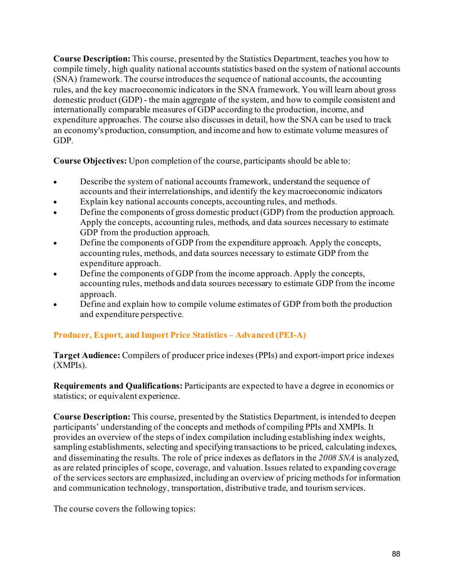**Course Description:** This course, presented by the Statistics Department, teaches you how to compile timely, high quality national accounts statistics based on the system of national accounts (SNA) framework. The course introduces the sequence of national accounts, the accounting rules, and the key macroeconomic indicators in the SNA framework. You will learn about gross domestic product (GDP) - the main aggregate of the system, and how to compile consistent and internationally comparable measures of GDP according to the production, income, and expenditure approaches. The course also discusses in detail, how the SNA can be used to track an economy's production, consumption, and income and how to estimate volume measures of GDP.

**Course Objectives:** Upon completion of the course, participants should be able to:

- Describe the system of national accounts framework, understand the sequence of accounts and their interrelationships, and identify the key macroeconomic indicators
- Explain key national accounts concepts, accounting rules, and methods.
- Define the components of gross domestic product (GDP) from the production approach. Apply the concepts, accounting rules, methods, and data sources necessary to estimate GDP from the production approach.
- Define the components of GDP from the expenditure approach. Apply the concepts, accounting rules, methods, and data sources necessary to estimate GDP from the expenditure approach.
- Define the components of GDP from the income approach. Apply the concepts, accounting rules, methods and data sources necessary to estimate GDP from the income approach.
- Define and explain how to compile volume estimates of GDP from both the production and expenditure perspective.

## **Producer, Export, and Import Price Statistics – Advanced (PEI-A)**

**Target Audience:** Compilers of producer price indexes (PPIs) and export-import price indexes (XMPIs).

**Requirements and Qualifications:** Participants are expected to have a degree in economics or statistics; or equivalent experience.

**Course Description:** This course, presented by the Statistics Department, is intended to deepen participants' understanding of the concepts and methods of compiling PPIs and XMPIs. It provides an overview of the steps of index compilation including establishing index weights, sampling establishments, selecting and specifying transactions to be priced, calculating indexes, and disseminating the results. The role of price indexes as deflators in the *2008 SNA* is analyzed, as are related principles of scope, coverage, and valuation. Issues related to expanding coverage of the services sectors are emphasized, including an overview of pricing methods for information and communication technology, transportation, distributive trade, and tourism services.

The course covers the following topics: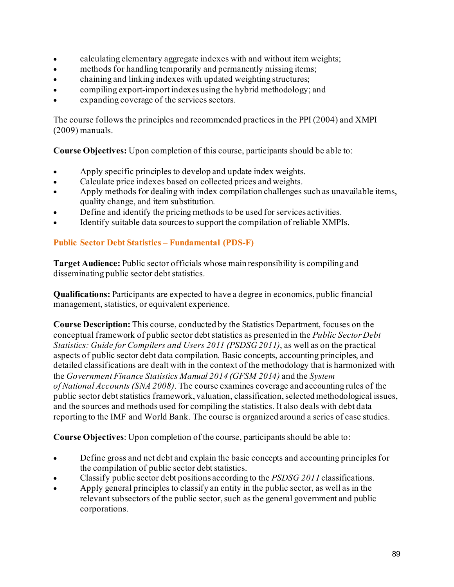- calculating elementary aggregate indexes with and without item weights;
- methods for handling temporarily and permanently missing items;
- chaining and linking indexes with updated weighting structures;
- compiling export-import indexes using the hybrid methodology; and
- expanding coverage of the services sectors.

The course follows the principles and recommended practices in the PPI (2004) and XMPI (2009) manuals.

**Course Objectives:** Upon completion of this course, participants should be able to:

- Apply specific principles to develop and update index weights.
- Calculate price indexes based on collected prices and weights.
- Apply methods for dealing with index compilation challenges such as unavailable items, quality change, and item substitution.
- Define and identify the pricing methods to be used for services activities.
- Identify suitable data sources to support the compilation of reliable XMPIs.

## **Public Sector Debt Statistics – Fundamental (PDS-F)**

**Target Audience:** Public sector officials whose main responsibility is compiling and disseminating public sector debt statistics.

**Qualifications:** Participants are expected to have a degree in economics, public financial management, statistics, or equivalent experience.

**Course Description:** This course, conducted by the Statistics Department, focuses on the conceptual framework of public sector debt statistics as presented in the *Public Sector Debt Statistics: Guide for Compilers and Users 2011 (PSDSG 2011)*, as well as on the practical aspects of public sector debt data compilation. Basic concepts, accounting principles, and detailed classifications are dealt with in the context of the methodology that is harmonized with the *Government Finance Statistics Manual 2014 (GFSM 2014)* and the *System of National Accounts (SNA 2008)*. The course examines coverage and accounting rules of the public sector debt statistics framework, valuation, classification, selected methodological issues, and the sources and methods used for compiling the statistics. It also deals with debt data reporting to the IMF and World Bank. The course is organized around a series of case studies.

**Course Objectives**: Upon completion of the course, participants should be able to:

- Define gross and net debt and explain the basic concepts and accounting principles for the compilation of public sector debt statistics.
- Classify public sector debt positions according to the *PSDSG 2011* classifications.
- Apply general principles to classify an entity in the public sector, as well as in the relevant subsectors of the public sector, such as the general government and public corporations.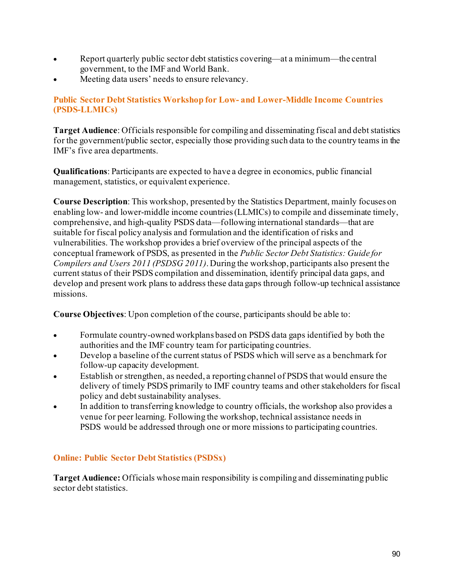- Report quarterly public sector debt statistics covering—at a minimum—the central government, to the IMF and World Bank.
- Meeting data users' needs to ensure relevancy.

## **Public Sector Debt Statistics Workshop for Low- and Lower-Middle Income Countries (PSDS-LLMICs)**

**Target Audience**: Officials responsible for compiling and disseminating fiscal and debt statistics for the government/public sector, especially those providing such data to the country teams in the IMF's five area departments.

**Qualifications**: Participants are expected to have a degree in economics, public financial management, statistics, or equivalent experience.

**Course Description**: This workshop, presented by the Statistics Department, mainly focuses on enabling low- and lower-middle income countries (LLMICs) to compile and disseminate timely, comprehensive, and high-quality PSDS data—following international standards—that are suitable for fiscal policy analysis and formulation and the identification of risks and vulnerabilities. The workshop provides a brief overview of the principal aspects of the conceptual framework of PSDS, as presented in the *Public Sector Debt Statistics: Guide for Compilers and Users 2011 (PSDSG 2011)*. During the workshop, participants also present the current status of their PSDS compilation and dissemination, identify principal data gaps, and develop and present work plans to address these data gaps through follow-up technical assistance missions.

**Course Objectives**: Upon completion of the course, participants should be able to:

- Formulate country-owned workplans based on PSDS data gaps identified by both the authorities and the IMF country team for participating countries.
- Develop a baseline of the current status of PSDS which will serve as a benchmark for follow-up capacity development.
- Establish or strengthen, as needed, a reporting channel of PSDS that would ensure the delivery of timely PSDS primarily to IMF country teams and other stakeholders for fiscal policy and debt sustainability analyses.
- In addition to transferring knowledge to country officials, the workshop also provides a venue for peer learning. Following the workshop, technical assistance needs in PSDS would be addressed through one or more missions to participating countries.

#### **Online: Public Sector Debt Statistics (PSDSx)**

**Target Audience:** Officials whose main responsibility is compiling and disseminating public sector debt statistics.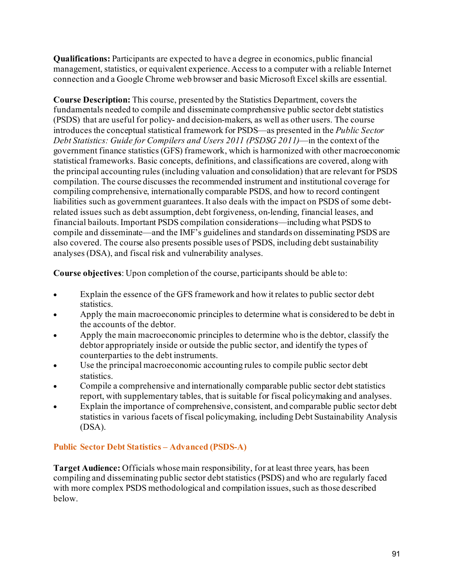**Qualifications:** Participants are expected to have a degree in economics, public financial management, statistics, or equivalent experience. Access to a computer with a reliable Internet connection and a Google Chrome web browser and basic Microsoft Excel skills are essential.

**Course Description:** This course, presented by the Statistics Department, covers the fundamentals needed to compile and disseminate comprehensive public sector debt statistics (PSDS) that are useful for policy- and decision-makers, as well as other users. The course introduces the conceptual statistical framework for PSDS—as presented in the *Public Sector Debt Statistics: Guide for Compilers and Users 2011 (PSDSG 2011)*—in the context of the government finance statistics (GFS) framework, which is harmonized with other macroeconomic statistical frameworks. Basic concepts, definitions, and classifications are covered, along with the principal accounting rules (including valuation and consolidation) that are relevant for PSDS compilation. The course discusses the recommended instrument and institutional coverage for compiling comprehensive, internationally comparable PSDS, and how to record contingent liabilities such as government guarantees. It also deals with the impact on PSDS of some debtrelated issues such as debt assumption, debt forgiveness, on-lending, financial leases, and financial bailouts. Important PSDS compilation considerations—including what PSDS to compile and disseminate—and the IMF's guidelines and standards on disseminating PSDS are also covered. The course also presents possible uses of PSDS, including debt sustainability analyses (DSA), and fiscal risk and vulnerability analyses.

**Course objectives**: Upon completion of the course, participants should be able to:

- Explain the essence of the GFS framework and how it relates to public sector debt statistics.
- Apply the main macroeconomic principles to determine what is considered to be debt in the accounts of the debtor.
- Apply the main macroeconomic principles to determine who is the debtor, classify the debtor appropriately inside or outside the public sector, and identify the types of counterparties to the debt instruments.
- Use the principal macroeconomic accounting rules to compile public sector debt statistics.
- Compile a comprehensive and internationally comparable public sector debt statistics report, with supplementary tables, that is suitable for fiscal policymaking and analyses.
- Explain the importance of comprehensive, consistent, and comparable public sector debt statistics in various facets of fiscal policymaking, including Debt Sustainability Analysis (DSA).

## **Public Sector Debt Statistics – Advanced (PSDS-A)**

**Target Audience:** Officials whose main responsibility, for at least three years, has been compiling and disseminating public sector debt statistics (PSDS) and who are regularly faced with more complex PSDS methodological and compilation issues, such as those described below.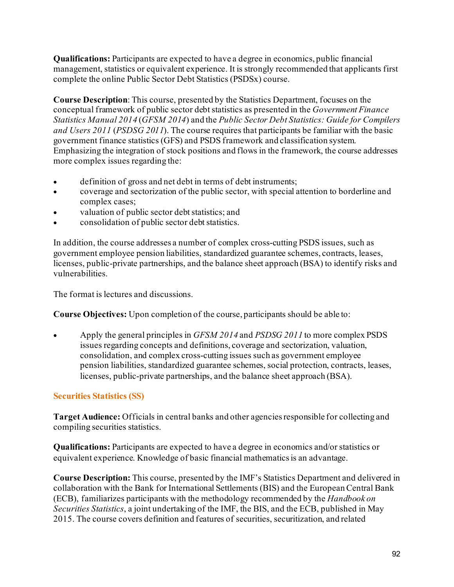**Qualifications:** Participants are expected to have a degree in economics, public financial management, statistics or equivalent experience. It is strongly recommended that applicants first complete the online Public Sector Debt Statistics (PSDSx) course.

**Course Description**: This course, presented by the Statistics Department, focuses on the conceptual framework of public sector debt statistics as presented in the *Government Finance Statistics Manual 2014* (*GFSM 2014*) and the *Public Sector Debt Statistics: Guide for Compilers and Users 2011* (*PSDSG 2011*). The course requires that participants be familiar with the basic government finance statistics (GFS) and PSDS framework and classification system. Emphasizing the integration of stock positions and flows in the framework, the course addresses more complex issues regarding the:

- definition of gross and net debt in terms of debt instruments;
- coverage and sectorization of the public sector, with special attention to borderline and complex cases;
- valuation of public sector debt statistics; and
- consolidation of public sector debt statistics.

In addition, the course addresses a number of complex cross-cutting PSDS issues, such as government employee pension liabilities, standardized guarantee schemes, contracts, leases, licenses, public-private partnerships, and the balance sheet approach (BSA) to identify risks and vulnerabilities.

The format is lectures and discussions.

**Course Objectives:** Upon completion of the course, participants should be able to:

• Apply the general principles in *GFSM 2014* and *PSDSG 2011* to more complex PSDS issues regarding concepts and definitions, coverage and sectorization, valuation, consolidation, and complex cross-cutting issues such as government employee pension liabilities, standardized guarantee schemes, social protection, contracts, leases, licenses, public-private partnerships, and the balance sheet approach (BSA).

## **Securities Statistics (SS)**

**Target Audience:** Officials in central banks and other agencies responsible for collecting and compiling securities statistics.

**Qualifications:** Participants are expected to have a degree in economics and/or statistics or equivalent experience. Knowledge of basic financial mathematics is an advantage.

**Course Description:** This course, presented by the IMF's Statistics Department and delivered in collaboration with the Bank for International Settlements (BIS) and the European Central Bank (ECB), familiarizes participants with the methodology recommended by the *Handbook on Securities Statistics*, a joint undertaking of the IMF, the BIS, and the ECB, published in May 2015. The course covers definition and features of securities, securitization, and related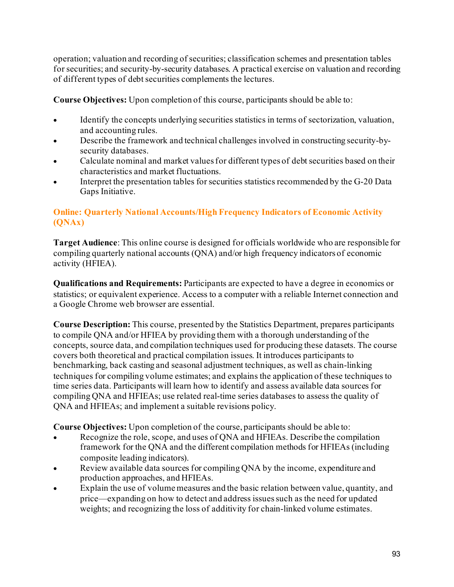operation; valuation and recording of securities; classification schemes and presentation tables for securities; and security-by-security databases. A practical exercise on valuation and recording of different types of debt securities complements the lectures.

**Course Objectives:** Upon completion of this course, participants should be able to:

- Identify the concepts underlying securities statistics in terms of sectorization, valuation, and accounting rules.
- Describe the framework and technical challenges involved in constructing security-bysecurity databases.
- Calculate nominal and market values for different types of debt securities based on their characteristics and market fluctuations.
- Interpret the presentation tables for securities statistics recommended by the G-20 Data Gaps Initiative.

## **Online: Quarterly National Accounts/High Frequency Indicators of Economic Activity (QNAx)**

**Target Audience**: This online course is designed for officials worldwide who are responsible for compiling quarterly national accounts (QNA) and/or high frequency indicators of economic activity (HFIEA).

**Qualifications and Requirements:** Participants are expected to have a degree in economics or statistics; or equivalent experience. Access to a computer with a reliable Internet connection and a Google Chrome web browser are essential.

**Course Description:** This course, presented by the Statistics Department, prepares participants to compile QNA and/or HFIEA by providing them with a thorough understanding of the concepts, source data, and compilation techniques used for producing these datasets. The course covers both theoretical and practical compilation issues. It introduces participants to benchmarking, back casting and seasonal adjustment techniques, as well as chain-linking techniques for compiling volume estimates; and explains the application of these techniques to time series data. Participants will learn how to identify and assess available data sources for compiling QNA and HFIEAs; use related real-time series databases to assess the quality of QNA and HFIEAs; and implement a suitable revisions policy.

**Course Objectives:** Upon completion of the course, participants should be able to:

- Recognize the role, scope, and uses of QNA and HFIEAs. Describe the compilation framework for the QNA and the different compilation methods for HFIEAs (including composite leading indicators).
- Review available data sources for compiling QNA by the income, expenditure and production approaches, and HFIEAs.
- Explain the use of volume measures and the basic relation between value, quantity, and price—expanding on how to detect and address issues such as the need for updated weights; and recognizing the loss of additivity for chain-linked volume estimates.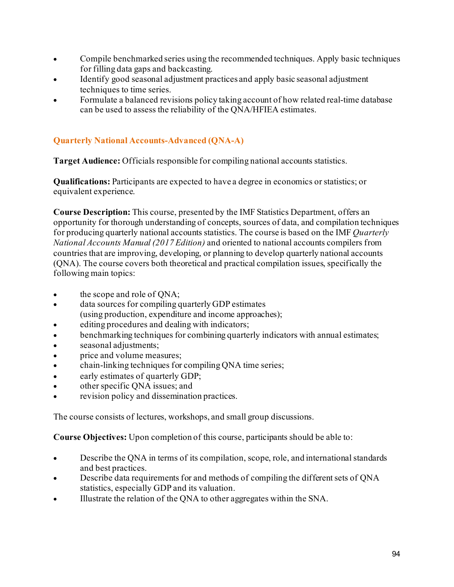- Compile benchmarked series using the recommended techniques. Apply basic techniques for filling data gaps and backcasting.
- Identify good seasonal adjustment practices and apply basic seasonal adjustment techniques to time series.
- Formulate a balanced revisions policy taking account of how related real-time database can be used to assess the reliability of the QNA/HFIEA estimates.

# **Quarterly National Accounts-Advanced (QNA-A)**

**Target Audience:** Officials responsible for compiling national accounts statistics.

**Qualifications:** Participants are expected to have a degree in economics or statistics; or equivalent experience.

**Course Description:** This course, presented by the IMF Statistics Department, offers an opportunity for thorough understanding of concepts, sources of data, and compilation techniques for producing quarterly national accounts statistics. The course is based on the IMF *Quarterly National Accounts Manual (2017 Edition)* and oriented to national accounts compilers from countries that are improving, developing, or planning to develop quarterly national accounts (QNA). The course covers both theoretical and practical compilation issues, specifically the following main topics:

- the scope and role of ONA;
- data sources for compiling quarterly GDP estimates (using production, expenditure and income approaches);
- editing procedures and dealing with indicators;
- benchmarking techniques for combining quarterly indicators with annual estimates;
- seasonal adjustments;
- price and volume measures;
- chain-linking techniques for compiling QNA time series;
- early estimates of quarterly GDP;
- other specific QNA issues; and
- revision policy and dissemination practices.

The course consists of lectures, workshops, and small group discussions.

**Course Objectives:** Upon completion of this course, participants should be able to:

- Describe the QNA in terms of its compilation, scope, role, and international standards and best practices.
- Describe data requirements for and methods of compiling the different sets of QNA statistics, especially GDP and its valuation.
- Illustrate the relation of the QNA to other aggregates within the SNA.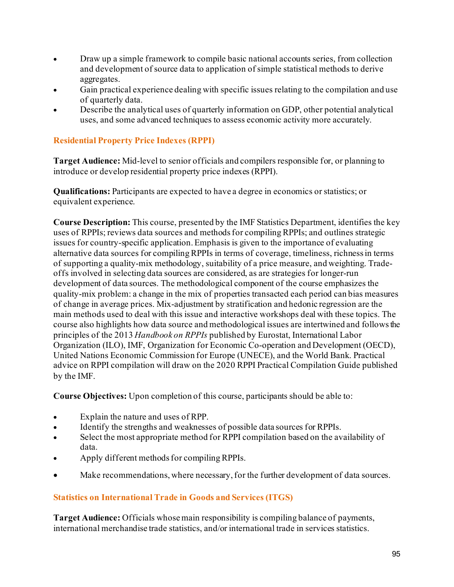- Draw up a simple framework to compile basic national accounts series, from collection and development of source data to application of simple statistical methods to derive aggregates.
- Gain practical experience dealing with specific issues relating to the compilation and use of quarterly data.
- Describe the analytical uses of quarterly information on GDP, other potential analytical uses, and some advanced techniques to assess economic activity more accurately.

## **Residential Property Price Indexes (RPPI)**

**Target Audience:** Mid-level to senior officials and compilers responsible for, or planning to introduce or develop residential property price indexes (RPPI).

**Qualifications:** Participants are expected to have a degree in economics or statistics; or equivalent experience.

**Course Description:** This course, presented by the IMF Statistics Department, identifies the key uses of RPPIs; reviews data sources and methods for compiling RPPIs; and outlines strategic issues for country-specific application. Emphasis is given to the importance of evaluating alternative data sources for compiling RPPIs in terms of coverage, timeliness, richness in terms of supporting a quality-mix methodology, suitability of a price measure, and weighting. Tradeoffs involved in selecting data sources are considered, as are strategies for longer-run development of data sources. The methodological component of the course emphasizes the quality-mix problem: a change in the mix of properties transacted each period can bias measures of change in average prices. Mix-adjustment by stratification and hedonic regression are the main methods used to deal with this issue and interactive workshops deal with these topics. The course also highlights how data source and methodological issues are intertwined and follows the principles of the 2013 *Handbook on RPPIs* published by Eurostat, International Labor Organization (ILO), IMF, Organization for Economic Co-operation and Development (OECD), United Nations Economic Commission for Europe (UNECE), and the World Bank. Practical advice on RPPI compilation will draw on the 2020 RPPI Practical Compilation Guide published by the IMF.

**Course Objectives:** Upon completion of this course, participants should be able to:

- Explain the nature and uses of RPP.
- Identify the strengths and weaknesses of possible data sources for RPPIs.
- Select the most appropriate method for RPPI compilation based on the availability of data.
- Apply different methods for compiling RPPIs.
- Make recommendations, where necessary, for the further development of data sources.

## **Statistics on International Trade in Goods and Services (ITGS)**

**Target Audience:** Officials whose main responsibility is compiling balance of payments, international merchandise trade statistics, and/or international trade in services statistics.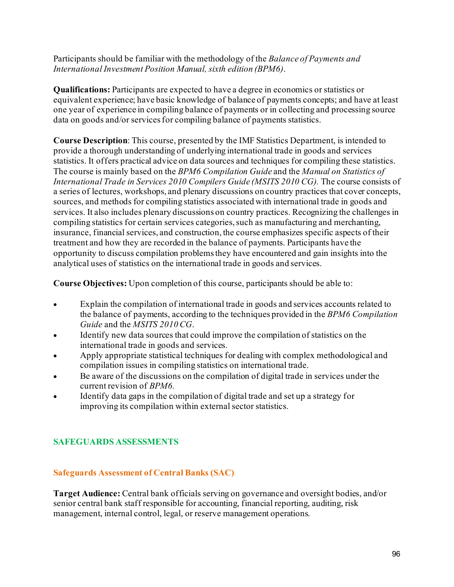Participants should be familiar with the methodology of the *Balance of Payments and International Investment Position Manual, sixth edition (BPM6)*.

**Qualifications:** Participants are expected to have a degree in economics or statistics or equivalent experience; have basic knowledge of balance of payments concepts; and have at least one year of experience in compiling balance of payments or in collecting and processing source data on goods and/or services for compiling balance of payments statistics.

**Course Description**: This course, presented by the IMF Statistics Department, is intended to provide a thorough understanding of underlying international trade in goods and services statistics. It offers practical advice on data sources and techniques for compiling these statistics. The course is mainly based on the *BPM6 Compilation Guide* and the *Manual on Statistics of International Trade in Services 2010 Compilers Guide (MSITS 2010 CG).* The course consists of a series of lectures, workshops, and plenary discussions on country practices that cover concepts, sources, and methods for compiling statistics associated with international trade in goods and services. It also includes plenary discussions on country practices. Recognizing the challenges in compiling statistics for certain services categories, such as manufacturing and merchanting, insurance, financial services, and construction, the course emphasizes specific aspects of their treatment and how they are recorded in the balance of payments. Participants have the opportunity to discuss compilation problems they have encountered and gain insights into the analytical uses of statistics on the international trade in goods and services.

**Course Objectives:** Upon completion of this course, participants should be able to:

- Explain the compilation of international trade in goods and services accounts related to the balance of payments, according to the techniques provided in the *BPM6 Compilation Guide* and the *MSITS 2010 CG*.
- Identify new data sources that could improve the compilation of statistics on the international trade in goods and services.
- Apply appropriate statistical techniques for dealing with complex methodological and compilation issues in compiling statistics on international trade.
- Be aware of the discussions on the compilation of digital trade in services under the current revision of *BPM6.*
- Identify data gaps in the compilation of digital trade and set up a strategy for improving its compilation within external sector statistics.

## **SAFEGUARDS ASSESSMENTS**

## **Safeguards Assessment of Central Banks (SAC)**

**Target Audience:** Central bank officials serving on governance and oversight bodies, and/or senior central bank staff responsible for accounting, financial reporting, auditing, risk management, internal control, legal, or reserve management operations.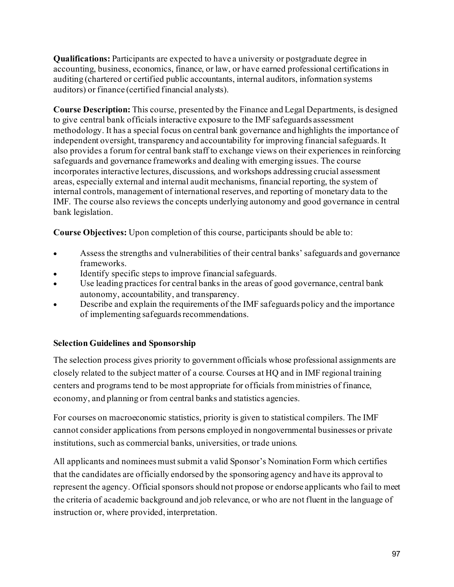**Qualifications:** Participants are expected to have a university or postgraduate degree in accounting, business, economics, finance, or law, or have earned professional certifications in auditing (chartered or certified public accountants, internal auditors, information systems auditors) or finance (certified financial analysts).

**Course Description:** This course, presented by the Finance and Legal Departments, is designed to give central bank officials interactive exposure to the IMF safeguards assessment methodology. It has a special focus on central bank governance and highlights the importance of independent oversight, transparency and accountability for improving financial safeguards. It also provides a forum for central bank staff to exchange views on their experiences in reinforcing safeguards and governance frameworks and dealing with emerging issues. The course incorporates interactive lectures, discussions, and workshops addressing crucial assessment areas, especially external and internal audit mechanisms, financial reporting, the system of internal controls, management of international reserves, and reporting of monetary data to the IMF. The course also reviews the concepts underlying autonomy and good governance in central bank legislation.

**Course Objectives:** Upon completion of this course, participants should be able to:

- Assess the strengths and vulnerabilities of their central banks' safeguards and governance frameworks.
- Identify specific steps to improve financial safeguards.
- Use leading practices for central banks in the areas of good governance, central bank autonomy, accountability, and transparency.
- Describe and explain the requirements of the IMF safeguards policy and the importance of implementing safeguards recommendations.

## **Selection Guidelines and Sponsorship**

The selection process gives priority to government officials whose professional assignments are closely related to the subject matter of a course. Courses at HQ and in IMF regional training centers and programs tend to be most appropriate for officials from ministries of finance, economy, and planning or from central banks and statistics agencies.

For courses on macroeconomic statistics, priority is given to statistical compilers. The IMF cannot consider applications from persons employed in nongovernmental businesses or private institutions, such as commercial banks, universities, or trade unions.

All applicants and nominees must submit a valid Sponsor's Nomination Form which certifies that the candidates are officially endorsed by the sponsoring agency and have its approval to represent the agency. Official sponsors should not propose or endorse applicants who fail to meet the criteria of academic background and job relevance, or who are not fluent in the language of instruction or, where provided, interpretation.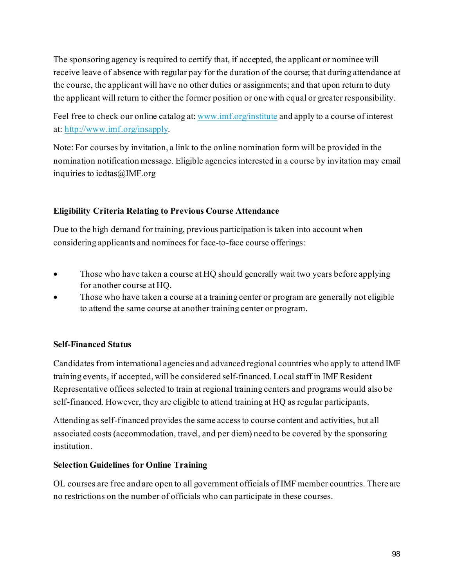The sponsoring agency is required to certify that, if accepted, the applicant or nominee will receive leave of absence with regular pay for the duration of the course; that during attendance at the course, the applicant will have no other duties or assignments; and that upon return to duty the applicant will return to either the former position or one with equal or greater responsibility.

Feel free to check our online catalog at[: www.imf.org/institute](http://www.imf.org/institute) and apply to a course of interest at: [http://www.imf.org/insapply.](http://www.imf.org/insapply)

Note: For courses by invitation, a link to the online nomination form will be provided in the nomination notification message. Eligible agencies interested in a course by invitation may email inquiries to icdtas@IMF.org

## **Eligibility Criteria Relating to Previous Course Attendance**

Due to the high demand for training, previous participation is taken into account when considering applicants and nominees for face-to-face course offerings:

- Those who have taken a course at HQ should generally wait two years before applying for another course at HQ.
- Those who have taken a course at a training center or program are generally not eligible to attend the same course at another training center or program.

## **Self-Financed Status**

Candidates from international agencies and advanced regional countries who apply to attend IMF training events, if accepted, will be considered self-financed. Local staff in IMF Resident Representative offices selected to train at regional training centers and programs would also be self-financed. However, they are eligible to attend training at HQ as regular participants.

Attending as self-financed provides the same access to course content and activities, but all associated costs (accommodation, travel, and per diem) need to be covered by the sponsoring institution.

#### **Selection Guidelines for Online Training**

OL courses are free and are open to all government officials of IMF member countries. There are no restrictions on the number of officials who can participate in these courses.